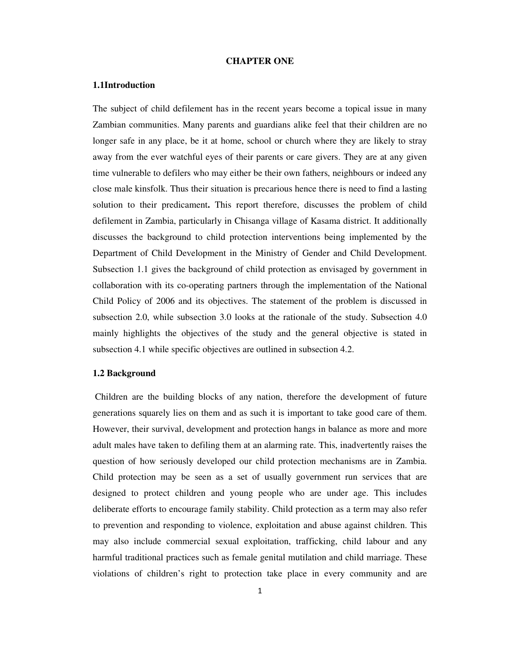# **CHAPTER ONE**

# **1.1Introduction**

The subject of child defilement has in the recent years become a topical issue in many Zambian communities. Many parents and guardians alike feel that their children are no longer safe in any place, be it at home, school or church where they are likely to stray away from the ever watchful eyes of their parents or care givers. They are at any given time vulnerable to defilers who may either be their own fathers, neighbours or indeed any close male kinsfolk. Thus their situation is precarious hence there is need to find a lasting solution to their predicament**.** This report therefore, discusses the problem of child defilement in Zambia, particularly in Chisanga village of Kasama district. It additionally discusses the background to child protection interventions being implemented by the Department of Child Development in the Ministry of Gender and Child Development. Subsection 1.1 gives the background of child protection as envisaged by government in collaboration with its co-operating partners through the implementation of the National Child Policy of 2006 and its objectives. The statement of the problem is discussed in subsection 2.0, while subsection 3.0 looks at the rationale of the study. Subsection 4.0 mainly highlights the objectives of the study and the general objective is stated in subsection 4.1 while specific objectives are outlined in subsection 4.2.

# **1.2 Background**

 Children are the building blocks of any nation, therefore the development of future generations squarely lies on them and as such it is important to take good care of them. However, their survival, development and protection hangs in balance as more and more adult males have taken to defiling them at an alarming rate. This, inadvertently raises the question of how seriously developed our child protection mechanisms are in Zambia. Child protection may be seen as a set of usually government run services that are designed to protect children and young people who are under age. This includes deliberate efforts to encourage family stability. Child protection as a term may also refer to prevention and responding to violence, exploitation and abuse against children. This may also include commercial sexual exploitation, trafficking, child labour and any harmful traditional practices such as female genital mutilation and child marriage. These violations of children's right to protection take place in every community and are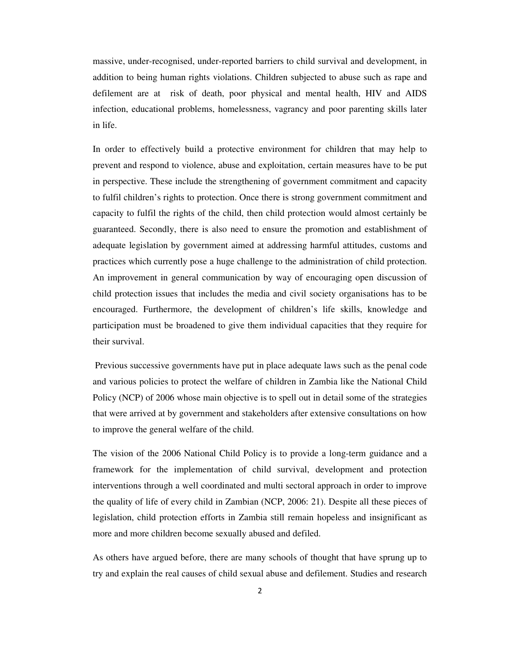massive, under-recognised, under-reported barriers to child survival and development, in addition to being human rights violations. Children subjected to abuse such as rape and defilement are at risk of death, poor physical and mental health, HIV and AIDS infection, educational problems, homelessness, vagrancy and poor parenting skills later in life.

In order to effectively build a protective environment for children that may help to prevent and respond to violence, abuse and exploitation, certain measures have to be put in perspective. These include the strengthening of government commitment and capacity to fulfil children's rights to protection. Once there is strong government commitment and capacity to fulfil the rights of the child, then child protection would almost certainly be guaranteed. Secondly, there is also need to ensure the promotion and establishment of adequate legislation by government aimed at addressing harmful attitudes, customs and practices which currently pose a huge challenge to the administration of child protection. An improvement in general communication by way of encouraging open discussion of child protection issues that includes the media and civil society organisations has to be encouraged. Furthermore, the development of children's life skills, knowledge and participation must be broadened to give them individual capacities that they require for their survival.

 Previous successive governments have put in place adequate laws such as the penal code and various policies to protect the welfare of children in Zambia like the National Child Policy (NCP) of 2006 whose main objective is to spell out in detail some of the strategies that were arrived at by government and stakeholders after extensive consultations on how to improve the general welfare of the child.

The vision of the 2006 National Child Policy is to provide a long-term guidance and a framework for the implementation of child survival, development and protection interventions through a well coordinated and multi sectoral approach in order to improve the quality of life of every child in Zambian (NCP, 2006: 21). Despite all these pieces of legislation, child protection efforts in Zambia still remain hopeless and insignificant as more and more children become sexually abused and defiled.

As others have argued before, there are many schools of thought that have sprung up to try and explain the real causes of child sexual abuse and defilement. Studies and research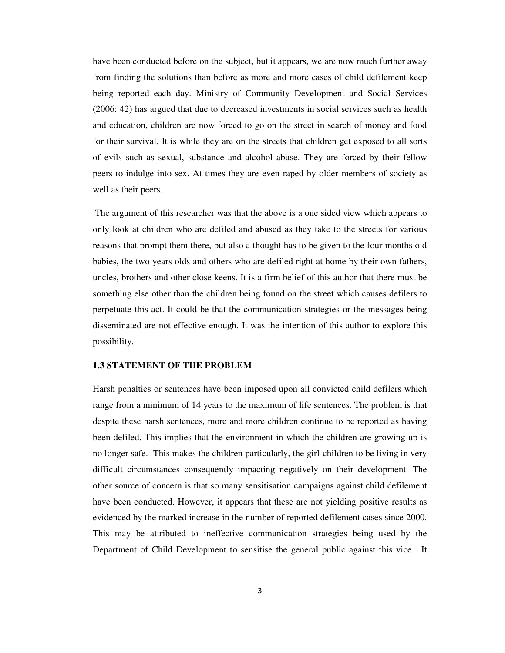have been conducted before on the subject, but it appears, we are now much further away from finding the solutions than before as more and more cases of child defilement keep being reported each day. Ministry of Community Development and Social Services (2006: 42) has argued that due to decreased investments in social services such as health and education, children are now forced to go on the street in search of money and food for their survival. It is while they are on the streets that children get exposed to all sorts of evils such as sexual, substance and alcohol abuse. They are forced by their fellow peers to indulge into sex. At times they are even raped by older members of society as well as their peers.

 The argument of this researcher was that the above is a one sided view which appears to only look at children who are defiled and abused as they take to the streets for various reasons that prompt them there, but also a thought has to be given to the four months old babies, the two years olds and others who are defiled right at home by their own fathers, uncles, brothers and other close keens. It is a firm belief of this author that there must be something else other than the children being found on the street which causes defilers to perpetuate this act. It could be that the communication strategies or the messages being disseminated are not effective enough. It was the intention of this author to explore this possibility.

## **1.3 STATEMENT OF THE PROBLEM**

Harsh penalties or sentences have been imposed upon all convicted child defilers which range from a minimum of 14 years to the maximum of life sentences. The problem is that despite these harsh sentences, more and more children continue to be reported as having been defiled. This implies that the environment in which the children are growing up is no longer safe. This makes the children particularly, the girl-children to be living in very difficult circumstances consequently impacting negatively on their development. The other source of concern is that so many sensitisation campaigns against child defilement have been conducted. However, it appears that these are not yielding positive results as evidenced by the marked increase in the number of reported defilement cases since 2000. This may be attributed to ineffective communication strategies being used by the Department of Child Development to sensitise the general public against this vice. It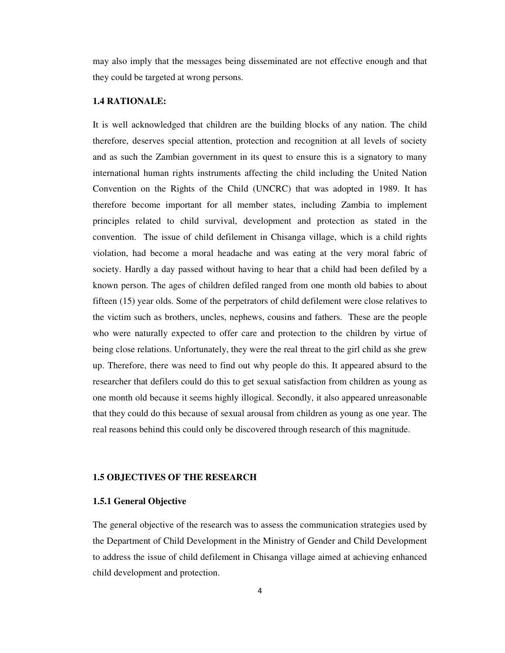may also imply that the messages being disseminated are not effective enough and that they could be targeted at wrong persons.

# **1.4 RATIONALE:**

It is well acknowledged that children are the building blocks of any nation. The child therefore, deserves special attention, protection and recognition at all levels of society and as such the Zambian government in its quest to ensure this is a signatory to many international human rights instruments affecting the child including the United Nation Convention on the Rights of the Child (UNCRC) that was adopted in 1989. It has therefore become important for all member states, including Zambia to implement principles related to child survival, development and protection as stated in the convention. The issue of child defilement in Chisanga village, which is a child rights violation, had become a moral headache and was eating at the very moral fabric of society. Hardly a day passed without having to hear that a child had been defiled by a known person. The ages of children defiled ranged from one month old babies to about fifteen (15) year olds. Some of the perpetrators of child defilement were close relatives to the victim such as brothers, uncles, nephews, cousins and fathers. These are the people who were naturally expected to offer care and protection to the children by virtue of being close relations. Unfortunately, they were the real threat to the girl child as she grew up. Therefore, there was need to find out why people do this. It appeared absurd to the researcher that defilers could do this to get sexual satisfaction from children as young as one month old because it seems highly illogical. Secondly, it also appeared unreasonable that they could do this because of sexual arousal from children as young as one year. The real reasons behind this could only be discovered through research of this magnitude.

## **1.5 OBJECTIVES OF THE RESEARCH**

# **1.5.1 General Objective**

The general objective of the research was to assess the communication strategies used by the Department of Child Development in the Ministry of Gender and Child Development to address the issue of child defilement in Chisanga village aimed at achieving enhanced child development and protection.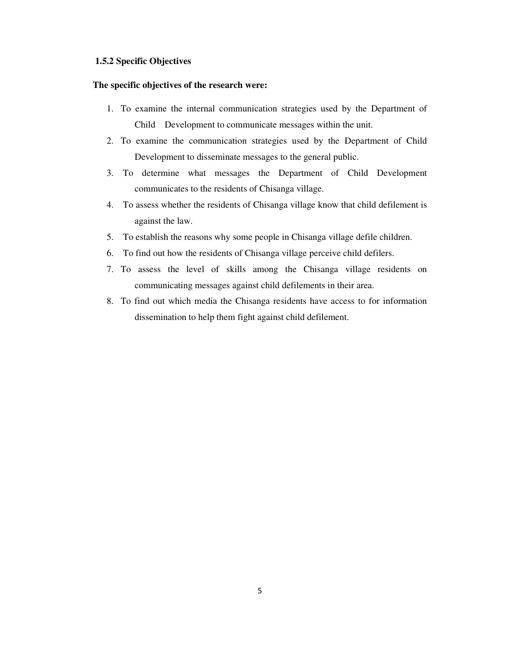# **1.5.2 Specific Objectives**

# **The specific objectives of the research were:**

- 1. To examine the internal communication strategies used by the Department of Child Development to communicate messages within the unit.
- 2. To examine the communication strategies used by the Department of Child Development to disseminate messages to the general public.
- 3. To determine what messages the Department of Child Development communicates to the residents of Chisanga village.
- 4. To assess whether the residents of Chisanga village know that child defilement is against the law.
- 5. To establish the reasons why some people in Chisanga village defile children.
- 6. To find out how the residents of Chisanga village perceive child defilers.
- 7. To assess the level of skills among the Chisanga village residents on communicating messages against child defilements in their area.
- 8. To find out which media the Chisanga residents have access to for information dissemination to help them fight against child defilement.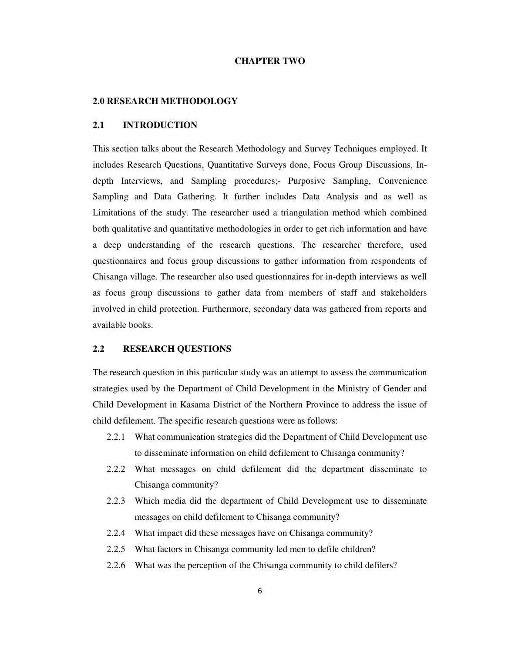# **CHAPTER TWO**

# **2.0 RESEARCH METHODOLOGY**

# **2.1 INTRODUCTION**

This section talks about the Research Methodology and Survey Techniques employed. It includes Research Questions, Quantitative Surveys done, Focus Group Discussions, Indepth Interviews, and Sampling procedures;- Purposive Sampling, Convenience Sampling and Data Gathering. It further includes Data Analysis and as well as Limitations of the study. The researcher used a triangulation method which combined both qualitative and quantitative methodologies in order to get rich information and have a deep understanding of the research questions. The researcher therefore, used questionnaires and focus group discussions to gather information from respondents of Chisanga village. The researcher also used questionnaires for in-depth interviews as well as focus group discussions to gather data from members of staff and stakeholders involved in child protection. Furthermore, secondary data was gathered from reports and available books.

# **2.2 RESEARCH QUESTIONS**

The research question in this particular study was an attempt to assess the communication strategies used by the Department of Child Development in the Ministry of Gender and Child Development in Kasama District of the Northern Province to address the issue of child defilement. The specific research questions were as follows:

- 2.2.1 What communication strategies did the Department of Child Development use to disseminate information on child defilement to Chisanga community?
- 2.2.2 What messages on child defilement did the department disseminate to Chisanga community?
- 2.2.3 Which media did the department of Child Development use to disseminate messages on child defilement to Chisanga community?
- 2.2.4 What impact did these messages have on Chisanga community?
- 2.2.5 What factors in Chisanga community led men to defile children?
- 2.2.6 What was the perception of the Chisanga community to child defilers?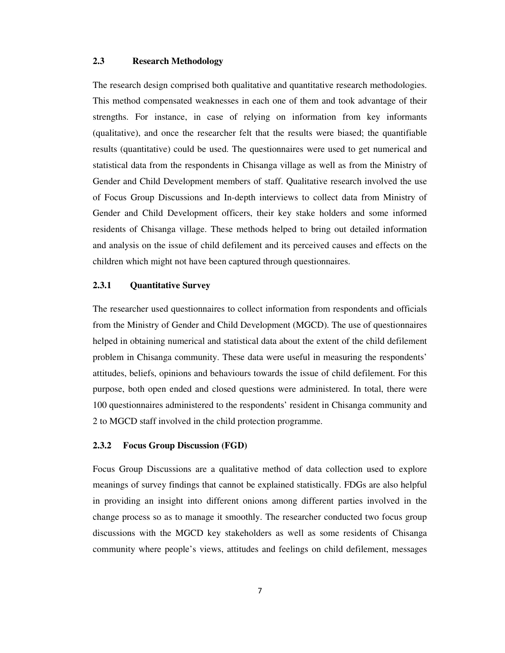# **2.3 Research Methodology**

The research design comprised both qualitative and quantitative research methodologies. This method compensated weaknesses in each one of them and took advantage of their strengths. For instance, in case of relying on information from key informants (qualitative), and once the researcher felt that the results were biased; the quantifiable results (quantitative) could be used. The questionnaires were used to get numerical and statistical data from the respondents in Chisanga village as well as from the Ministry of Gender and Child Development members of staff. Qualitative research involved the use of Focus Group Discussions and In-depth interviews to collect data from Ministry of Gender and Child Development officers, their key stake holders and some informed residents of Chisanga village. These methods helped to bring out detailed information and analysis on the issue of child defilement and its perceived causes and effects on the children which might not have been captured through questionnaires.

# **2.3.1 Quantitative Survey**

The researcher used questionnaires to collect information from respondents and officials from the Ministry of Gender and Child Development (MGCD). The use of questionnaires helped in obtaining numerical and statistical data about the extent of the child defilement problem in Chisanga community. These data were useful in measuring the respondents' attitudes, beliefs, opinions and behaviours towards the issue of child defilement. For this purpose, both open ended and closed questions were administered. In total, there were 100 questionnaires administered to the respondents' resident in Chisanga community and 2 to MGCD staff involved in the child protection programme.

## **2.3.2 Focus Group Discussion (FGD)**

Focus Group Discussions are a qualitative method of data collection used to explore meanings of survey findings that cannot be explained statistically. FDGs are also helpful in providing an insight into different onions among different parties involved in the change process so as to manage it smoothly. The researcher conducted two focus group discussions with the MGCD key stakeholders as well as some residents of Chisanga community where people's views, attitudes and feelings on child defilement, messages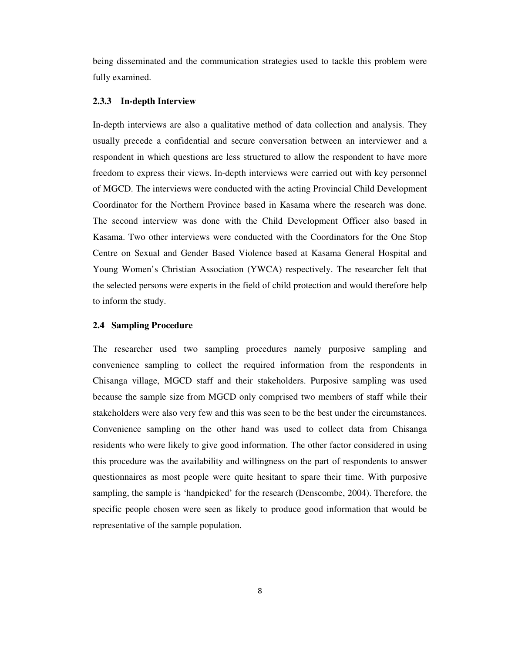being disseminated and the communication strategies used to tackle this problem were fully examined.

# **2.3.3 In-depth Interview**

In-depth interviews are also a qualitative method of data collection and analysis. They usually precede a confidential and secure conversation between an interviewer and a respondent in which questions are less structured to allow the respondent to have more freedom to express their views. In-depth interviews were carried out with key personnel of MGCD. The interviews were conducted with the acting Provincial Child Development Coordinator for the Northern Province based in Kasama where the research was done. The second interview was done with the Child Development Officer also based in Kasama. Two other interviews were conducted with the Coordinators for the One Stop Centre on Sexual and Gender Based Violence based at Kasama General Hospital and Young Women's Christian Association (YWCA) respectively. The researcher felt that the selected persons were experts in the field of child protection and would therefore help to inform the study.

## **2.4 Sampling Procedure**

The researcher used two sampling procedures namely purposive sampling and convenience sampling to collect the required information from the respondents in Chisanga village, MGCD staff and their stakeholders. Purposive sampling was used because the sample size from MGCD only comprised two members of staff while their stakeholders were also very few and this was seen to be the best under the circumstances. Convenience sampling on the other hand was used to collect data from Chisanga residents who were likely to give good information. The other factor considered in using this procedure was the availability and willingness on the part of respondents to answer questionnaires as most people were quite hesitant to spare their time. With purposive sampling, the sample is 'handpicked' for the research (Denscombe, 2004). Therefore, the specific people chosen were seen as likely to produce good information that would be representative of the sample population.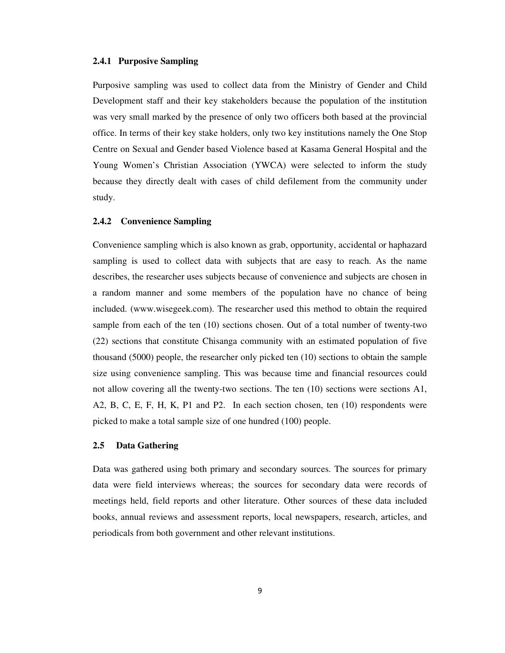# **2.4.1 Purposive Sampling**

Purposive sampling was used to collect data from the Ministry of Gender and Child Development staff and their key stakeholders because the population of the institution was very small marked by the presence of only two officers both based at the provincial office. In terms of their key stake holders, only two key institutions namely the One Stop Centre on Sexual and Gender based Violence based at Kasama General Hospital and the Young Women's Christian Association (YWCA) were selected to inform the study because they directly dealt with cases of child defilement from the community under study.

# **2.4.2 Convenience Sampling**

Convenience sampling which is also known as grab, opportunity, accidental or haphazard sampling is used to collect data with subjects that are easy to reach. As the name describes, the researcher uses subjects because of convenience and subjects are chosen in a random manner and some members of the population have no chance of being included. (www.wisegeek.com). The researcher used this method to obtain the required sample from each of the ten (10) sections chosen. Out of a total number of twenty-two (22) sections that constitute Chisanga community with an estimated population of five thousand (5000) people, the researcher only picked ten (10) sections to obtain the sample size using convenience sampling. This was because time and financial resources could not allow covering all the twenty-two sections. The ten (10) sections were sections A1, A2, B, C, E, F, H, K, P1 and P2. In each section chosen, ten (10) respondents were picked to make a total sample size of one hundred (100) people.

# **2.5 Data Gathering**

Data was gathered using both primary and secondary sources. The sources for primary data were field interviews whereas; the sources for secondary data were records of meetings held, field reports and other literature. Other sources of these data included books, annual reviews and assessment reports, local newspapers, research, articles, and periodicals from both government and other relevant institutions.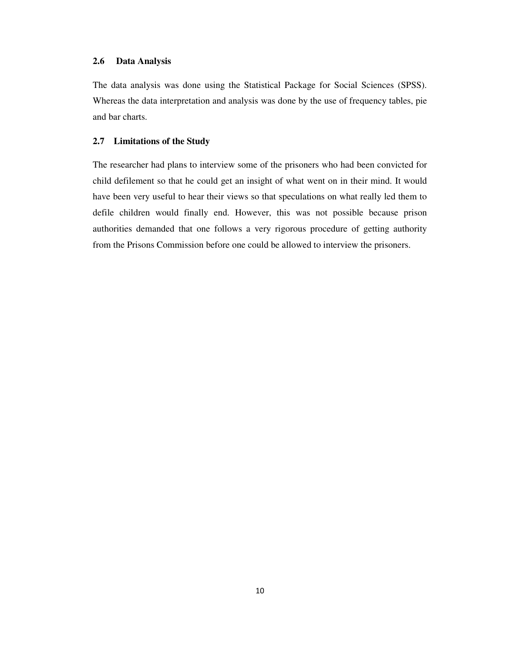The data analysis was done using the Statistical Package for Social Sciences (SPSS). Whereas the data interpretation and analysis was done by the use of frequency tables, pie and bar charts.

# **2.7 Limitations of the Study**

The researcher had plans to interview some of the prisoners who had been convicted for child defilement so that he could get an insight of what went on in their mind. It would have been very useful to hear their views so that speculations on what really led them to defile children would finally end. However, this was not possible because prison authorities demanded that one follows a very rigorous procedure of getting authority from the Prisons Commission before one could be allowed to interview the prisoners.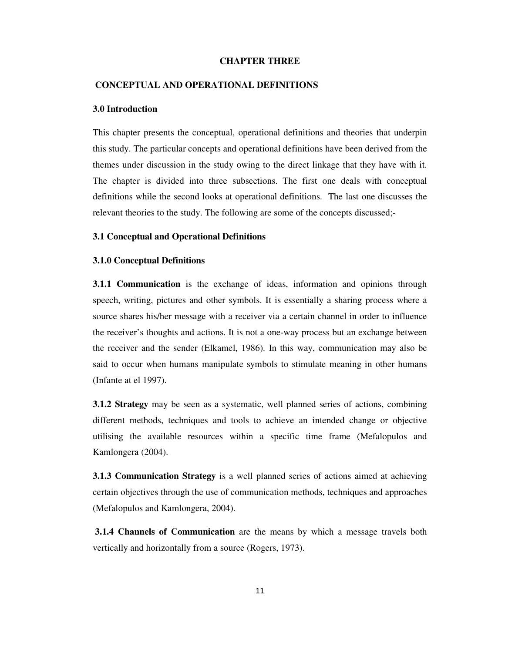# **CHAPTER THREE**

#### **CONCEPTUAL AND OPERATIONAL DEFINITIONS**

# **3.0 Introduction**

This chapter presents the conceptual, operational definitions and theories that underpin this study. The particular concepts and operational definitions have been derived from the themes under discussion in the study owing to the direct linkage that they have with it. The chapter is divided into three subsections. The first one deals with conceptual definitions while the second looks at operational definitions. The last one discusses the relevant theories to the study. The following are some of the concepts discussed;-

## **3.1 Conceptual and Operational Definitions**

## **3.1.0 Conceptual Definitions**

**3.1.1 Communication** is the exchange of ideas, information and opinions through speech, writing, pictures and other symbols. It is essentially a sharing process where a source shares his/her message with a receiver via a certain channel in order to influence the receiver's thoughts and actions. It is not a one-way process but an exchange between the receiver and the sender (Elkamel, 1986). In this way, communication may also be said to occur when humans manipulate symbols to stimulate meaning in other humans (Infante at el 1997).

**3.1.2 Strategy** may be seen as a systematic, well planned series of actions, combining different methods, techniques and tools to achieve an intended change or objective utilising the available resources within a specific time frame (Mefalopulos and Kamlongera (2004).

**3.1.3 Communication Strategy** is a well planned series of actions aimed at achieving certain objectives through the use of communication methods, techniques and approaches (Mefalopulos and Kamlongera, 2004).

 **3.1.4 Channels of Communication** are the means by which a message travels both vertically and horizontally from a source (Rogers, 1973).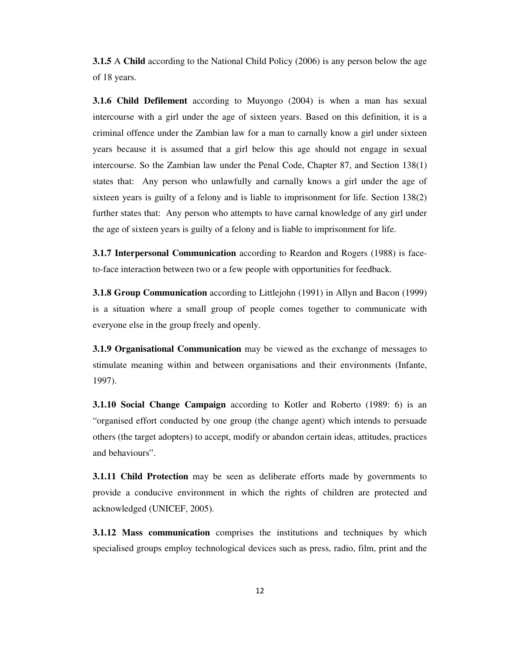**3.1.5** A **Child** according to the National Child Policy (2006) is any person below the age of 18 years.

**3.1.6 Child Defilement** according to Muyongo (2004) is when a man has sexual intercourse with a girl under the age of sixteen years. Based on this definition, it is a criminal offence under the Zambian law for a man to carnally know a girl under sixteen years because it is assumed that a girl below this age should not engage in sexual intercourse. So the Zambian law under the Penal Code, Chapter 87, and Section 138(1) states that: Any person who unlawfully and carnally knows a girl under the age of sixteen years is guilty of a felony and is liable to imprisonment for life. Section 138(2) further states that: Any person who attempts to have carnal knowledge of any girl under the age of sixteen years is guilty of a felony and is liable to imprisonment for life.

**3.1.7 Interpersonal Communication** according to Reardon and Rogers (1988) is faceto-face interaction between two or a few people with opportunities for feedback.

**3.1.8 Group Communication** according to Littlejohn (1991) in Allyn and Bacon (1999) is a situation where a small group of people comes together to communicate with everyone else in the group freely and openly.

**3.1.9 Organisational Communication** may be viewed as the exchange of messages to stimulate meaning within and between organisations and their environments (Infante, 1997).

**3.1.10 Social Change Campaign** according to Kotler and Roberto (1989: 6) is an "organised effort conducted by one group (the change agent) which intends to persuade others (the target adopters) to accept, modify or abandon certain ideas, attitudes, practices and behaviours".

**3.1.11 Child Protection** may be seen as deliberate efforts made by governments to provide a conducive environment in which the rights of children are protected and acknowledged (UNICEF, 2005).

**3.1.12 Mass communication** comprises the institutions and techniques by which specialised groups employ technological devices such as press, radio, film, print and the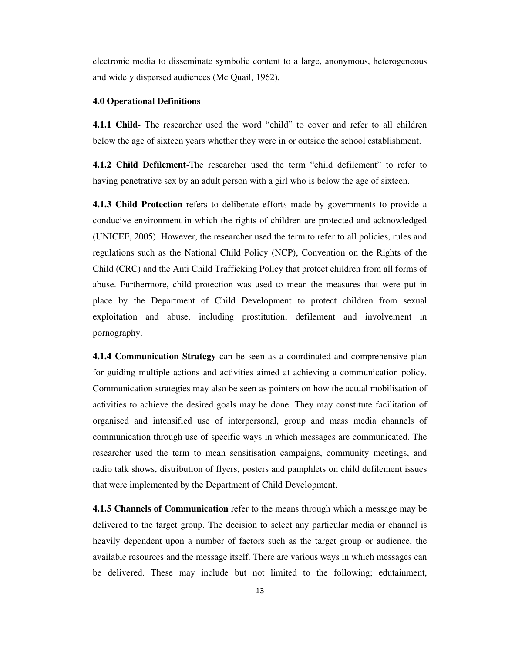electronic media to disseminate symbolic content to a large, anonymous, heterogeneous and widely dispersed audiences (Mc Quail, 1962).

# **4.0 Operational Definitions**

**4.1.1 Child-** The researcher used the word "child" to cover and refer to all children below the age of sixteen years whether they were in or outside the school establishment.

**4.1.2 Child Defilement-**The researcher used the term "child defilement" to refer to having penetrative sex by an adult person with a girl who is below the age of sixteen.

**4.1.3 Child Protection** refers to deliberate efforts made by governments to provide a conducive environment in which the rights of children are protected and acknowledged (UNICEF, 2005). However, the researcher used the term to refer to all policies, rules and regulations such as the National Child Policy (NCP), Convention on the Rights of the Child (CRC) and the Anti Child Trafficking Policy that protect children from all forms of abuse. Furthermore, child protection was used to mean the measures that were put in place by the Department of Child Development to protect children from sexual exploitation and abuse, including prostitution, defilement and involvement in pornography.

**4.1.4 Communication Strategy** can be seen as a coordinated and comprehensive plan for guiding multiple actions and activities aimed at achieving a communication policy. Communication strategies may also be seen as pointers on how the actual mobilisation of activities to achieve the desired goals may be done. They may constitute facilitation of organised and intensified use of interpersonal, group and mass media channels of communication through use of specific ways in which messages are communicated. The researcher used the term to mean sensitisation campaigns, community meetings, and radio talk shows, distribution of flyers, posters and pamphlets on child defilement issues that were implemented by the Department of Child Development.

**4.1.5 Channels of Communication** refer to the means through which a message may be delivered to the target group. The decision to select any particular media or channel is heavily dependent upon a number of factors such as the target group or audience, the available resources and the message itself. There are various ways in which messages can be delivered. These may include but not limited to the following; edutainment,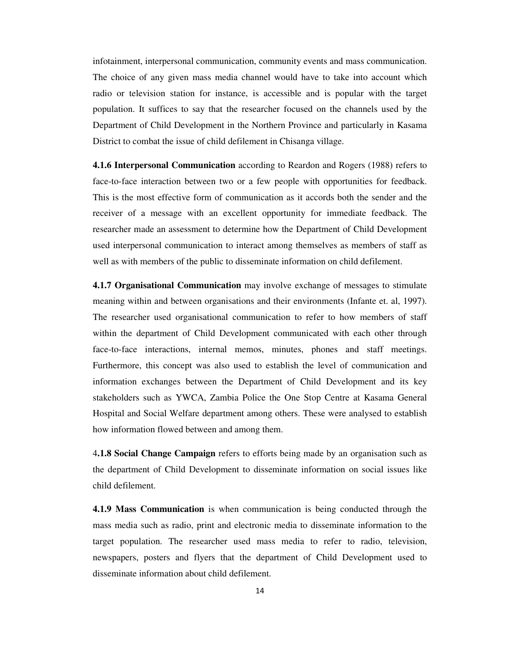infotainment, interpersonal communication, community events and mass communication. The choice of any given mass media channel would have to take into account which radio or television station for instance, is accessible and is popular with the target population. It suffices to say that the researcher focused on the channels used by the Department of Child Development in the Northern Province and particularly in Kasama District to combat the issue of child defilement in Chisanga village.

**4.1.6 Interpersonal Communication** according to Reardon and Rogers (1988) refers to face-to-face interaction between two or a few people with opportunities for feedback. This is the most effective form of communication as it accords both the sender and the receiver of a message with an excellent opportunity for immediate feedback. The researcher made an assessment to determine how the Department of Child Development used interpersonal communication to interact among themselves as members of staff as well as with members of the public to disseminate information on child defilement.

**4.1.7 Organisational Communication** may involve exchange of messages to stimulate meaning within and between organisations and their environments (Infante et. al, 1997). The researcher used organisational communication to refer to how members of staff within the department of Child Development communicated with each other through face-to-face interactions, internal memos, minutes, phones and staff meetings. Furthermore, this concept was also used to establish the level of communication and information exchanges between the Department of Child Development and its key stakeholders such as YWCA, Zambia Police the One Stop Centre at Kasama General Hospital and Social Welfare department among others. These were analysed to establish how information flowed between and among them.

4**.1.8 Social Change Campaign** refers to efforts being made by an organisation such as the department of Child Development to disseminate information on social issues like child defilement.

**4.1.9 Mass Communication** is when communication is being conducted through the mass media such as radio, print and electronic media to disseminate information to the target population. The researcher used mass media to refer to radio, television, newspapers, posters and flyers that the department of Child Development used to disseminate information about child defilement.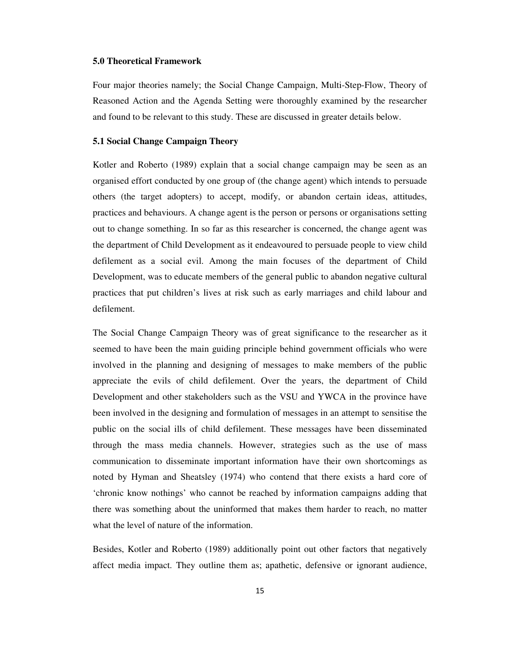# **5.0 Theoretical Framework**

Four major theories namely; the Social Change Campaign, Multi-Step-Flow, Theory of Reasoned Action and the Agenda Setting were thoroughly examined by the researcher and found to be relevant to this study. These are discussed in greater details below.

# **5.1 Social Change Campaign Theory**

Kotler and Roberto (1989) explain that a social change campaign may be seen as an organised effort conducted by one group of (the change agent) which intends to persuade others (the target adopters) to accept, modify, or abandon certain ideas, attitudes, practices and behaviours. A change agent is the person or persons or organisations setting out to change something. In so far as this researcher is concerned, the change agent was the department of Child Development as it endeavoured to persuade people to view child defilement as a social evil. Among the main focuses of the department of Child Development, was to educate members of the general public to abandon negative cultural practices that put children's lives at risk such as early marriages and child labour and defilement.

The Social Change Campaign Theory was of great significance to the researcher as it seemed to have been the main guiding principle behind government officials who were involved in the planning and designing of messages to make members of the public appreciate the evils of child defilement. Over the years, the department of Child Development and other stakeholders such as the VSU and YWCA in the province have been involved in the designing and formulation of messages in an attempt to sensitise the public on the social ills of child defilement. These messages have been disseminated through the mass media channels. However, strategies such as the use of mass communication to disseminate important information have their own shortcomings as noted by Hyman and Sheatsley (1974) who contend that there exists a hard core of 'chronic know nothings' who cannot be reached by information campaigns adding that there was something about the uninformed that makes them harder to reach, no matter what the level of nature of the information.

Besides, Kotler and Roberto (1989) additionally point out other factors that negatively affect media impact. They outline them as; apathetic, defensive or ignorant audience,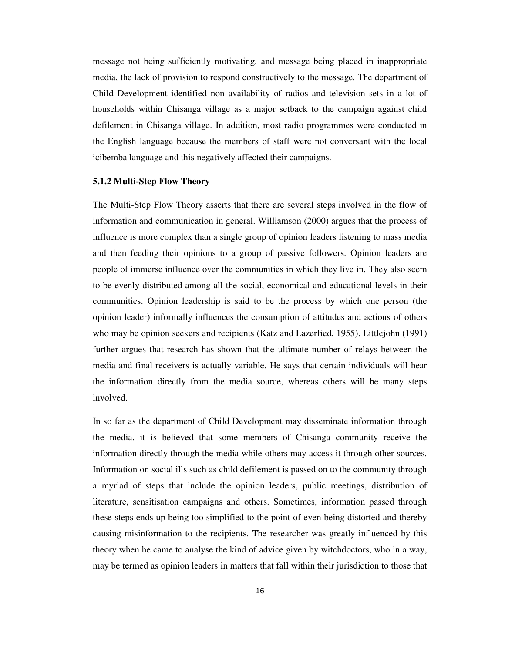message not being sufficiently motivating, and message being placed in inappropriate media, the lack of provision to respond constructively to the message. The department of Child Development identified non availability of radios and television sets in a lot of households within Chisanga village as a major setback to the campaign against child defilement in Chisanga village. In addition, most radio programmes were conducted in the English language because the members of staff were not conversant with the local icibemba language and this negatively affected their campaigns.

# **5.1.2 Multi-Step Flow Theory**

The Multi-Step Flow Theory asserts that there are several steps involved in the flow of information and communication in general. Williamson (2000) argues that the process of influence is more complex than a single group of opinion leaders listening to mass media and then feeding their opinions to a group of passive followers. Opinion leaders are people of immerse influence over the communities in which they live in. They also seem to be evenly distributed among all the social, economical and educational levels in their communities. Opinion leadership is said to be the process by which one person (the opinion leader) informally influences the consumption of attitudes and actions of others who may be opinion seekers and recipients (Katz and Lazerfied, 1955). Littlejohn (1991) further argues that research has shown that the ultimate number of relays between the media and final receivers is actually variable. He says that certain individuals will hear the information directly from the media source, whereas others will be many steps involved.

In so far as the department of Child Development may disseminate information through the media, it is believed that some members of Chisanga community receive the information directly through the media while others may access it through other sources. Information on social ills such as child defilement is passed on to the community through a myriad of steps that include the opinion leaders, public meetings, distribution of literature, sensitisation campaigns and others. Sometimes, information passed through these steps ends up being too simplified to the point of even being distorted and thereby causing misinformation to the recipients. The researcher was greatly influenced by this theory when he came to analyse the kind of advice given by witchdoctors, who in a way, may be termed as opinion leaders in matters that fall within their jurisdiction to those that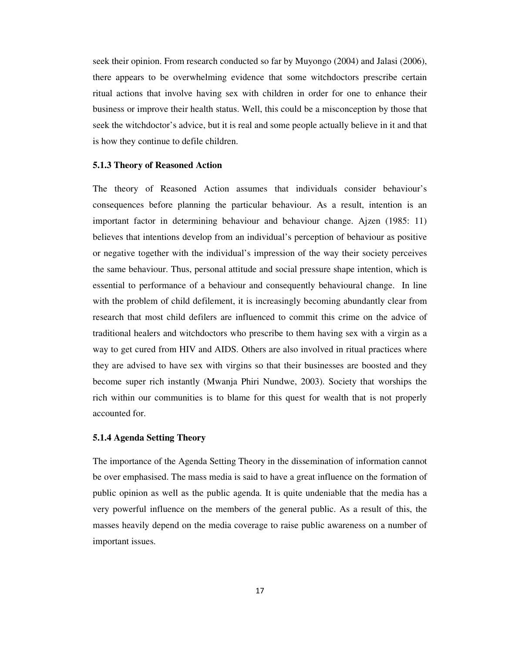seek their opinion. From research conducted so far by Muyongo (2004) and Jalasi (2006), there appears to be overwhelming evidence that some witchdoctors prescribe certain ritual actions that involve having sex with children in order for one to enhance their business or improve their health status. Well, this could be a misconception by those that seek the witchdoctor's advice, but it is real and some people actually believe in it and that is how they continue to defile children.

#### **5.1.3 Theory of Reasoned Action**

The theory of Reasoned Action assumes that individuals consider behaviour's consequences before planning the particular behaviour. As a result, intention is an important factor in determining behaviour and behaviour change. Ajzen (1985: 11) believes that intentions develop from an individual's perception of behaviour as positive or negative together with the individual's impression of the way their society perceives the same behaviour. Thus, personal attitude and social pressure shape intention, which is essential to performance of a behaviour and consequently behavioural change. In line with the problem of child defilement, it is increasingly becoming abundantly clear from research that most child defilers are influenced to commit this crime on the advice of traditional healers and witchdoctors who prescribe to them having sex with a virgin as a way to get cured from HIV and AIDS. Others are also involved in ritual practices where they are advised to have sex with virgins so that their businesses are boosted and they become super rich instantly (Mwanja Phiri Nundwe, 2003). Society that worships the rich within our communities is to blame for this quest for wealth that is not properly accounted for.

#### **5.1.4 Agenda Setting Theory**

The importance of the Agenda Setting Theory in the dissemination of information cannot be over emphasised. The mass media is said to have a great influence on the formation of public opinion as well as the public agenda. It is quite undeniable that the media has a very powerful influence on the members of the general public. As a result of this, the masses heavily depend on the media coverage to raise public awareness on a number of important issues.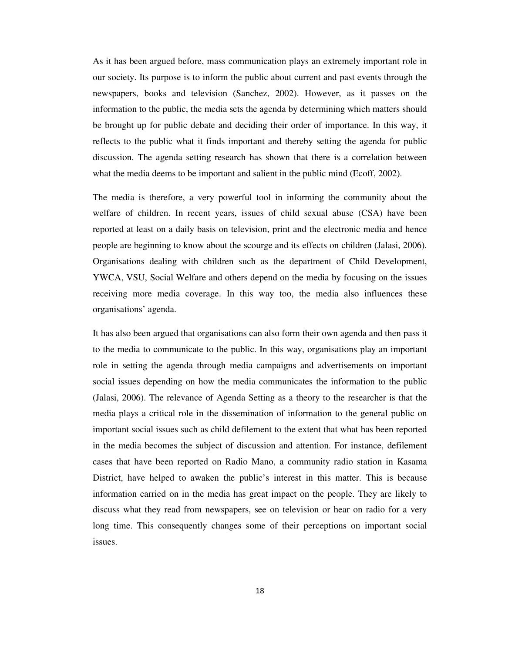As it has been argued before, mass communication plays an extremely important role in our society. Its purpose is to inform the public about current and past events through the newspapers, books and television (Sanchez, 2002). However, as it passes on the information to the public, the media sets the agenda by determining which matters should be brought up for public debate and deciding their order of importance. In this way, it reflects to the public what it finds important and thereby setting the agenda for public discussion. The agenda setting research has shown that there is a correlation between what the media deems to be important and salient in the public mind (Ecoff, 2002).

The media is therefore, a very powerful tool in informing the community about the welfare of children. In recent years, issues of child sexual abuse (CSA) have been reported at least on a daily basis on television, print and the electronic media and hence people are beginning to know about the scourge and its effects on children (Jalasi, 2006). Organisations dealing with children such as the department of Child Development, YWCA, VSU, Social Welfare and others depend on the media by focusing on the issues receiving more media coverage. In this way too, the media also influences these organisations' agenda.

It has also been argued that organisations can also form their own agenda and then pass it to the media to communicate to the public. In this way, organisations play an important role in setting the agenda through media campaigns and advertisements on important social issues depending on how the media communicates the information to the public (Jalasi, 2006). The relevance of Agenda Setting as a theory to the researcher is that the media plays a critical role in the dissemination of information to the general public on important social issues such as child defilement to the extent that what has been reported in the media becomes the subject of discussion and attention. For instance, defilement cases that have been reported on Radio Mano, a community radio station in Kasama District, have helped to awaken the public's interest in this matter. This is because information carried on in the media has great impact on the people. They are likely to discuss what they read from newspapers, see on television or hear on radio for a very long time. This consequently changes some of their perceptions on important social issues.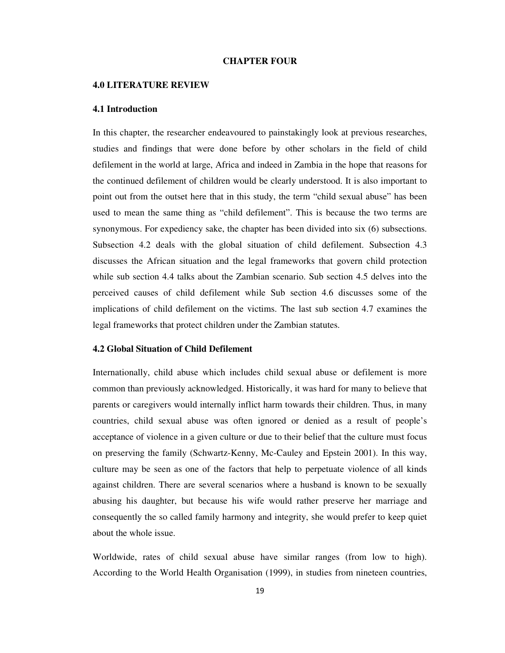# **CHAPTER FOUR**

#### **4.0 LITERATURE REVIEW**

#### **4.1 Introduction**

In this chapter, the researcher endeavoured to painstakingly look at previous researches, studies and findings that were done before by other scholars in the field of child defilement in the world at large, Africa and indeed in Zambia in the hope that reasons for the continued defilement of children would be clearly understood. It is also important to point out from the outset here that in this study, the term "child sexual abuse" has been used to mean the same thing as "child defilement". This is because the two terms are synonymous. For expediency sake, the chapter has been divided into six (6) subsections. Subsection 4.2 deals with the global situation of child defilement. Subsection 4.3 discusses the African situation and the legal frameworks that govern child protection while sub section 4.4 talks about the Zambian scenario. Sub section 4.5 delves into the perceived causes of child defilement while Sub section 4.6 discusses some of the implications of child defilement on the victims. The last sub section 4.7 examines the legal frameworks that protect children under the Zambian statutes.

# **4.2 Global Situation of Child Defilement**

Internationally, child abuse which includes child sexual abuse or defilement is more common than previously acknowledged. Historically, it was hard for many to believe that parents or caregivers would internally inflict harm towards their children. Thus, in many countries, child sexual abuse was often ignored or denied as a result of people's acceptance of violence in a given culture or due to their belief that the culture must focus on preserving the family (Schwartz-Kenny, Mc-Cauley and Epstein 2001). In this way, culture may be seen as one of the factors that help to perpetuate violence of all kinds against children. There are several scenarios where a husband is known to be sexually abusing his daughter, but because his wife would rather preserve her marriage and consequently the so called family harmony and integrity, she would prefer to keep quiet about the whole issue.

Worldwide, rates of child sexual abuse have similar ranges (from low to high). According to the World Health Organisation (1999), in studies from nineteen countries,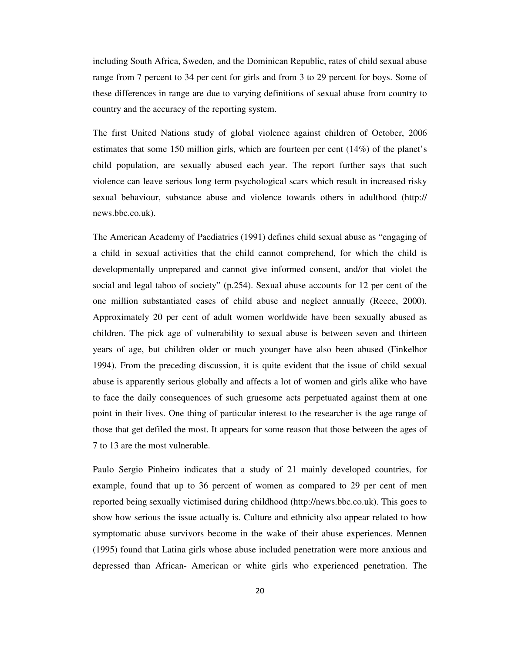including South Africa, Sweden, and the Dominican Republic, rates of child sexual abuse range from 7 percent to 34 per cent for girls and from 3 to 29 percent for boys. Some of these differences in range are due to varying definitions of sexual abuse from country to country and the accuracy of the reporting system.

The first United Nations study of global violence against children of October, 2006 estimates that some 150 million girls, which are fourteen per cent (14%) of the planet's child population, are sexually abused each year. The report further says that such violence can leave serious long term psychological scars which result in increased risky sexual behaviour, substance abuse and violence towards others in adulthood (http:// news.bbc.co.uk).

The American Academy of Paediatrics (1991) defines child sexual abuse as "engaging of a child in sexual activities that the child cannot comprehend, for which the child is developmentally unprepared and cannot give informed consent, and/or that violet the social and legal taboo of society" (p.254). Sexual abuse accounts for 12 per cent of the one million substantiated cases of child abuse and neglect annually (Reece, 2000). Approximately 20 per cent of adult women worldwide have been sexually abused as children. The pick age of vulnerability to sexual abuse is between seven and thirteen years of age, but children older or much younger have also been abused (Finkelhor 1994). From the preceding discussion, it is quite evident that the issue of child sexual abuse is apparently serious globally and affects a lot of women and girls alike who have to face the daily consequences of such gruesome acts perpetuated against them at one point in their lives. One thing of particular interest to the researcher is the age range of those that get defiled the most. It appears for some reason that those between the ages of 7 to 13 are the most vulnerable.

Paulo Sergio Pinheiro indicates that a study of 21 mainly developed countries, for example, found that up to 36 percent of women as compared to 29 per cent of men reported being sexually victimised during childhood (http://news.bbc.co.uk). This goes to show how serious the issue actually is. Culture and ethnicity also appear related to how symptomatic abuse survivors become in the wake of their abuse experiences. Mennen (1995) found that Latina girls whose abuse included penetration were more anxious and depressed than African- American or white girls who experienced penetration. The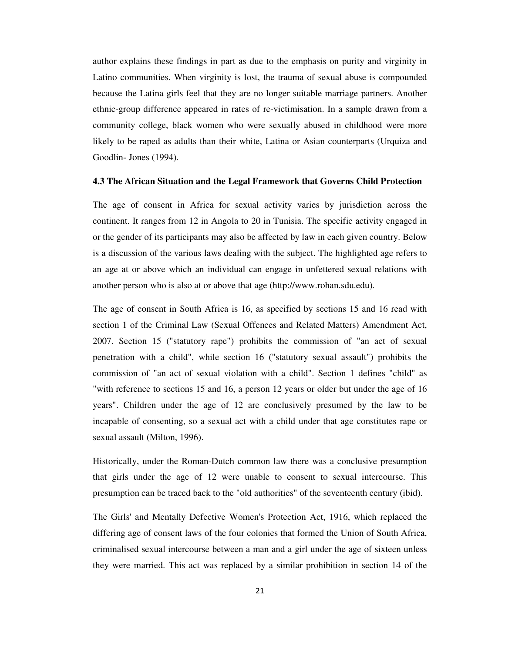author explains these findings in part as due to the emphasis on purity and virginity in Latino communities. When virginity is lost, the trauma of sexual abuse is compounded because the Latina girls feel that they are no longer suitable marriage partners. Another ethnic-group difference appeared in rates of re-victimisation. In a sample drawn from a community college, black women who were sexually abused in childhood were more likely to be raped as adults than their white, Latina or Asian counterparts (Urquiza and Goodlin- Jones (1994).

# **4.3 The African Situation and the Legal Framework that Governs Child Protection**

The age of consent in Africa for sexual activity varies by jurisdiction across the continent. It ranges from 12 in Angola to 20 in Tunisia. The specific activity engaged in or the gender of its participants may also be affected by law in each given country. Below is a discussion of the various laws dealing with the subject. The highlighted age refers to an age at or above which an individual can engage in unfettered sexual relations with another person who is also at or above that age (http://www.rohan.sdu.edu).

The age of consent in South Africa is 16, as specified by sections 15 and 16 read with section 1 of the Criminal Law (Sexual Offences and Related Matters) Amendment Act, 2007. Section 15 ("statutory rape") prohibits the commission of "an act of sexual penetration with a child", while section 16 ("statutory sexual assault") prohibits the commission of "an act of sexual violation with a child". Section 1 defines "child" as "with reference to sections 15 and 16, a person 12 years or older but under the age of 16 years". Children under the age of 12 are conclusively presumed by the law to be incapable of consenting, so a sexual act with a child under that age constitutes rape or sexual assault (Milton, 1996).

Historically, under the Roman-Dutch common law there was a conclusive presumption that girls under the age of 12 were unable to consent to sexual intercourse. This presumption can be traced back to the "old authorities" of the seventeenth century (ibid).

The Girls' and Mentally Defective Women's Protection Act, 1916, which replaced the differing age of consent laws of the four colonies that formed the Union of South Africa, criminalised sexual intercourse between a man and a girl under the age of sixteen unless they were married. This act was replaced by a similar prohibition in section 14 of the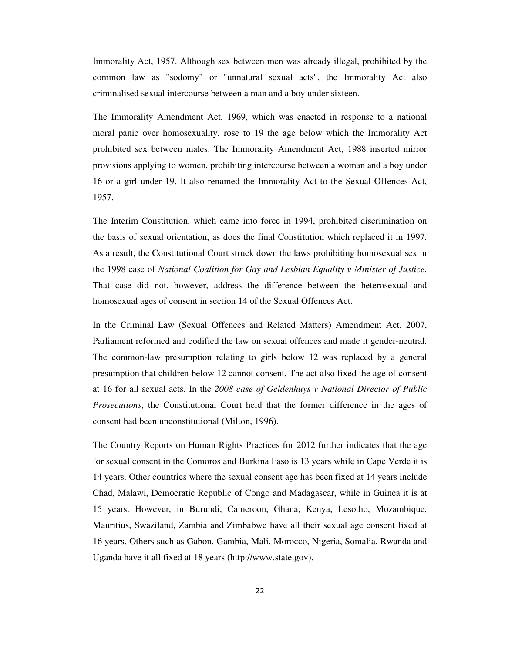Immorality Act, 1957. Although sex between men was already illegal, prohibited by the common law as "sodomy" or "unnatural sexual acts", the Immorality Act also criminalised sexual intercourse between a man and a boy under sixteen.

The Immorality Amendment Act, 1969, which was enacted in response to a national moral panic over homosexuality, rose to 19 the age below which the Immorality Act prohibited sex between males. The Immorality Amendment Act, 1988 inserted mirror provisions applying to women, prohibiting intercourse between a woman and a boy under 16 or a girl under 19. It also renamed the Immorality Act to the Sexual Offences Act, 1957.

The Interim Constitution, which came into force in 1994, prohibited discrimination on the basis of sexual orientation, as does the final Constitution which replaced it in 1997. As a result, the Constitutional Court struck down the laws prohibiting homosexual sex in the 1998 case of *National Coalition for Gay and Lesbian Equality v Minister of Justice*. That case did not, however, address the difference between the heterosexual and homosexual ages of consent in section 14 of the Sexual Offences Act.

In the Criminal Law (Sexual Offences and Related Matters) Amendment Act, 2007, Parliament reformed and codified the law on sexual offences and made it gender-neutral. The common-law presumption relating to girls below 12 was replaced by a general presumption that children below 12 cannot consent. The act also fixed the age of consent at 16 for all sexual acts. In the *2008 case of Geldenhuys v National Director of Public Prosecutions*, the Constitutional Court held that the former difference in the ages of consent had been unconstitutional (Milton, 1996).

The Country Reports on Human Rights Practices for 2012 further indicates that the age for sexual consent in the Comoros and Burkina Faso is 13 years while in Cape Verde it is 14 years. Other countries where the sexual consent age has been fixed at 14 years include Chad, Malawi, Democratic Republic of Congo and Madagascar, while in Guinea it is at 15 years. However, in Burundi, Cameroon, Ghana, Kenya, Lesotho, Mozambique, Mauritius, Swaziland, Zambia and Zimbabwe have all their sexual age consent fixed at 16 years. Others such as Gabon, Gambia, Mali, Morocco, Nigeria, Somalia, Rwanda and Uganda have it all fixed at 18 years (http://www.state.gov).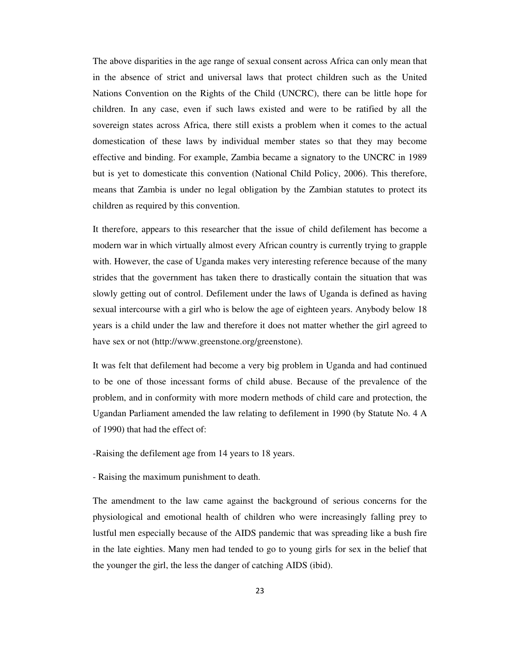The above disparities in the age range of sexual consent across Africa can only mean that in the absence of strict and universal laws that protect children such as the United Nations Convention on the Rights of the Child (UNCRC), there can be little hope for children. In any case, even if such laws existed and were to be ratified by all the sovereign states across Africa, there still exists a problem when it comes to the actual domestication of these laws by individual member states so that they may become effective and binding. For example, Zambia became a signatory to the UNCRC in 1989 but is yet to domesticate this convention (National Child Policy, 2006). This therefore, means that Zambia is under no legal obligation by the Zambian statutes to protect its children as required by this convention.

It therefore, appears to this researcher that the issue of child defilement has become a modern war in which virtually almost every African country is currently trying to grapple with. However, the case of Uganda makes very interesting reference because of the many strides that the government has taken there to drastically contain the situation that was slowly getting out of control. Defilement under the laws of Uganda is defined as having sexual intercourse with a girl who is below the age of eighteen years. Anybody below 18 years is a child under the law and therefore it does not matter whether the girl agreed to have sex or not (http://www.greenstone.org/greenstone).

It was felt that defilement had become a very big problem in Uganda and had continued to be one of those incessant forms of child abuse. Because of the prevalence of the problem, and in conformity with more modern methods of child care and protection, the Ugandan Parliament amended the law relating to defilement in 1990 (by Statute No. 4 A of 1990) that had the effect of:

-Raising the defilement age from 14 years to 18 years.

- Raising the maximum punishment to death.

The amendment to the law came against the background of serious concerns for the physiological and emotional health of children who were increasingly falling prey to lustful men especially because of the AIDS pandemic that was spreading like a bush fire in the late eighties. Many men had tended to go to young girls for sex in the belief that the younger the girl, the less the danger of catching AIDS (ibid).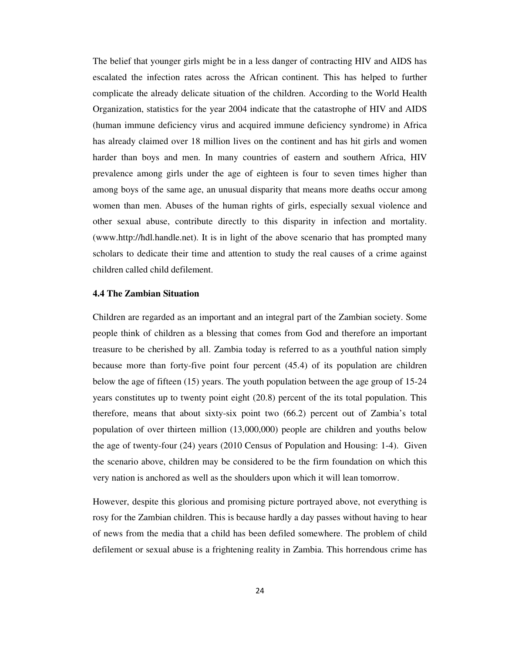The belief that younger girls might be in a less danger of contracting HIV and AIDS has escalated the infection rates across the African continent. This has helped to further complicate the already delicate situation of the children. According to the World Health Organization, statistics for the year 2004 indicate that the catastrophe of HIV and AIDS (human immune deficiency virus and acquired immune deficiency syndrome) in Africa has already claimed over 18 million lives on the continent and has hit girls and women harder than boys and men. In many countries of eastern and southern Africa, HIV prevalence among girls under the age of eighteen is four to seven times higher than among boys of the same age, an unusual disparity that means more deaths occur among women than men. Abuses of the human rights of girls, especially sexual violence and other sexual abuse, contribute directly to this disparity in infection and mortality. (www.http://hdl.handle.net). It is in light of the above scenario that has prompted many scholars to dedicate their time and attention to study the real causes of a crime against children called child defilement.

## **4.4 The Zambian Situation**

Children are regarded as an important and an integral part of the Zambian society. Some people think of children as a blessing that comes from God and therefore an important treasure to be cherished by all. Zambia today is referred to as a youthful nation simply because more than forty-five point four percent (45.4) of its population are children below the age of fifteen (15) years. The youth population between the age group of 15-24 years constitutes up to twenty point eight (20.8) percent of the its total population. This therefore, means that about sixty-six point two (66.2) percent out of Zambia's total population of over thirteen million (13,000,000) people are children and youths below the age of twenty-four (24) years (2010 Census of Population and Housing: 1-4). Given the scenario above, children may be considered to be the firm foundation on which this very nation is anchored as well as the shoulders upon which it will lean tomorrow.

However, despite this glorious and promising picture portrayed above, not everything is rosy for the Zambian children. This is because hardly a day passes without having to hear of news from the media that a child has been defiled somewhere. The problem of child defilement or sexual abuse is a frightening reality in Zambia. This horrendous crime has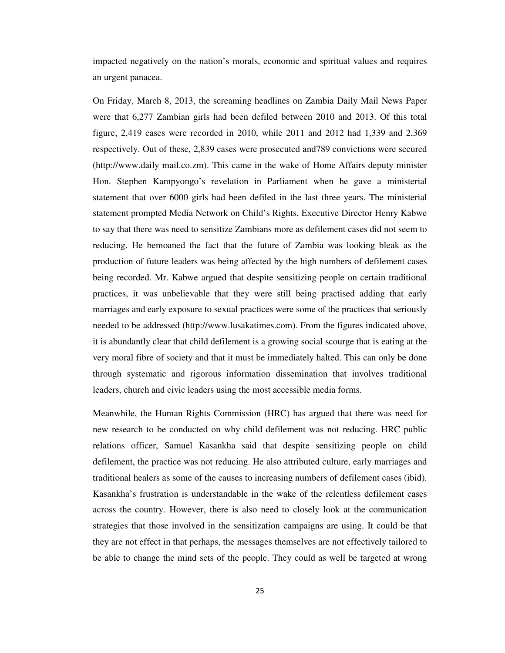impacted negatively on the nation's morals, economic and spiritual values and requires an urgent panacea.

On Friday, March 8, 2013, the screaming headlines on Zambia Daily Mail News Paper were that 6,277 Zambian girls had been defiled between 2010 and 2013. Of this total figure, 2,419 cases were recorded in 2010, while 2011 and 2012 had 1,339 and 2,369 respectively. Out of these, 2,839 cases were prosecuted and789 convictions were secured (http://www.daily mail.co.zm). This came in the wake of Home Affairs deputy minister Hon. Stephen Kampyongo's revelation in Parliament when he gave a ministerial statement that over 6000 girls had been defiled in the last three years. The ministerial statement prompted Media Network on Child's Rights, Executive Director Henry Kabwe to say that there was need to sensitize Zambians more as defilement cases did not seem to reducing. He bemoaned the fact that the future of Zambia was looking bleak as the production of future leaders was being affected by the high numbers of defilement cases being recorded. Mr. Kabwe argued that despite sensitizing people on certain traditional practices, it was unbelievable that they were still being practised adding that early marriages and early exposure to sexual practices were some of the practices that seriously needed to be addressed (http://www.lusakatimes.com). From the figures indicated above, it is abundantly clear that child defilement is a growing social scourge that is eating at the very moral fibre of society and that it must be immediately halted. This can only be done through systematic and rigorous information dissemination that involves traditional leaders, church and civic leaders using the most accessible media forms.

Meanwhile, the Human Rights Commission (HRC) has argued that there was need for new research to be conducted on why child defilement was not reducing. HRC public relations officer, Samuel Kasankha said that despite sensitizing people on child defilement, the practice was not reducing. He also attributed culture, early marriages and traditional healers as some of the causes to increasing numbers of defilement cases (ibid). Kasankha's frustration is understandable in the wake of the relentless defilement cases across the country. However, there is also need to closely look at the communication strategies that those involved in the sensitization campaigns are using. It could be that they are not effect in that perhaps, the messages themselves are not effectively tailored to be able to change the mind sets of the people. They could as well be targeted at wrong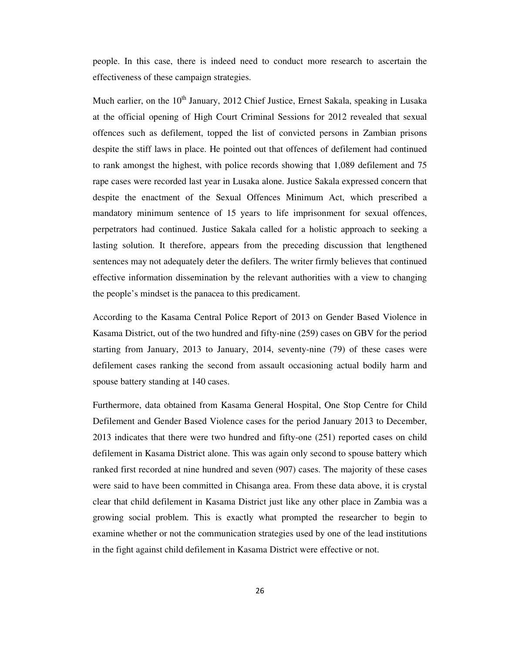people. In this case, there is indeed need to conduct more research to ascertain the effectiveness of these campaign strategies.

Much earlier, on the  $10<sup>th</sup>$  January, 2012 Chief Justice, Ernest Sakala, speaking in Lusaka at the official opening of High Court Criminal Sessions for 2012 revealed that sexual offences such as defilement, topped the list of convicted persons in Zambian prisons despite the stiff laws in place. He pointed out that offences of defilement had continued to rank amongst the highest, with police records showing that 1,089 defilement and 75 rape cases were recorded last year in Lusaka alone. Justice Sakala expressed concern that despite the enactment of the Sexual Offences Minimum Act, which prescribed a mandatory minimum sentence of 15 years to life imprisonment for sexual offences, perpetrators had continued. Justice Sakala called for a holistic approach to seeking a lasting solution. It therefore, appears from the preceding discussion that lengthened sentences may not adequately deter the defilers. The writer firmly believes that continued effective information dissemination by the relevant authorities with a view to changing the people's mindset is the panacea to this predicament.

According to the Kasama Central Police Report of 2013 on Gender Based Violence in Kasama District, out of the two hundred and fifty-nine (259) cases on GBV for the period starting from January, 2013 to January, 2014, seventy-nine (79) of these cases were defilement cases ranking the second from assault occasioning actual bodily harm and spouse battery standing at 140 cases.

Furthermore, data obtained from Kasama General Hospital, One Stop Centre for Child Defilement and Gender Based Violence cases for the period January 2013 to December, 2013 indicates that there were two hundred and fifty-one (251) reported cases on child defilement in Kasama District alone. This was again only second to spouse battery which ranked first recorded at nine hundred and seven (907) cases. The majority of these cases were said to have been committed in Chisanga area. From these data above, it is crystal clear that child defilement in Kasama District just like any other place in Zambia was a growing social problem. This is exactly what prompted the researcher to begin to examine whether or not the communication strategies used by one of the lead institutions in the fight against child defilement in Kasama District were effective or not.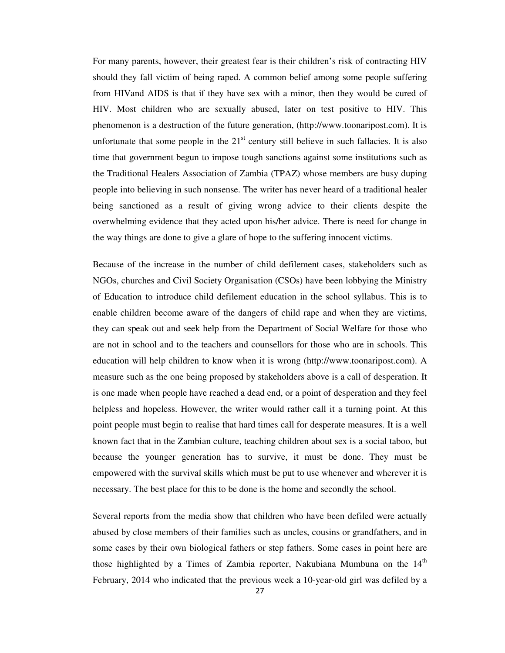For many parents, however, their greatest fear is their children's risk of contracting HIV should they fall victim of being raped. A common belief among some people suffering from HIVand AIDS is that if they have sex with a minor, then they would be cured of HIV. Most children who are sexually abused, later on test positive to HIV. This phenomenon is a destruction of the future generation, (http://www.toonaripost.com). It is unfortunate that some people in the  $21<sup>st</sup>$  century still believe in such fallacies. It is also time that government begun to impose tough sanctions against some institutions such as the Traditional Healers Association of Zambia (TPAZ) whose members are busy duping people into believing in such nonsense. The writer has never heard of a traditional healer being sanctioned as a result of giving wrong advice to their clients despite the overwhelming evidence that they acted upon his/her advice. There is need for change in the way things are done to give a glare of hope to the suffering innocent victims.

Because of the increase in the number of child defilement cases, stakeholders such as NGOs, churches and Civil Society Organisation (CSOs) have been lobbying the Ministry of Education to introduce child defilement education in the school syllabus. This is to enable children become aware of the dangers of child rape and when they are victims, they can speak out and seek help from the Department of Social Welfare for those who are not in school and to the teachers and counsellors for those who are in schools. This education will help children to know when it is wrong (http://www.toonaripost.com). A measure such as the one being proposed by stakeholders above is a call of desperation. It is one made when people have reached a dead end, or a point of desperation and they feel helpless and hopeless. However, the writer would rather call it a turning point. At this point people must begin to realise that hard times call for desperate measures. It is a well known fact that in the Zambian culture, teaching children about sex is a social taboo, but because the younger generation has to survive, it must be done. They must be empowered with the survival skills which must be put to use whenever and wherever it is necessary. The best place for this to be done is the home and secondly the school.

Several reports from the media show that children who have been defiled were actually abused by close members of their families such as uncles, cousins or grandfathers, and in some cases by their own biological fathers or step fathers. Some cases in point here are those highlighted by a Times of Zambia reporter, Nakubiana Mumbuna on the  $14<sup>th</sup>$ February, 2014 who indicated that the previous week a 10-year-old girl was defiled by a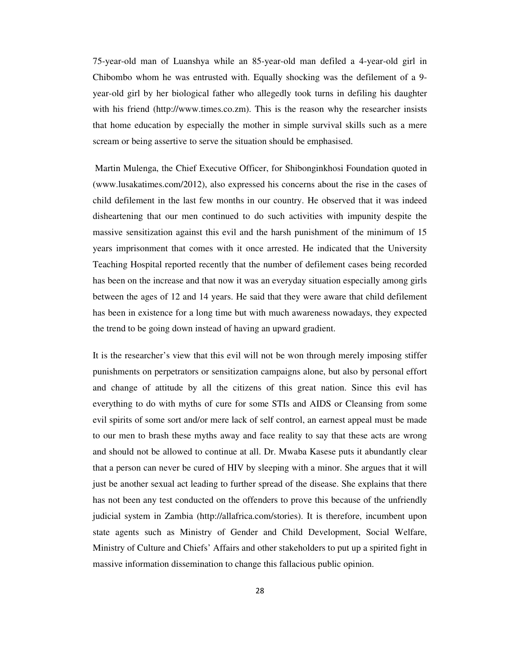75-year-old man of Luanshya while an 85-year-old man defiled a 4-year-old girl in Chibombo whom he was entrusted with. Equally shocking was the defilement of a 9 year-old girl by her biological father who allegedly took turns in defiling his daughter with his friend (http://www.times.co.zm). This is the reason why the researcher insists that home education by especially the mother in simple survival skills such as a mere scream or being assertive to serve the situation should be emphasised.

 Martin Mulenga, the Chief Executive Officer, for Shibonginkhosi Foundation quoted in (www.lusakatimes.com/2012), also expressed his concerns about the rise in the cases of child defilement in the last few months in our country. He observed that it was indeed disheartening that our men continued to do such activities with impunity despite the massive sensitization against this evil and the harsh punishment of the minimum of 15 years imprisonment that comes with it once arrested. He indicated that the University Teaching Hospital reported recently that the number of defilement cases being recorded has been on the increase and that now it was an everyday situation especially among girls between the ages of 12 and 14 years. He said that they were aware that child defilement has been in existence for a long time but with much awareness nowadays, they expected the trend to be going down instead of having an upward gradient.

It is the researcher's view that this evil will not be won through merely imposing stiffer punishments on perpetrators or sensitization campaigns alone, but also by personal effort and change of attitude by all the citizens of this great nation. Since this evil has everything to do with myths of cure for some STIs and AIDS or Cleansing from some evil spirits of some sort and/or mere lack of self control, an earnest appeal must be made to our men to brash these myths away and face reality to say that these acts are wrong and should not be allowed to continue at all. Dr. Mwaba Kasese puts it abundantly clear that a person can never be cured of HIV by sleeping with a minor. She argues that it will just be another sexual act leading to further spread of the disease. She explains that there has not been any test conducted on the offenders to prove this because of the unfriendly judicial system in Zambia (http://allafrica.com/stories). It is therefore, incumbent upon state agents such as Ministry of Gender and Child Development, Social Welfare, Ministry of Culture and Chiefs' Affairs and other stakeholders to put up a spirited fight in massive information dissemination to change this fallacious public opinion.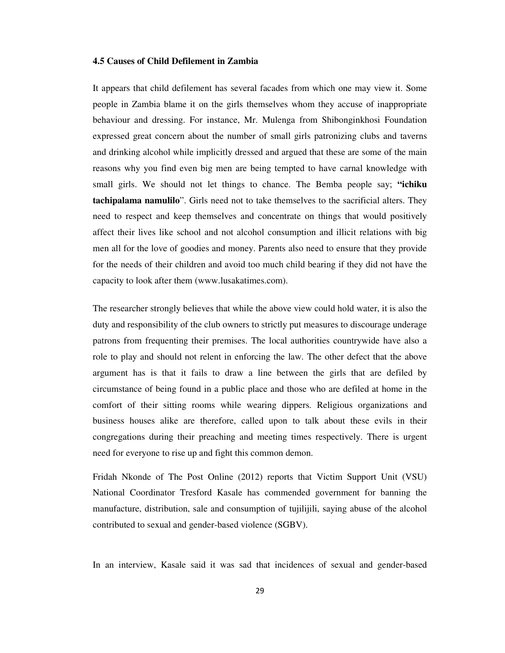# **4.5 Causes of Child Defilement in Zambia**

It appears that child defilement has several facades from which one may view it. Some people in Zambia blame it on the girls themselves whom they accuse of inappropriate behaviour and dressing. For instance, Mr. Mulenga from Shibonginkhosi Foundation expressed great concern about the number of small girls patronizing clubs and taverns and drinking alcohol while implicitly dressed and argued that these are some of the main reasons why you find even big men are being tempted to have carnal knowledge with small girls. We should not let things to chance. The Bemba people say; **"ichiku tachipalama namulilo**". Girls need not to take themselves to the sacrificial alters. They need to respect and keep themselves and concentrate on things that would positively affect their lives like school and not alcohol consumption and illicit relations with big men all for the love of goodies and money. Parents also need to ensure that they provide for the needs of their children and avoid too much child bearing if they did not have the capacity to look after them (www.lusakatimes.com).

The researcher strongly believes that while the above view could hold water, it is also the duty and responsibility of the club owners to strictly put measures to discourage underage patrons from frequenting their premises. The local authorities countrywide have also a role to play and should not relent in enforcing the law. The other defect that the above argument has is that it fails to draw a line between the girls that are defiled by circumstance of being found in a public place and those who are defiled at home in the comfort of their sitting rooms while wearing dippers. Religious organizations and business houses alike are therefore, called upon to talk about these evils in their congregations during their preaching and meeting times respectively. There is urgent need for everyone to rise up and fight this common demon.

Fridah Nkonde of The Post Online (2012) reports that Victim Support Unit (VSU) National Coordinator Tresford Kasale has commended government for banning the manufacture, distribution, sale and consumption of tujilijili, saying abuse of the alcohol contributed to sexual and gender-based violence (SGBV).

In an interview, Kasale said it was sad that incidences of sexual and gender-based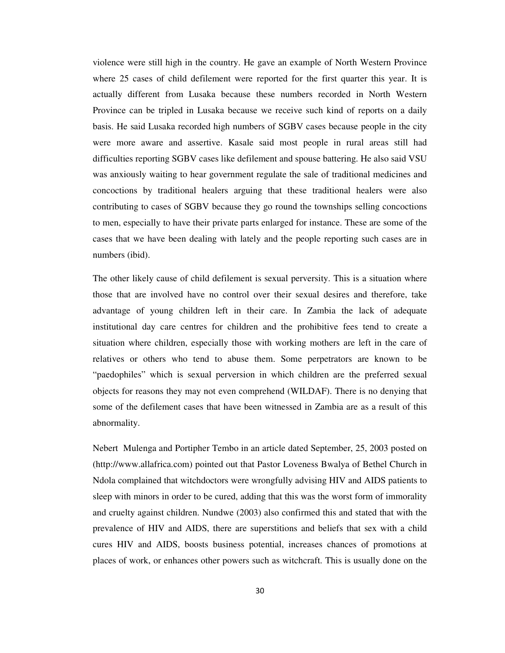violence were still high in the country. He gave an example of North Western Province where 25 cases of child defilement were reported for the first quarter this year. It is actually different from Lusaka because these numbers recorded in North Western Province can be tripled in Lusaka because we receive such kind of reports on a daily basis. He said Lusaka recorded high numbers of SGBV cases because people in the city were more aware and assertive. Kasale said most people in rural areas still had difficulties reporting SGBV cases like defilement and spouse battering. He also said VSU was anxiously waiting to hear government regulate the sale of traditional medicines and concoctions by traditional healers arguing that these traditional healers were also contributing to cases of SGBV because they go round the townships selling concoctions to men, especially to have their private parts enlarged for instance. These are some of the cases that we have been dealing with lately and the people reporting such cases are in numbers (ibid).

The other likely cause of child defilement is sexual perversity. This is a situation where those that are involved have no control over their sexual desires and therefore, take advantage of young children left in their care. In Zambia the lack of adequate institutional day care centres for children and the prohibitive fees tend to create a situation where children, especially those with working mothers are left in the care of relatives or others who tend to abuse them. Some perpetrators are known to be "paedophiles" which is sexual perversion in which children are the preferred sexual objects for reasons they may not even comprehend (WILDAF). There is no denying that some of the defilement cases that have been witnessed in Zambia are as a result of this abnormality.

Nebert Mulenga and Portipher Tembo in an article dated September, 25, 2003 posted on (http://www.allafrica.com) pointed out that Pastor Loveness Bwalya of Bethel Church in Ndola complained that witchdoctors were wrongfully advising HIV and AIDS patients to sleep with minors in order to be cured, adding that this was the worst form of immorality and cruelty against children. Nundwe (2003) also confirmed this and stated that with the prevalence of HIV and AIDS, there are superstitions and beliefs that sex with a child cures HIV and AIDS, boosts business potential, increases chances of promotions at places of work, or enhances other powers such as witchcraft. This is usually done on the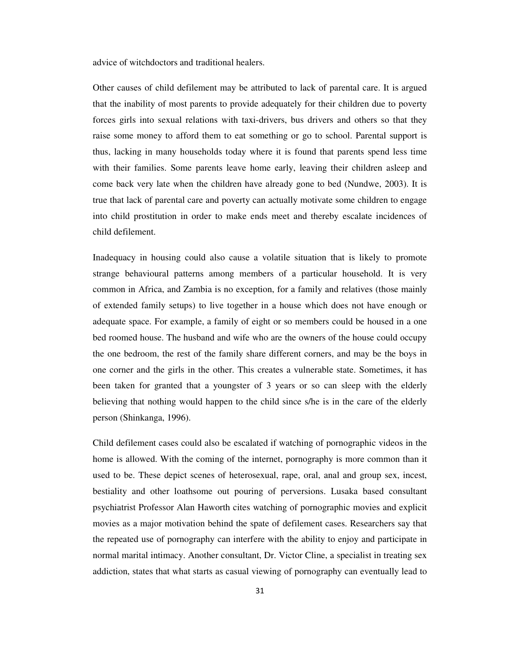advice of witchdoctors and traditional healers.

Other causes of child defilement may be attributed to lack of parental care. It is argued that the inability of most parents to provide adequately for their children due to poverty forces girls into sexual relations with taxi-drivers, bus drivers and others so that they raise some money to afford them to eat something or go to school. Parental support is thus, lacking in many households today where it is found that parents spend less time with their families. Some parents leave home early, leaving their children asleep and come back very late when the children have already gone to bed (Nundwe, 2003). It is true that lack of parental care and poverty can actually motivate some children to engage into child prostitution in order to make ends meet and thereby escalate incidences of child defilement.

Inadequacy in housing could also cause a volatile situation that is likely to promote strange behavioural patterns among members of a particular household. It is very common in Africa, and Zambia is no exception, for a family and relatives (those mainly of extended family setups) to live together in a house which does not have enough or adequate space. For example, a family of eight or so members could be housed in a one bed roomed house. The husband and wife who are the owners of the house could occupy the one bedroom, the rest of the family share different corners, and may be the boys in one corner and the girls in the other. This creates a vulnerable state. Sometimes, it has been taken for granted that a youngster of 3 years or so can sleep with the elderly believing that nothing would happen to the child since s/he is in the care of the elderly person (Shinkanga, 1996).

Child defilement cases could also be escalated if watching of pornographic videos in the home is allowed. With the coming of the internet, pornography is more common than it used to be. These depict scenes of heterosexual, rape, oral, anal and group sex, incest, bestiality and other loathsome out pouring of perversions. Lusaka based consultant psychiatrist Professor Alan Haworth cites watching of pornographic movies and explicit movies as a major motivation behind the spate of defilement cases. Researchers say that the repeated use of pornography can interfere with the ability to enjoy and participate in normal marital intimacy. Another consultant, Dr. Victor Cline, a specialist in treating sex addiction, states that what starts as casual viewing of pornography can eventually lead to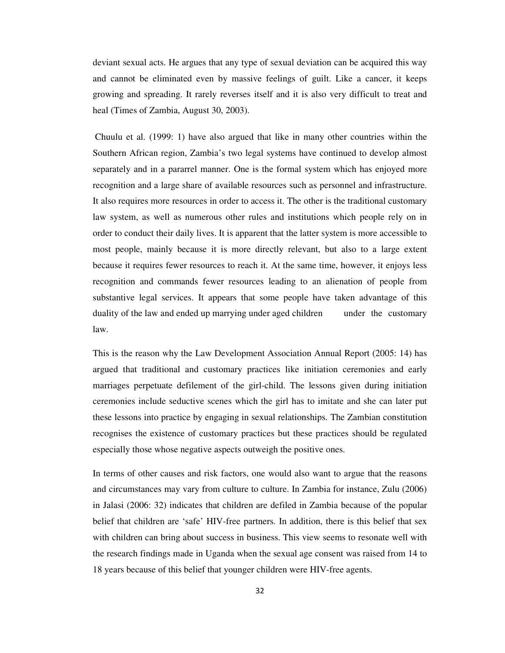deviant sexual acts. He argues that any type of sexual deviation can be acquired this way and cannot be eliminated even by massive feelings of guilt. Like a cancer, it keeps growing and spreading. It rarely reverses itself and it is also very difficult to treat and heal (Times of Zambia, August 30, 2003).

 Chuulu et al. (1999: 1) have also argued that like in many other countries within the Southern African region, Zambia's two legal systems have continued to develop almost separately and in a pararrel manner. One is the formal system which has enjoyed more recognition and a large share of available resources such as personnel and infrastructure. It also requires more resources in order to access it. The other is the traditional customary law system, as well as numerous other rules and institutions which people rely on in order to conduct their daily lives. It is apparent that the latter system is more accessible to most people, mainly because it is more directly relevant, but also to a large extent because it requires fewer resources to reach it. At the same time, however, it enjoys less recognition and commands fewer resources leading to an alienation of people from substantive legal services. It appears that some people have taken advantage of this duality of the law and ended up marrying under aged children under the customary law.

This is the reason why the Law Development Association Annual Report (2005: 14) has argued that traditional and customary practices like initiation ceremonies and early marriages perpetuate defilement of the girl-child. The lessons given during initiation ceremonies include seductive scenes which the girl has to imitate and she can later put these lessons into practice by engaging in sexual relationships. The Zambian constitution recognises the existence of customary practices but these practices should be regulated especially those whose negative aspects outweigh the positive ones.

In terms of other causes and risk factors, one would also want to argue that the reasons and circumstances may vary from culture to culture. In Zambia for instance, Zulu (2006) in Jalasi (2006: 32) indicates that children are defiled in Zambia because of the popular belief that children are 'safe' HIV-free partners. In addition, there is this belief that sex with children can bring about success in business. This view seems to resonate well with the research findings made in Uganda when the sexual age consent was raised from 14 to 18 years because of this belief that younger children were HIV-free agents.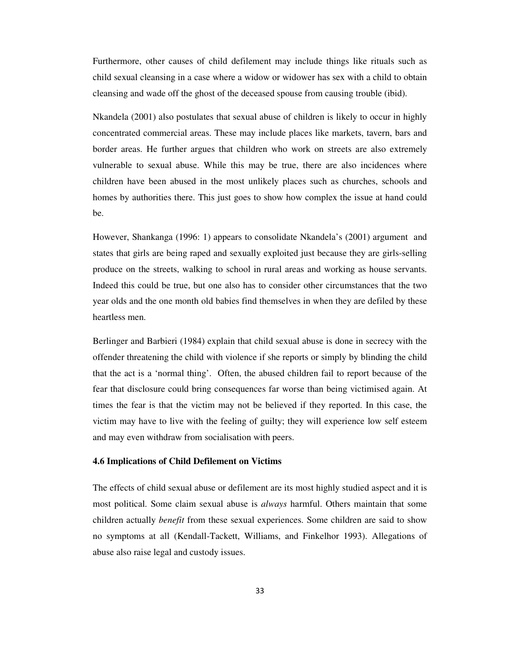Furthermore, other causes of child defilement may include things like rituals such as child sexual cleansing in a case where a widow or widower has sex with a child to obtain cleansing and wade off the ghost of the deceased spouse from causing trouble (ibid).

Nkandela (2001) also postulates that sexual abuse of children is likely to occur in highly concentrated commercial areas. These may include places like markets, tavern, bars and border areas. He further argues that children who work on streets are also extremely vulnerable to sexual abuse. While this may be true, there are also incidences where children have been abused in the most unlikely places such as churches, schools and homes by authorities there. This just goes to show how complex the issue at hand could be.

However, Shankanga (1996: 1) appears to consolidate Nkandela's (2001) argument and states that girls are being raped and sexually exploited just because they are girls-selling produce on the streets, walking to school in rural areas and working as house servants. Indeed this could be true, but one also has to consider other circumstances that the two year olds and the one month old babies find themselves in when they are defiled by these heartless men.

Berlinger and Barbieri (1984) explain that child sexual abuse is done in secrecy with the offender threatening the child with violence if she reports or simply by blinding the child that the act is a 'normal thing'. Often, the abused children fail to report because of the fear that disclosure could bring consequences far worse than being victimised again. At times the fear is that the victim may not be believed if they reported. In this case, the victim may have to live with the feeling of guilty; they will experience low self esteem and may even withdraw from socialisation with peers.

# **4.6 Implications of Child Defilement on Victims**

The effects of child sexual abuse or defilement are its most highly studied aspect and it is most political. Some claim sexual abuse is *always* harmful. Others maintain that some children actually *benefit* from these sexual experiences. Some children are said to show no symptoms at all (Kendall-Tackett, Williams, and Finkelhor 1993). Allegations of abuse also raise legal and custody issues.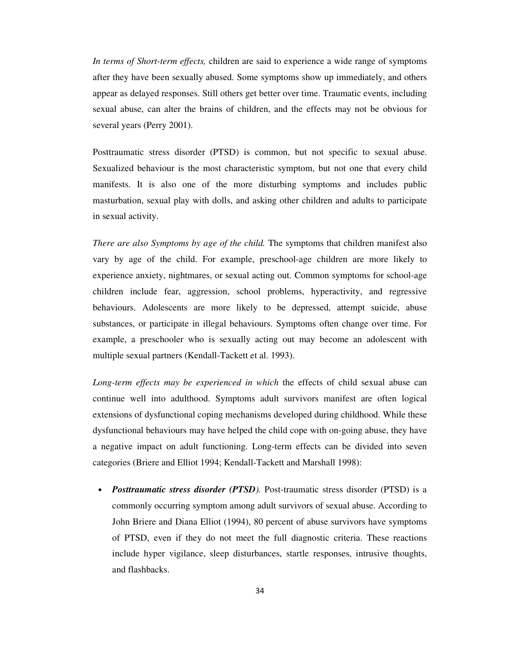*In terms of Short-term effects,* children are said to experience a wide range of symptoms after they have been sexually abused. Some symptoms show up immediately, and others appear as delayed responses. Still others get better over time. Traumatic events, including sexual abuse, can alter the brains of children, and the effects may not be obvious for several years (Perry 2001).

Posttraumatic stress disorder (PTSD) is common, but not specific to sexual abuse. Sexualized behaviour is the most characteristic symptom, but not one that every child manifests. It is also one of the more disturbing symptoms and includes public masturbation, sexual play with dolls, and asking other children and adults to participate in sexual activity.

*There are also Symptoms by age of the child.* The symptoms that children manifest also vary by age of the child. For example, preschool-age children are more likely to experience anxiety, nightmares, or sexual acting out. Common symptoms for school-age children include fear, aggression, school problems, hyperactivity, and regressive behaviours. Adolescents are more likely to be depressed, attempt suicide, abuse substances, or participate in illegal behaviours. Symptoms often change over time. For example, a preschooler who is sexually acting out may become an adolescent with multiple sexual partners (Kendall-Tackett et al. 1993).

*Long-term effects may be experienced in which* the effects of child sexual abuse can continue well into adulthood. Symptoms adult survivors manifest are often logical extensions of dysfunctional coping mechanisms developed during childhood. While these dysfunctional behaviours may have helped the child cope with on-going abuse, they have a negative impact on adult functioning. Long-term effects can be divided into seven categories (Briere and Elliot 1994; Kendall-Tackett and Marshall 1998):

• *Posttraumatic stress disorder (PTSD).* Post-traumatic stress disorder (PTSD) is a commonly occurring symptom among adult survivors of sexual abuse. According to John Briere and Diana Elliot (1994), 80 percent of abuse survivors have symptoms of PTSD, even if they do not meet the full diagnostic criteria. These reactions include hyper vigilance, sleep disturbances, startle responses, intrusive thoughts, and flashbacks.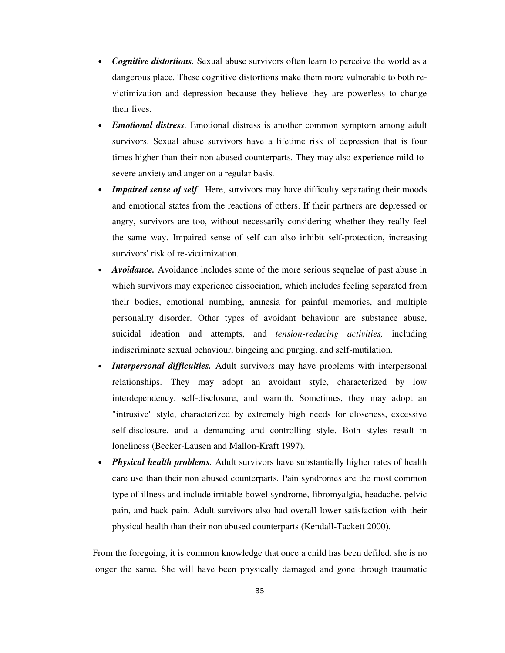- *Cognitive distortions.* Sexual abuse survivors often learn to perceive the world as a dangerous place. These cognitive distortions make them more vulnerable to both revictimization and depression because they believe they are powerless to change their lives.
- *Emotional distress.* Emotional distress is another common symptom among adult survivors. Sexual abuse survivors have a lifetime risk of depression that is four times higher than their non abused counterparts. They may also experience mild-tosevere anxiety and anger on a regular basis.
- *Impaired sense of self.* Here, survivors may have difficulty separating their moods and emotional states from the reactions of others. If their partners are depressed or angry, survivors are too, without necessarily considering whether they really feel the same way. Impaired sense of self can also inhibit self-protection, increasing survivors' risk of re-victimization.
- *Avoidance.* Avoidance includes some of the more serious sequelae of past abuse in which survivors may experience dissociation, which includes feeling separated from their bodies, emotional numbing, amnesia for painful memories, and multiple personality disorder. Other types of avoidant behaviour are substance abuse, suicidal ideation and attempts, and *tension-reducing activities,* including indiscriminate sexual behaviour, bingeing and purging, and self-mutilation.
- *Interpersonal difficulties.* Adult survivors may have problems with interpersonal relationships. They may adopt an avoidant style, characterized by low interdependency, self-disclosure, and warmth. Sometimes, they may adopt an "intrusive" style, characterized by extremely high needs for closeness, excessive self-disclosure, and a demanding and controlling style. Both styles result in loneliness (Becker-Lausen and Mallon-Kraft 1997).
- *Physical health problems.* Adult survivors have substantially higher rates of health care use than their non abused counterparts. Pain syndromes are the most common type of illness and include irritable bowel syndrome, fibromyalgia, headache, pelvic pain, and back pain. Adult survivors also had overall lower satisfaction with their physical health than their non abused counterparts (Kendall-Tackett 2000).

From the foregoing, it is common knowledge that once a child has been defiled, she is no longer the same. She will have been physically damaged and gone through traumatic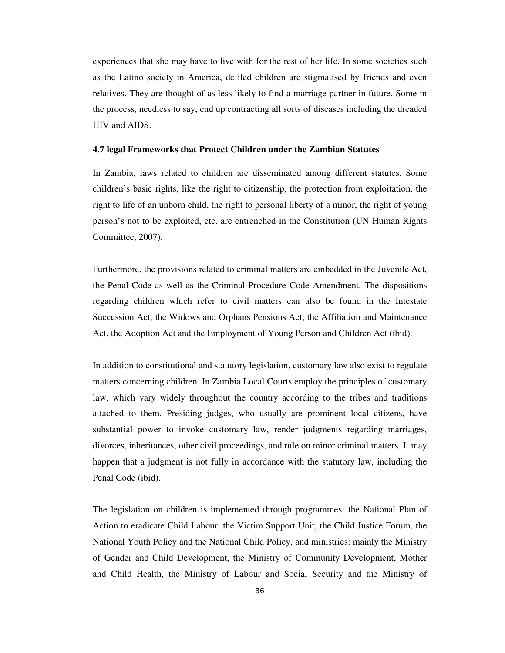experiences that she may have to live with for the rest of her life. In some societies such as the Latino society in America, defiled children are stigmatised by friends and even relatives. They are thought of as less likely to find a marriage partner in future. Some in the process, needless to say, end up contracting all sorts of diseases including the dreaded HIV and AIDS.

# **4.7 legal Frameworks that Protect Children under the Zambian Statutes**

In Zambia, laws related to children are disseminated among different statutes. Some children's basic rights, like the right to citizenship, the protection from exploitation, the right to life of an unborn child, the right to personal liberty of a minor, the right of young person's not to be exploited, etc. are entrenched in the Constitution (UN Human Rights Committee, 2007).

Furthermore, the provisions related to criminal matters are embedded in the Juvenile Act, the Penal Code as well as the Criminal Procedure Code Amendment. The dispositions regarding children which refer to civil matters can also be found in the Intestate Succession Act, the Widows and Orphans Pensions Act, the Affiliation and Maintenance Act, the Adoption Act and the Employment of Young Person and Children Act (ibid).

In addition to constitutional and statutory legislation, customary law also exist to regulate matters concerning children. In Zambia Local Courts employ the principles of customary law, which vary widely throughout the country according to the tribes and traditions attached to them. Presiding judges, who usually are prominent local citizens, have substantial power to invoke customary law, render judgments regarding marriages, divorces, inheritances, other civil proceedings, and rule on minor criminal matters. It may happen that a judgment is not fully in accordance with the statutory law, including the Penal Code (ibid).

The legislation on children is implemented through programmes: the National Plan of Action to eradicate Child Labour, the Victim Support Unit, the Child Justice Forum, the National Youth Policy and the National Child Policy, and ministries: mainly the Ministry of Gender and Child Development, the Ministry of Community Development, Mother and Child Health, the Ministry of Labour and Social Security and the Ministry of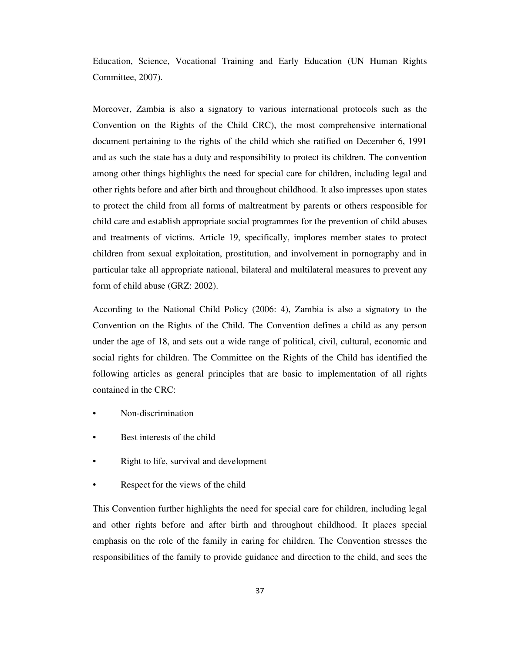Education, Science, Vocational Training and Early Education (UN Human Rights Committee, 2007).

Moreover, Zambia is also a signatory to various international protocols such as the Convention on the Rights of the Child CRC), the most comprehensive international document pertaining to the rights of the child which she ratified on December 6, 1991 and as such the state has a duty and responsibility to protect its children. The convention among other things highlights the need for special care for children, including legal and other rights before and after birth and throughout childhood. It also impresses upon states to protect the child from all forms of maltreatment by parents or others responsible for child care and establish appropriate social programmes for the prevention of child abuses and treatments of victims. Article 19, specifically, implores member states to protect children from sexual exploitation, prostitution, and involvement in pornography and in particular take all appropriate national, bilateral and multilateral measures to prevent any form of child abuse (GRZ: 2002).

According to the National Child Policy (2006: 4), Zambia is also a signatory to the Convention on the Rights of the Child. The Convention defines a child as any person under the age of 18, and sets out a wide range of political, civil, cultural, economic and social rights for children. The Committee on the Rights of the Child has identified the following articles as general principles that are basic to implementation of all rights contained in the CRC:

- Non-discrimination
- Best interests of the child
- Right to life, survival and development
- Respect for the views of the child

This Convention further highlights the need for special care for children, including legal and other rights before and after birth and throughout childhood. It places special emphasis on the role of the family in caring for children. The Convention stresses the responsibilities of the family to provide guidance and direction to the child, and sees the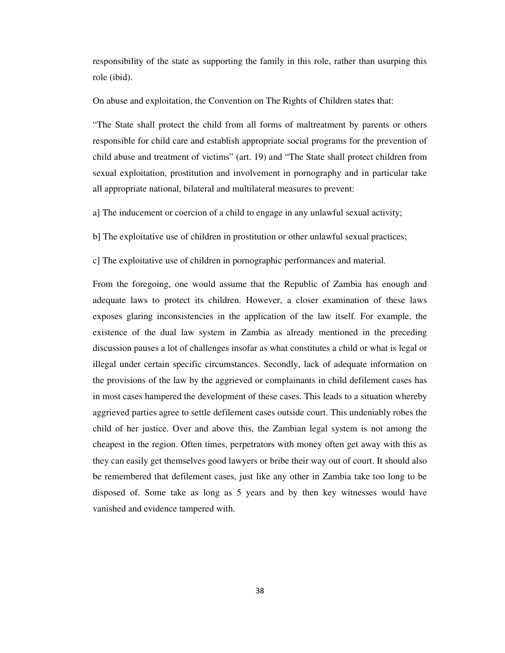responsibility of the state as supporting the family in this role, rather than usurping this role (ibid).

On abuse and exploitation, the Convention on The Rights of Children states that:

"The State shall protect the child from all forms of maltreatment by parents or others responsible for child care and establish appropriate social programs for the prevention of child abuse and treatment of victims" (art. 19) and "The State shall protect children from sexual exploitation, prostitution and involvement in pornography and in particular take all appropriate national, bilateral and multilateral measures to prevent:

a] The inducement or coercion of a child to engage in any unlawful sexual activity;

b] The exploitative use of children in prostitution or other unlawful sexual practices;

c] The exploitative use of children in pornographic performances and material.

From the foregoing, one would assume that the Republic of Zambia has enough and adequate laws to protect its children. However, a closer examination of these laws exposes glaring inconsistencies in the application of the law itself. For example, the existence of the dual law system in Zambia as already mentioned in the preceding discussion pauses a lot of challenges insofar as what constitutes a child or what is legal or illegal under certain specific circumstances. Secondly, lack of adequate information on the provisions of the law by the aggrieved or complainants in child defilement cases has in most cases hampered the development of these cases. This leads to a situation whereby aggrieved parties agree to settle defilement cases outside court. This undeniably robes the child of her justice. Over and above this, the Zambian legal system is not among the cheapest in the region. Often times, perpetrators with money often get away with this as they can easily get themselves good lawyers or bribe their way out of court. It should also be remembered that defilement cases, just like any other in Zambia take too long to be disposed of. Some take as long as 5 years and by then key witnesses would have vanished and evidence tampered with.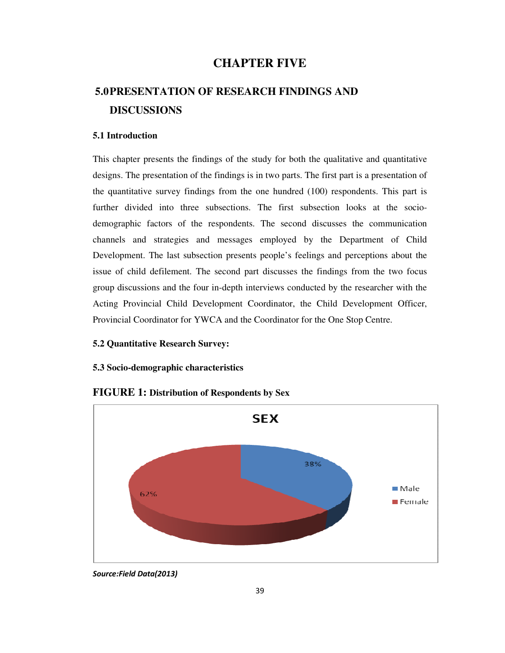# **CHAPTER FIVE**

# **5.0PRESENTATION OF RESEARCH FINDINGS AND DISCUSSIONS**

## **5.1 Introduction**

This chapter presents the findings of the study for both the qualitative and quantitative designs. The presentation of the findings is in two parts. The first part is a presentation of the quantitative survey findings from the one hundred (100) respondents. This part is further divided into three subsections. The first subsection looks at the sociodemographic factors of the respondents. The second discusses the communication channels and strategies and messages employed by the Department of Child Development. The last subsection presents people's feelings and perceptions about the issue of child defilement. The second part discusses the findings from the two focus group discussions and the four in-depth interviews conducted by the researcher with the Acting Provincial Child Development Coordinator, the Child Development Officer, Provincial Coordinator for YWCA and the Coordinator for the One Stop Centre.

### **5.2 Quantitative Research Survey:**

## **5.3 Socio-demographic characteristics**



# **FIGURE 1: Distribution of Respondents by Sex**

*Source:Field Data(2013)*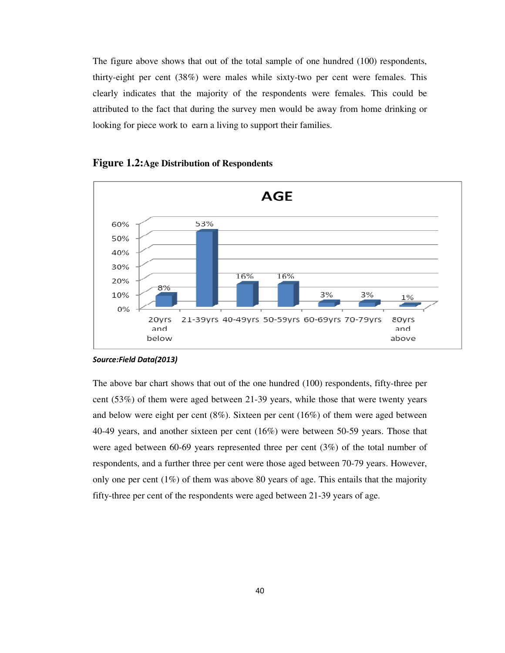The figure above shows that out of the total sample of one hundred (100) respondents, thirty-eight per cent (38%) were males while sixty-two per cent were females. This clearly indicates that the majority of the respondents were females. This could be attributed to the fact that during the survey men would be away from home drinking or looking for piece work to earn a living to support their families.



### **Figure 1.2:Age Distribution of Respondents**

#### *Source:Field Data(2013)*

The above bar chart shows that out of the one hundred (100) respondents, fifty-three per cent (53%) of them were aged between 21-39 years, while those that were twenty years and below were eight per cent (8%). Sixteen per cent (16%) of them were aged between 40-49 years, and another sixteen per cent (16%) were between 50-59 years. Those that were aged between 60-69 years represented three per cent (3%) of the total number of respondents, and a further three per cent were those aged between 70-79 years. However, only one per cent  $(1\%)$  of them was above 80 years of age. This entails that the majority fifty-three per cent of the respondents were aged between 21-39 years of age.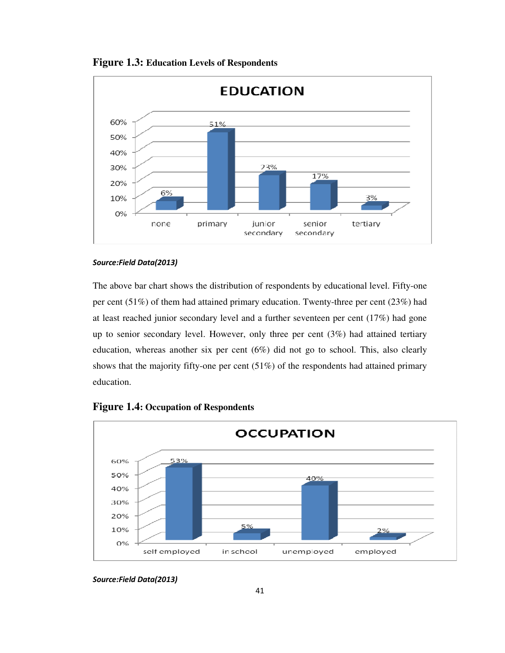

**Figure 1.3: Education Levels of Respondents** 

The above bar chart shows the distribution of respondents by educational level. Fifty-one per cent (51%) of them had attained primary education. Twenty-three per cent (23%) had at least reached junior secondary level and a further seventeen per cent (17%) had gone up to senior secondary level. However, only three per cent (3%) had attained tertiary education, whereas another six per cent  $(6%)$  did not go to school. This, also clearly shows that the majority fifty-one per cent (51%) of the respondents had attained primary education.



# **Figure 1.4: Occupation of Respondents**

*Source:Field Data(2013)*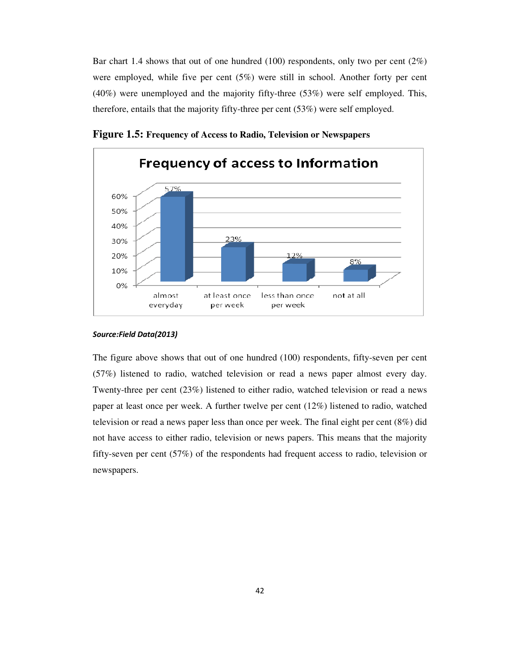Bar chart 1.4 shows that out of one hundred (100) respondents, only two per cent  $(2\%)$ were employed, while five per cent (5%) were still in school. Another forty per cent (40%) were unemployed and the majority fifty-three (53%) were self employed. This, therefore, entails that the majority fifty-three per cent (53%) were self employed.



**Figure 1.5: Frequency of Access to Radio, Television or Newspapers**

#### *Source:Field Data(2013)*

The figure above shows that out of one hundred (100) respondents, fifty-seven per cent (57%) listened to radio, watched television or read a news paper almost every day. Twenty-three per cent (23%) listened to either radio, watched television or read a news paper at least once per week. A further twelve per cent (12%) listened to radio, watched television or read a news paper less than once per week. The final eight per cent (8%) did not have access to either radio, television or news papers. This means that the majority fifty-seven per cent (57%) of the respondents had frequent access to radio, television or newspapers.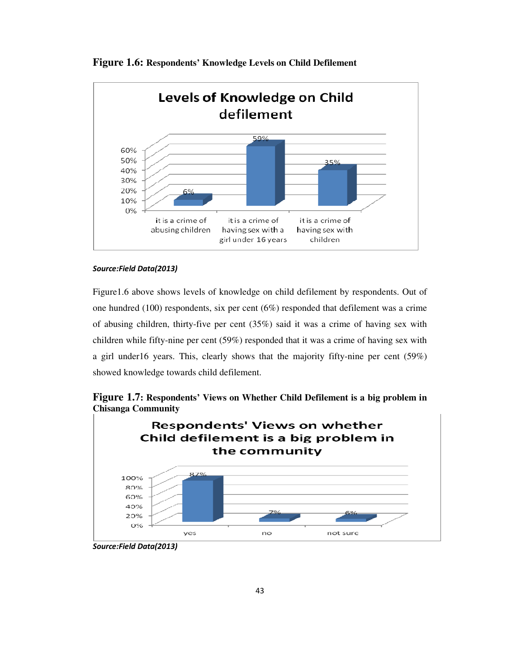

**Figure 1.6: Respondents' Knowledge Levels on Child Defilement**

### *Source:Field Data(2013)*

Figure1.6 above shows levels of knowledge on child defilement by respondents. Out of one hundred (100) respondents, six per cent (6%) responded that defilement was a crime of abusing children, thirty-five per cent (35%) said it was a crime of having sex with children while fifty-nine per cent (59%) responded that it was a crime of having sex with a girl under16 years. This, clearly shows that the majority fifty-nine per cent (59%) showed knowledge towards child defilement.



**Figure 1.7: Respondents' Views on Whether Child Defilement is a big problem in Chisanga Community**

*Source:Field Data(2013)*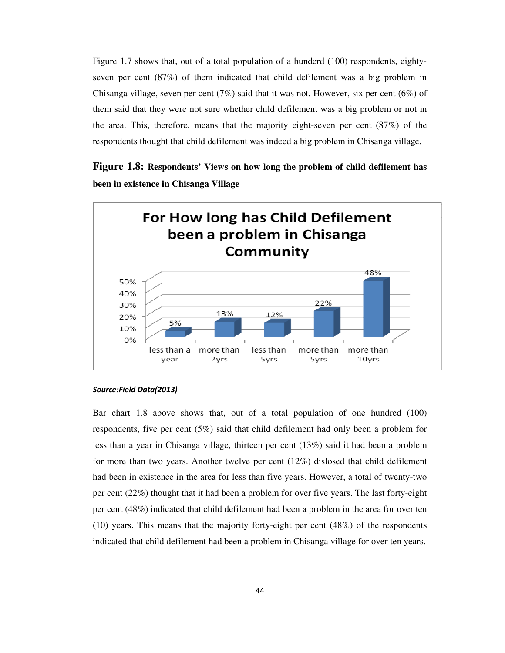Figure 1.7 shows that, out of a total population of a hunderd (100) respondents, eightyseven per cent (87%) of them indicated that child defilement was a big problem in Chisanga village, seven per cent  $(7%)$  said that it was not. However, six per cent  $(6%)$  of them said that they were not sure whether child defilement was a big problem or not in the area. This, therefore, means that the majority eight-seven per cent (87%) of the respondents thought that child defilement was indeed a big problem in Chisanga village.

**Figure 1.8: Respondents' Views on how long the problem of child defilement has been in existence in Chisanga Village** 



#### *Source:Field Data(2013)*

Bar chart 1.8 above shows that, out of a total population of one hundred (100) respondents, five per cent (5%) said that child defilement had only been a problem for less than a year in Chisanga village, thirteen per cent (13%) said it had been a problem for more than two years. Another twelve per cent (12%) dislosed that child defilement had been in existence in the area for less than five years. However, a total of twenty-two per cent (22%) thought that it had been a problem for over five years. The last forty-eight per cent (48%) indicated that child defilement had been a problem in the area for over ten (10) years. This means that the majority forty-eight per cent (48%) of the respondents indicated that child defilement had been a problem in Chisanga village for over ten years.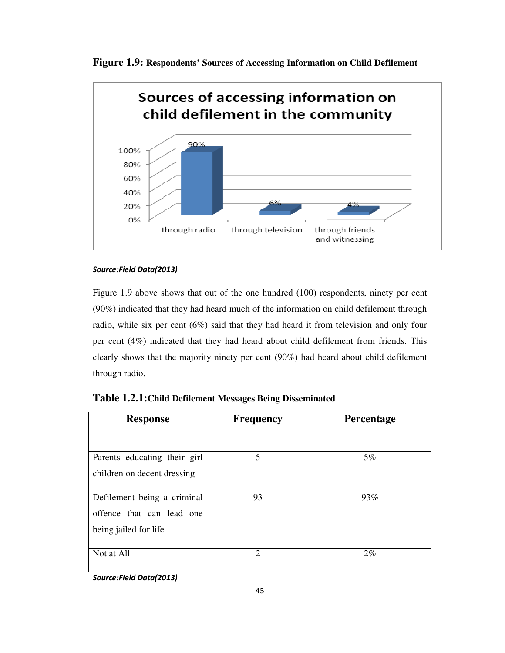



Figure 1.9 above shows that out of the one hundred (100) respondents, ninety per cent (90%) indicated that they had heard much of the information on child defilement through radio, while six per cent (6%) said that they had heard it from television and only four per cent (4%) indicated that they had heard about child defilement from friends. This clearly shows that the majority ninety per cent (90%) had heard about child defilement through radio.

| <b>Response</b>              | <b>Frequency</b>            | <b>Percentage</b> |  |  |
|------------------------------|-----------------------------|-------------------|--|--|
|                              |                             |                   |  |  |
| Parents educating their girl | 5                           | $5\%$             |  |  |
| children on decent dressing  |                             |                   |  |  |
| Defilement being a criminal  | 93                          | 93%               |  |  |
| offence that can lead one    |                             |                   |  |  |
| being jailed for life        |                             |                   |  |  |
| Not at All<br>.              | $\mathcal{D}_{\mathcal{L}}$ | $2\%$             |  |  |

| Table 1.2.1: Child Defilement Messages Being Disseminated |  |  |
|-----------------------------------------------------------|--|--|
|-----------------------------------------------------------|--|--|

*Source:Field Data(2013)*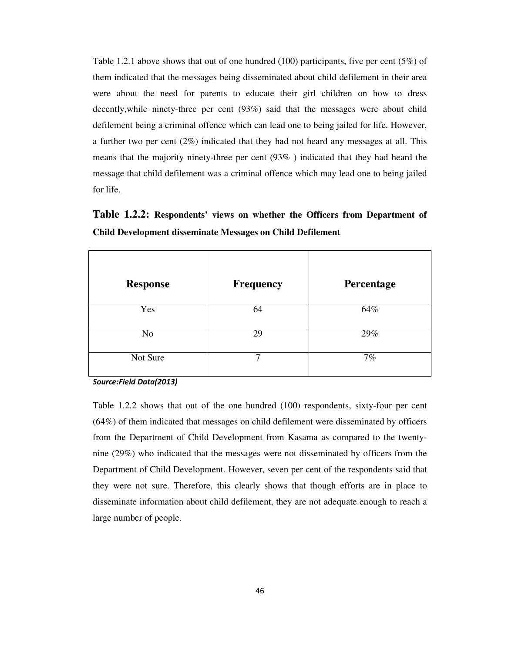Table 1.2.1 above shows that out of one hundred (100) participants, five per cent (5%) of them indicated that the messages being disseminated about child defilement in their area were about the need for parents to educate their girl children on how to dress decently,while ninety-three per cent (93%) said that the messages were about child defilement being a criminal offence which can lead one to being jailed for life. However, a further two per cent (2%) indicated that they had not heard any messages at all. This means that the majority ninety-three per cent (93% ) indicated that they had heard the message that child defilement was a criminal offence which may lead one to being jailed for life.

**Table 1.2.2: Respondents' views on whether the Officers from Department of Child Development disseminate Messages on Child Defilement** 

| <b>Response</b> | <b>Frequency</b> | Percentage |
|-----------------|------------------|------------|
| Yes             | 64               | 64%        |
| N <sub>o</sub>  | 29               | 29%        |
| Not Sure        | 7                | 7%         |

*Source:Field Data(2013)* 

Table 1.2.2 shows that out of the one hundred (100) respondents, sixty-four per cent (64%) of them indicated that messages on child defilement were disseminated by officers from the Department of Child Development from Kasama as compared to the twentynine (29%) who indicated that the messages were not disseminated by officers from the Department of Child Development. However, seven per cent of the respondents said that they were not sure. Therefore, this clearly shows that though efforts are in place to disseminate information about child defilement, they are not adequate enough to reach a large number of people.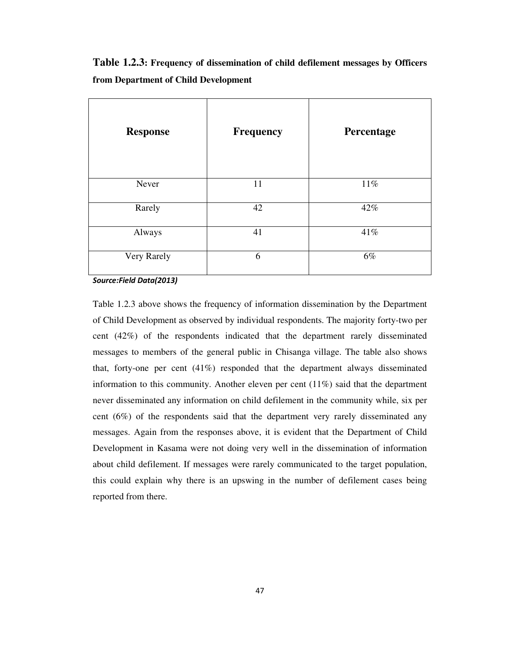**Table 1.2.3: Frequency of dissemination of child defilement messages by Officers from Department of Child Development** 

| <b>Response</b> | <b>Frequency</b> | Percentage |
|-----------------|------------------|------------|
| Never           | 11               | 11%        |
| Rarely          | 42               | 42%        |
| Always          | 41               | 41%        |
| Very Rarely     | 6                | 6%         |

*Source:Field Data(2013)* 

Table 1.2.3 above shows the frequency of information dissemination by the Department of Child Development as observed by individual respondents. The majority forty-two per cent (42%) of the respondents indicated that the department rarely disseminated messages to members of the general public in Chisanga village. The table also shows that, forty-one per cent (41%) responded that the department always disseminated information to this community. Another eleven per cent  $(11\%)$  said that the department never disseminated any information on child defilement in the community while, six per cent (6%) of the respondents said that the department very rarely disseminated any messages. Again from the responses above, it is evident that the Department of Child Development in Kasama were not doing very well in the dissemination of information about child defilement. If messages were rarely communicated to the target population, this could explain why there is an upswing in the number of defilement cases being reported from there.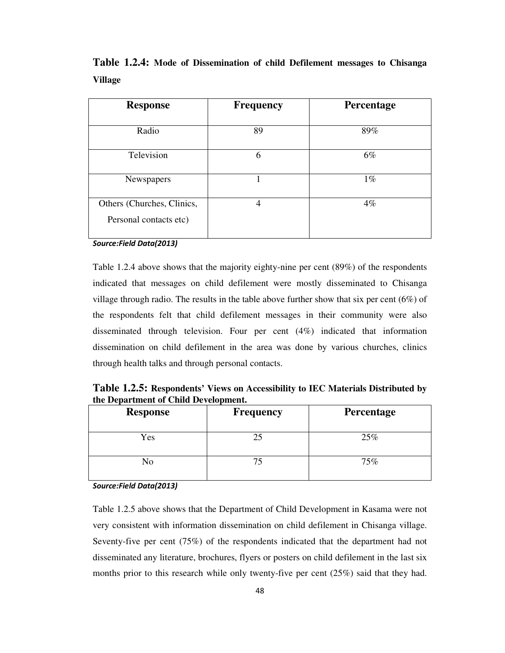| <b>Response</b>            | <b>Frequency</b> | Percentage |
|----------------------------|------------------|------------|
|                            |                  |            |
| Radio                      | 89               | 89%        |
|                            |                  |            |
| Television                 | 6                | $6\%$      |
|                            |                  |            |
| Newspapers                 |                  | $1\%$      |
| Others (Churches, Clinics, | 4                | $4\%$      |
| Personal contacts etc)     |                  |            |
|                            |                  |            |

**Table 1.2.4: Mode of Dissemination of child Defilement messages to Chisanga Village** 

Table 1.2.4 above shows that the majority eighty-nine per cent (89%) of the respondents indicated that messages on child defilement were mostly disseminated to Chisanga village through radio. The results in the table above further show that six per cent  $(6\%)$  of the respondents felt that child defilement messages in their community were also disseminated through television. Four per cent (4%) indicated that information dissemination on child defilement in the area was done by various churches, clinics through health talks and through personal contacts.

**Table 1.2.5: Respondents' Views on Accessibility to IEC Materials Distributed by the Department of Child Development.** 

| <b>Response</b> | <b>Frequency</b> | <b>Percentage</b> |
|-----------------|------------------|-------------------|
| Yes             | 25               | 25%               |
| No              | 75               | 75%               |

*Source:Field Data(2013)* 

Table 1.2.5 above shows that the Department of Child Development in Kasama were not very consistent with information dissemination on child defilement in Chisanga village. Seventy-five per cent (75%) of the respondents indicated that the department had not disseminated any literature, brochures, flyers or posters on child defilement in the last six months prior to this research while only twenty-five per cent (25%) said that they had.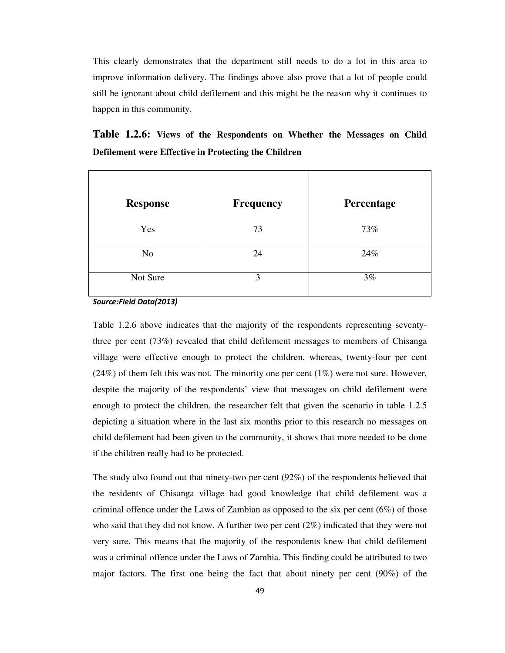This clearly demonstrates that the department still needs to do a lot in this area to improve information delivery. The findings above also prove that a lot of people could still be ignorant about child defilement and this might be the reason why it continues to happen in this community.

|  |  | Table 1.2.6: Views of the Respondents on Whether the Messages on Child |  |  |  |
|--|--|------------------------------------------------------------------------|--|--|--|
|  |  | Defilement were Effective in Protecting the Children                   |  |  |  |

| <b>Response</b> | <b>Frequency</b> | Percentage |
|-----------------|------------------|------------|
| Yes             | 73               | 73%        |
| N <sub>o</sub>  | 24               | 24%        |
| Not Sure        | 3                | 3%         |

*Source:Field Data(2013)* 

Table 1.2.6 above indicates that the majority of the respondents representing seventythree per cent (73%) revealed that child defilement messages to members of Chisanga village were effective enough to protect the children, whereas, twenty-four per cent  $(24%)$  of them felt this was not. The minority one per cent  $(1%)$  were not sure. However, despite the majority of the respondents' view that messages on child defilement were enough to protect the children, the researcher felt that given the scenario in table 1.2.5 depicting a situation where in the last six months prior to this research no messages on child defilement had been given to the community, it shows that more needed to be done if the children really had to be protected.

The study also found out that ninety-two per cent (92%) of the respondents believed that the residents of Chisanga village had good knowledge that child defilement was a criminal offence under the Laws of Zambian as opposed to the six per cent  $(6%)$  of those who said that they did not know. A further two per cent (2%) indicated that they were not very sure. This means that the majority of the respondents knew that child defilement was a criminal offence under the Laws of Zambia. This finding could be attributed to two major factors. The first one being the fact that about ninety per cent (90%) of the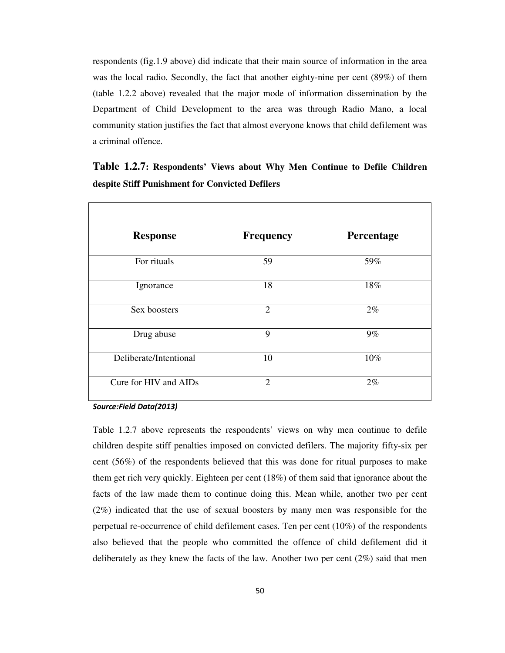respondents (fig.1.9 above) did indicate that their main source of information in the area was the local radio. Secondly, the fact that another eighty-nine per cent (89%) of them (table 1.2.2 above) revealed that the major mode of information dissemination by the Department of Child Development to the area was through Radio Mano, a local community station justifies the fact that almost everyone knows that child defilement was a criminal offence.

| <b>Response</b>        | <b>Frequency</b> | Percentage |
|------------------------|------------------|------------|
| For rituals            | 59               | 59%        |
| Ignorance              | 18               | 18%        |
| Sex boosters           | $\overline{2}$   | $2\%$      |
| Drug abuse             | 9                | $9\%$      |
| Deliberate/Intentional | 10               | 10%        |
| Cure for HIV and AIDs  | $\overline{2}$   | $2\%$      |

**Table 1.2.7: Respondents' Views about Why Men Continue to Defile Children despite Stiff Punishment for Convicted Defilers** 

*Source:Field Data(2013)* 

Table 1.2.7 above represents the respondents' views on why men continue to defile children despite stiff penalties imposed on convicted defilers. The majority fifty-six per cent (56%) of the respondents believed that this was done for ritual purposes to make them get rich very quickly. Eighteen per cent (18%) of them said that ignorance about the facts of the law made them to continue doing this. Mean while, another two per cent (2%) indicated that the use of sexual boosters by many men was responsible for the perpetual re-occurrence of child defilement cases. Ten per cent (10%) of the respondents also believed that the people who committed the offence of child defilement did it deliberately as they knew the facts of the law. Another two per cent (2%) said that men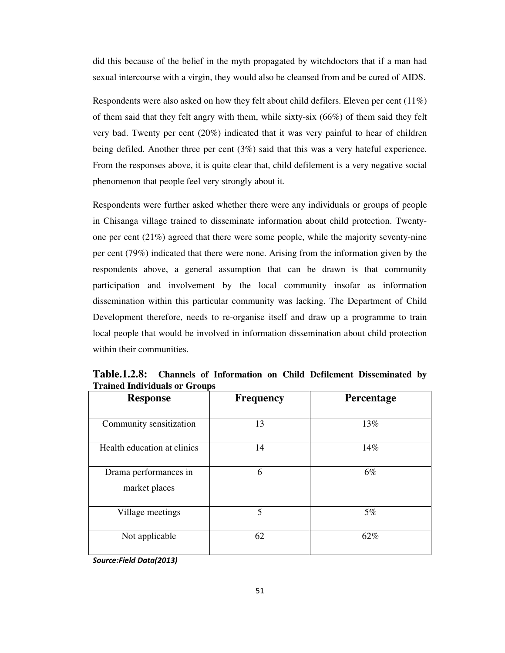did this because of the belief in the myth propagated by witchdoctors that if a man had sexual intercourse with a virgin, they would also be cleansed from and be cured of AIDS.

Respondents were also asked on how they felt about child defilers. Eleven per cent (11%) of them said that they felt angry with them, while sixty-six (66%) of them said they felt very bad. Twenty per cent (20%) indicated that it was very painful to hear of children being defiled. Another three per cent (3%) said that this was a very hateful experience. From the responses above, it is quite clear that, child defilement is a very negative social phenomenon that people feel very strongly about it.

Respondents were further asked whether there were any individuals or groups of people in Chisanga village trained to disseminate information about child protection. Twentyone per cent (21%) agreed that there were some people, while the majority seventy-nine per cent (79%) indicated that there were none. Arising from the information given by the respondents above, a general assumption that can be drawn is that community participation and involvement by the local community insofar as information dissemination within this particular community was lacking. The Department of Child Development therefore, needs to re-organise itself and draw up a programme to train local people that would be involved in information dissemination about child protection within their communities.

| <b>Response</b>                        | <b>Frequency</b> | Percentage |
|----------------------------------------|------------------|------------|
| Community sensitization                | 13               | 13%        |
| Health education at clinics            | 14               | 14%        |
| Drama performances in<br>market places | 6                | 6%         |
| Village meetings                       | 5                | 5%         |
| Not applicable                         | 62               | 62%        |

**Table.1.2.8: Channels of Information on Child Defilement Disseminated by Trained Individuals or Groups** 

*Source:Field Data(2013)*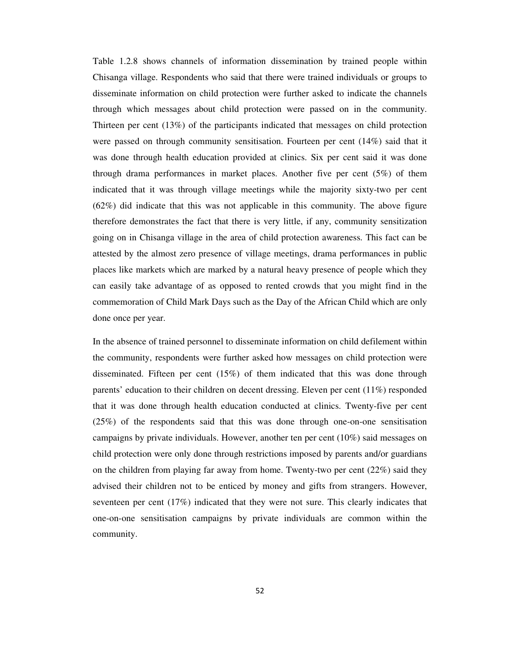Table 1.2.8 shows channels of information dissemination by trained people within Chisanga village. Respondents who said that there were trained individuals or groups to disseminate information on child protection were further asked to indicate the channels through which messages about child protection were passed on in the community. Thirteen per cent (13%) of the participants indicated that messages on child protection were passed on through community sensitisation. Fourteen per cent (14%) said that it was done through health education provided at clinics. Six per cent said it was done through drama performances in market places. Another five per cent (5%) of them indicated that it was through village meetings while the majority sixty-two per cent (62%) did indicate that this was not applicable in this community. The above figure therefore demonstrates the fact that there is very little, if any, community sensitization going on in Chisanga village in the area of child protection awareness. This fact can be attested by the almost zero presence of village meetings, drama performances in public places like markets which are marked by a natural heavy presence of people which they can easily take advantage of as opposed to rented crowds that you might find in the commemoration of Child Mark Days such as the Day of the African Child which are only done once per year.

In the absence of trained personnel to disseminate information on child defilement within the community, respondents were further asked how messages on child protection were disseminated. Fifteen per cent (15%) of them indicated that this was done through parents' education to their children on decent dressing. Eleven per cent (11%) responded that it was done through health education conducted at clinics. Twenty-five per cent (25%) of the respondents said that this was done through one-on-one sensitisation campaigns by private individuals. However, another ten per cent (10%) said messages on child protection were only done through restrictions imposed by parents and/or guardians on the children from playing far away from home. Twenty-two per cent (22%) said they advised their children not to be enticed by money and gifts from strangers. However, seventeen per cent (17%) indicated that they were not sure. This clearly indicates that one-on-one sensitisation campaigns by private individuals are common within the community.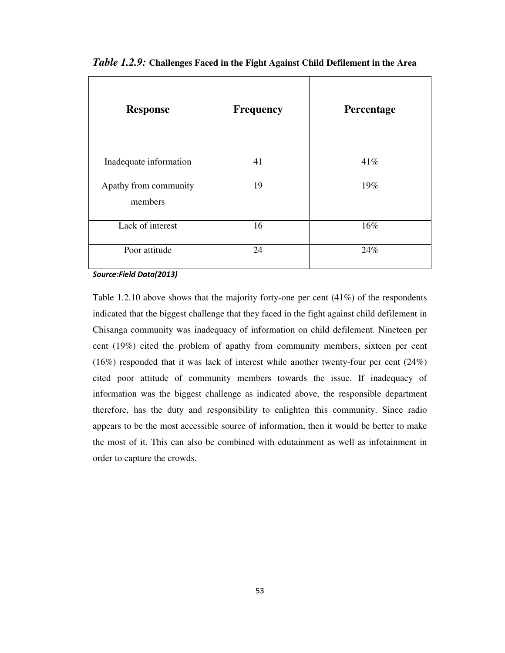| <b>Response</b>                  | <b>Frequency</b> | Percentage |
|----------------------------------|------------------|------------|
| Inadequate information           | 41               | 41%        |
| Apathy from community<br>members | 19               | 19%        |
| Lack of interest                 | 16               | 16%        |
| Poor attitude                    | 24               | 24%        |

*Table 1.2.9:* **Challenges Faced in the Fight Against Child Defilement in the Area**

Table 1.2.10 above shows that the majority forty-one per cent (41%) of the respondents indicated that the biggest challenge that they faced in the fight against child defilement in Chisanga community was inadequacy of information on child defilement. Nineteen per cent (19%) cited the problem of apathy from community members, sixteen per cent (16%) responded that it was lack of interest while another twenty-four per cent (24%) cited poor attitude of community members towards the issue. If inadequacy of information was the biggest challenge as indicated above, the responsible department therefore, has the duty and responsibility to enlighten this community. Since radio appears to be the most accessible source of information, then it would be better to make the most of it. This can also be combined with edutainment as well as infotainment in order to capture the crowds.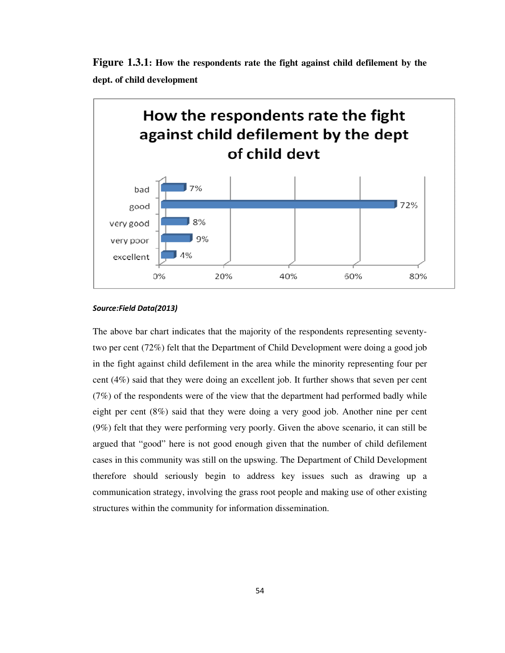



The above bar chart indicates that the majority of the respondents representing seventytwo per cent (72%) felt that the Department of Child Development were doing a good job in the fight against child defilement in the area while the minority representing four per cent (4%) said that they were doing an excellent job. It further shows that seven per cent (7%) of the respondents were of the view that the department had performed badly while eight per cent (8%) said that they were doing a very good job. Another nine per cent (9%) felt that they were performing very poorly. Given the above scenario, it can still be argued that "good" here is not good enough given that the number of child defilement cases in this community was still on the upswing. The Department of Child Development therefore should seriously begin to address key issues such as drawing up a communication strategy, involving the grass root people and making use of other existing structures within the community for information dissemination.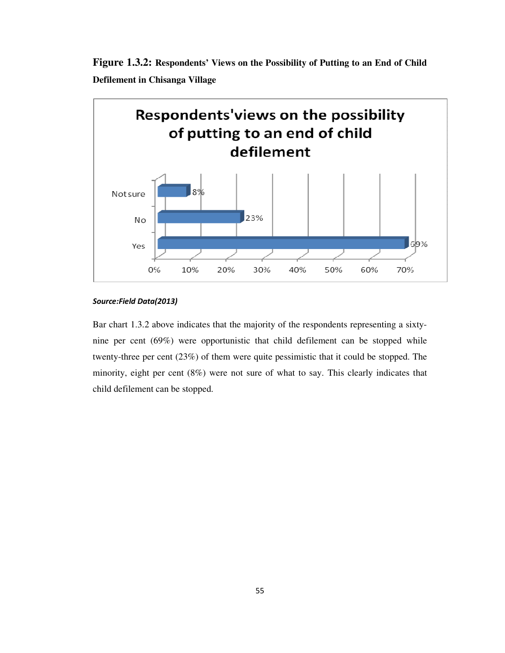



Bar chart 1.3.2 above indicates that the majority of the respondents representing a sixtynine per cent (69%) were opportunistic that child defilement can be stopped while twenty-three per cent (23%) of them were quite pessimistic that it could be stopped. The minority, eight per cent (8%) were not sure of what to say. This clearly indicates that child defilement can be stopped.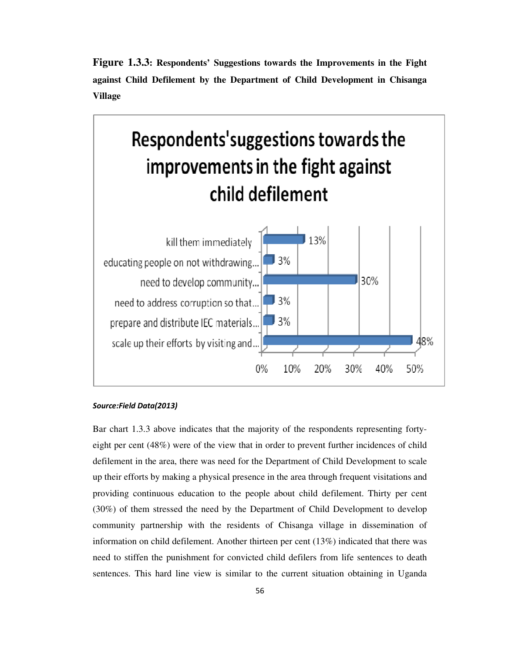**Figure 1.3.3: Respondents' Suggestions towards the Improvements in the Fight against Child Defilement by the Department of Child Development in Chisanga Village** 



Bar chart 1.3.3 above indicates that the majority of the respondents representing fortyeight per cent (48%) were of the view that in order to prevent further incidences of child defilement in the area, there was need for the Department of Child Development to scale up their efforts by making a physical presence in the area through frequent visitations and providing continuous education to the people about child defilement. Thirty per cent (30%) of them stressed the need by the Department of Child Development to develop community partnership with the residents of Chisanga village in dissemination of information on child defilement. Another thirteen per cent (13%) indicated that there was need to stiffen the punishment for convicted child defilers from life sentences to death sentences. This hard line view is similar to the current situation obtaining in Uganda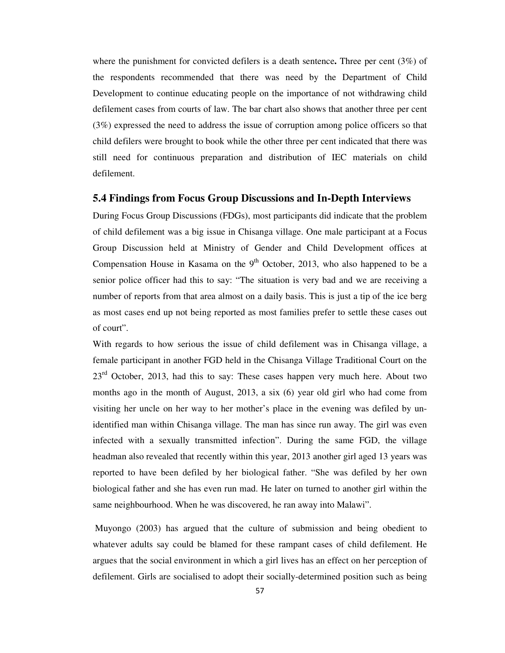where the punishment for convicted defilers is a death sentence**.** Three per cent (3%) of the respondents recommended that there was need by the Department of Child Development to continue educating people on the importance of not withdrawing child defilement cases from courts of law. The bar chart also shows that another three per cent (3%) expressed the need to address the issue of corruption among police officers so that child defilers were brought to book while the other three per cent indicated that there was still need for continuous preparation and distribution of IEC materials on child defilement.

## **5.4 Findings from Focus Group Discussions and In-Depth Interviews**

During Focus Group Discussions (FDGs), most participants did indicate that the problem of child defilement was a big issue in Chisanga village. One male participant at a Focus Group Discussion held at Ministry of Gender and Child Development offices at Compensation House in Kasama on the  $9<sup>th</sup>$  October, 2013, who also happened to be a senior police officer had this to say: "The situation is very bad and we are receiving a number of reports from that area almost on a daily basis. This is just a tip of the ice berg as most cases end up not being reported as most families prefer to settle these cases out of court".

With regards to how serious the issue of child defilement was in Chisanga village, a female participant in another FGD held in the Chisanga Village Traditional Court on the  $23<sup>rd</sup>$  October, 2013, had this to say: These cases happen very much here. About two months ago in the month of August, 2013, a six (6) year old girl who had come from visiting her uncle on her way to her mother's place in the evening was defiled by unidentified man within Chisanga village. The man has since run away. The girl was even infected with a sexually transmitted infection". During the same FGD, the village headman also revealed that recently within this year, 2013 another girl aged 13 years was reported to have been defiled by her biological father. "She was defiled by her own biological father and she has even run mad. He later on turned to another girl within the same neighbourhood. When he was discovered, he ran away into Malawi".

 Muyongo (2003) has argued that the culture of submission and being obedient to whatever adults say could be blamed for these rampant cases of child defilement. He argues that the social environment in which a girl lives has an effect on her perception of defilement. Girls are socialised to adopt their socially-determined position such as being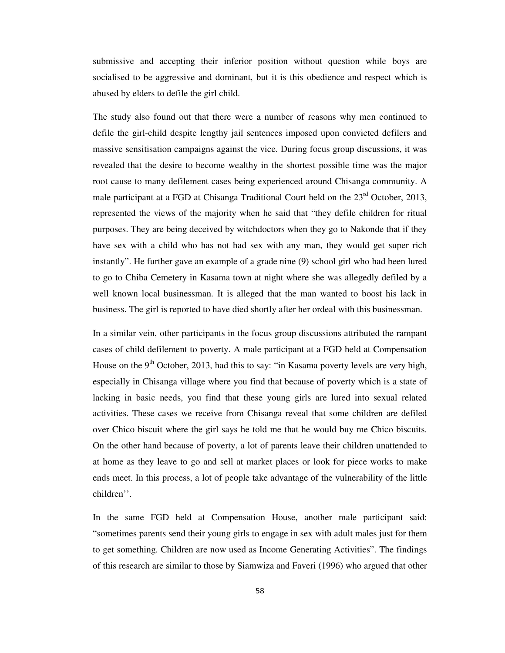submissive and accepting their inferior position without question while boys are socialised to be aggressive and dominant, but it is this obedience and respect which is abused by elders to defile the girl child.

The study also found out that there were a number of reasons why men continued to defile the girl-child despite lengthy jail sentences imposed upon convicted defilers and massive sensitisation campaigns against the vice. During focus group discussions, it was revealed that the desire to become wealthy in the shortest possible time was the major root cause to many defilement cases being experienced around Chisanga community. A male participant at a FGD at Chisanga Traditional Court held on the 23<sup>rd</sup> October, 2013, represented the views of the majority when he said that "they defile children for ritual purposes. They are being deceived by witchdoctors when they go to Nakonde that if they have sex with a child who has not had sex with any man, they would get super rich instantly". He further gave an example of a grade nine (9) school girl who had been lured to go to Chiba Cemetery in Kasama town at night where she was allegedly defiled by a well known local businessman. It is alleged that the man wanted to boost his lack in business. The girl is reported to have died shortly after her ordeal with this businessman.

In a similar vein, other participants in the focus group discussions attributed the rampant cases of child defilement to poverty. A male participant at a FGD held at Compensation House on the  $9<sup>th</sup>$  October, 2013, had this to say: "in Kasama poverty levels are very high, especially in Chisanga village where you find that because of poverty which is a state of lacking in basic needs, you find that these young girls are lured into sexual related activities. These cases we receive from Chisanga reveal that some children are defiled over Chico biscuit where the girl says he told me that he would buy me Chico biscuits. On the other hand because of poverty, a lot of parents leave their children unattended to at home as they leave to go and sell at market places or look for piece works to make ends meet. In this process, a lot of people take advantage of the vulnerability of the little children''.

In the same FGD held at Compensation House, another male participant said: "sometimes parents send their young girls to engage in sex with adult males just for them to get something. Children are now used as Income Generating Activities". The findings of this research are similar to those by Siamwiza and Faveri (1996) who argued that other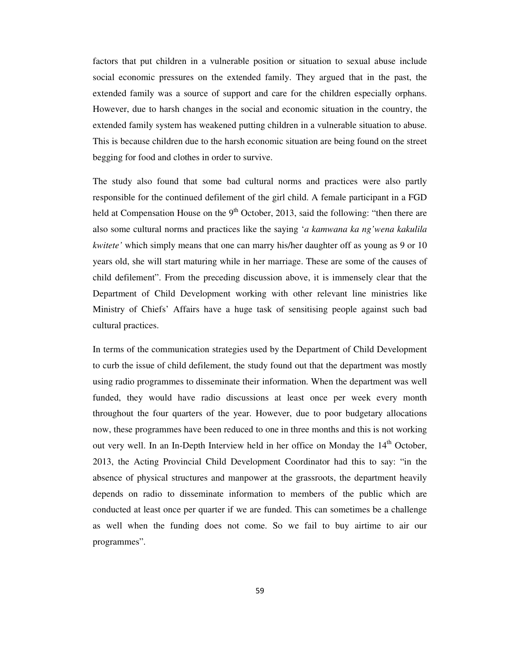factors that put children in a vulnerable position or situation to sexual abuse include social economic pressures on the extended family. They argued that in the past, the extended family was a source of support and care for the children especially orphans. However, due to harsh changes in the social and economic situation in the country, the extended family system has weakened putting children in a vulnerable situation to abuse. This is because children due to the harsh economic situation are being found on the street begging for food and clothes in order to survive.

The study also found that some bad cultural norms and practices were also partly responsible for the continued defilement of the girl child. A female participant in a FGD held at Compensation House on the  $9<sup>th</sup>$  October, 2013, said the following: "then there are also some cultural norms and practices like the saying '*a kamwana ka ng'wena kakulila kwitete'* which simply means that one can marry his/her daughter off as young as 9 or 10 years old, she will start maturing while in her marriage. These are some of the causes of child defilement". From the preceding discussion above, it is immensely clear that the Department of Child Development working with other relevant line ministries like Ministry of Chiefs' Affairs have a huge task of sensitising people against such bad cultural practices.

In terms of the communication strategies used by the Department of Child Development to curb the issue of child defilement, the study found out that the department was mostly using radio programmes to disseminate their information. When the department was well funded, they would have radio discussions at least once per week every month throughout the four quarters of the year. However, due to poor budgetary allocations now, these programmes have been reduced to one in three months and this is not working out very well. In an In-Depth Interview held in her office on Monday the  $14<sup>th</sup>$  October, 2013, the Acting Provincial Child Development Coordinator had this to say: "in the absence of physical structures and manpower at the grassroots, the department heavily depends on radio to disseminate information to members of the public which are conducted at least once per quarter if we are funded. This can sometimes be a challenge as well when the funding does not come. So we fail to buy airtime to air our programmes".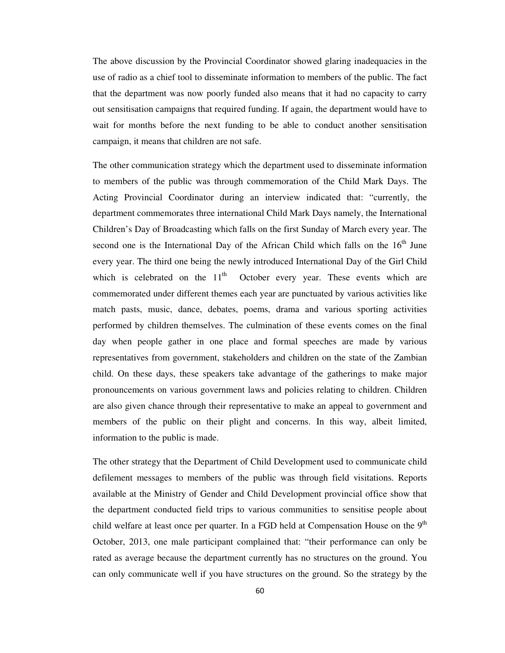The above discussion by the Provincial Coordinator showed glaring inadequacies in the use of radio as a chief tool to disseminate information to members of the public. The fact that the department was now poorly funded also means that it had no capacity to carry out sensitisation campaigns that required funding. If again, the department would have to wait for months before the next funding to be able to conduct another sensitisation campaign, it means that children are not safe.

The other communication strategy which the department used to disseminate information to members of the public was through commemoration of the Child Mark Days. The Acting Provincial Coordinator during an interview indicated that: "currently, the department commemorates three international Child Mark Days namely, the International Children's Day of Broadcasting which falls on the first Sunday of March every year. The second one is the International Day of the African Child which falls on the  $16<sup>th</sup>$  June every year. The third one being the newly introduced International Day of the Girl Child which is celebrated on the  $11<sup>th</sup>$  October every year. These events which are commemorated under different themes each year are punctuated by various activities like match pasts, music, dance, debates, poems, drama and various sporting activities performed by children themselves. The culmination of these events comes on the final day when people gather in one place and formal speeches are made by various representatives from government, stakeholders and children on the state of the Zambian child. On these days, these speakers take advantage of the gatherings to make major pronouncements on various government laws and policies relating to children. Children are also given chance through their representative to make an appeal to government and members of the public on their plight and concerns. In this way, albeit limited, information to the public is made.

The other strategy that the Department of Child Development used to communicate child defilement messages to members of the public was through field visitations. Reports available at the Ministry of Gender and Child Development provincial office show that the department conducted field trips to various communities to sensitise people about child welfare at least once per quarter. In a FGD held at Compensation House on the  $9<sup>th</sup>$ October, 2013, one male participant complained that: "their performance can only be rated as average because the department currently has no structures on the ground. You can only communicate well if you have structures on the ground. So the strategy by the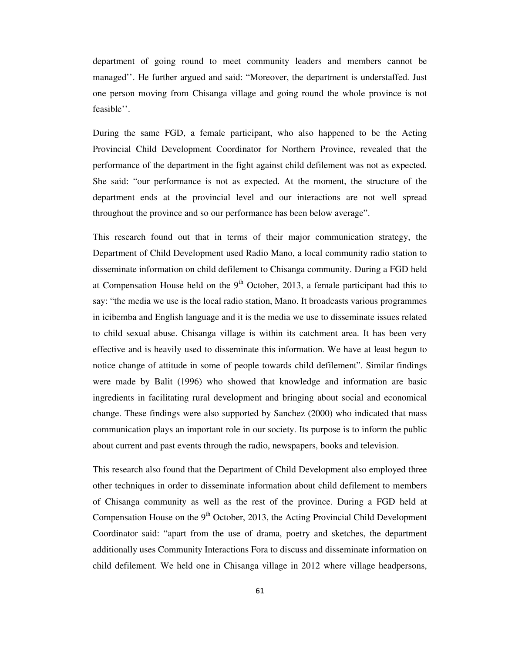department of going round to meet community leaders and members cannot be managed''. He further argued and said: "Moreover, the department is understaffed. Just one person moving from Chisanga village and going round the whole province is not feasible''.

During the same FGD, a female participant, who also happened to be the Acting Provincial Child Development Coordinator for Northern Province, revealed that the performance of the department in the fight against child defilement was not as expected. She said: "our performance is not as expected. At the moment, the structure of the department ends at the provincial level and our interactions are not well spread throughout the province and so our performance has been below average".

This research found out that in terms of their major communication strategy, the Department of Child Development used Radio Mano, a local community radio station to disseminate information on child defilement to Chisanga community. During a FGD held at Compensation House held on the  $9<sup>th</sup>$  October, 2013, a female participant had this to say: "the media we use is the local radio station, Mano. It broadcasts various programmes in icibemba and English language and it is the media we use to disseminate issues related to child sexual abuse. Chisanga village is within its catchment area. It has been very effective and is heavily used to disseminate this information. We have at least begun to notice change of attitude in some of people towards child defilement". Similar findings were made by Balit (1996) who showed that knowledge and information are basic ingredients in facilitating rural development and bringing about social and economical change. These findings were also supported by Sanchez (2000) who indicated that mass communication plays an important role in our society. Its purpose is to inform the public about current and past events through the radio, newspapers, books and television.

This research also found that the Department of Child Development also employed three other techniques in order to disseminate information about child defilement to members of Chisanga community as well as the rest of the province. During a FGD held at Compensation House on the  $9<sup>th</sup>$  October, 2013, the Acting Provincial Child Development Coordinator said: "apart from the use of drama, poetry and sketches, the department additionally uses Community Interactions Fora to discuss and disseminate information on child defilement. We held one in Chisanga village in 2012 where village headpersons,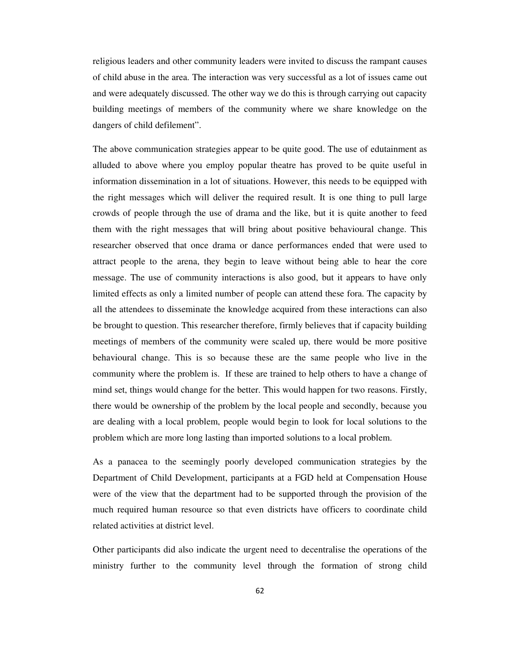religious leaders and other community leaders were invited to discuss the rampant causes of child abuse in the area. The interaction was very successful as a lot of issues came out and were adequately discussed. The other way we do this is through carrying out capacity building meetings of members of the community where we share knowledge on the dangers of child defilement".

The above communication strategies appear to be quite good. The use of edutainment as alluded to above where you employ popular theatre has proved to be quite useful in information dissemination in a lot of situations. However, this needs to be equipped with the right messages which will deliver the required result. It is one thing to pull large crowds of people through the use of drama and the like, but it is quite another to feed them with the right messages that will bring about positive behavioural change. This researcher observed that once drama or dance performances ended that were used to attract people to the arena, they begin to leave without being able to hear the core message. The use of community interactions is also good, but it appears to have only limited effects as only a limited number of people can attend these fora. The capacity by all the attendees to disseminate the knowledge acquired from these interactions can also be brought to question. This researcher therefore, firmly believes that if capacity building meetings of members of the community were scaled up, there would be more positive behavioural change. This is so because these are the same people who live in the community where the problem is. If these are trained to help others to have a change of mind set, things would change for the better. This would happen for two reasons. Firstly, there would be ownership of the problem by the local people and secondly, because you are dealing with a local problem, people would begin to look for local solutions to the problem which are more long lasting than imported solutions to a local problem.

As a panacea to the seemingly poorly developed communication strategies by the Department of Child Development, participants at a FGD held at Compensation House were of the view that the department had to be supported through the provision of the much required human resource so that even districts have officers to coordinate child related activities at district level.

Other participants did also indicate the urgent need to decentralise the operations of the ministry further to the community level through the formation of strong child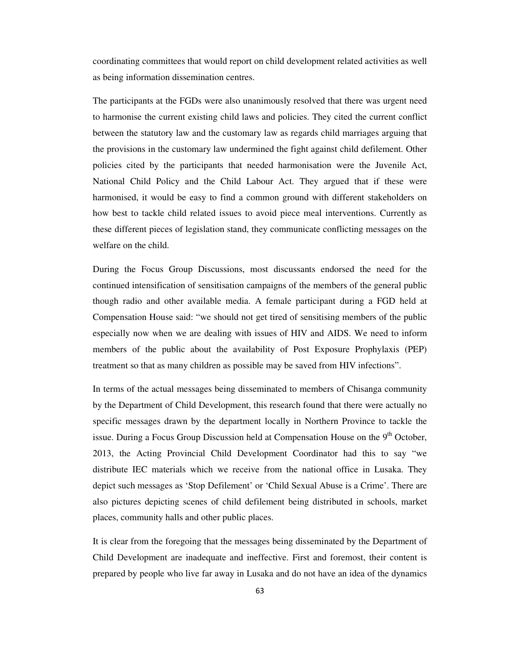coordinating committees that would report on child development related activities as well as being information dissemination centres.

The participants at the FGDs were also unanimously resolved that there was urgent need to harmonise the current existing child laws and policies. They cited the current conflict between the statutory law and the customary law as regards child marriages arguing that the provisions in the customary law undermined the fight against child defilement. Other policies cited by the participants that needed harmonisation were the Juvenile Act, National Child Policy and the Child Labour Act. They argued that if these were harmonised, it would be easy to find a common ground with different stakeholders on how best to tackle child related issues to avoid piece meal interventions. Currently as these different pieces of legislation stand, they communicate conflicting messages on the welfare on the child.

During the Focus Group Discussions, most discussants endorsed the need for the continued intensification of sensitisation campaigns of the members of the general public though radio and other available media. A female participant during a FGD held at Compensation House said: "we should not get tired of sensitising members of the public especially now when we are dealing with issues of HIV and AIDS. We need to inform members of the public about the availability of Post Exposure Prophylaxis (PEP) treatment so that as many children as possible may be saved from HIV infections".

In terms of the actual messages being disseminated to members of Chisanga community by the Department of Child Development, this research found that there were actually no specific messages drawn by the department locally in Northern Province to tackle the issue. During a Focus Group Discussion held at Compensation House on the 9<sup>th</sup> October, 2013, the Acting Provincial Child Development Coordinator had this to say "we distribute IEC materials which we receive from the national office in Lusaka. They depict such messages as 'Stop Defilement' or 'Child Sexual Abuse is a Crime'. There are also pictures depicting scenes of child defilement being distributed in schools, market places, community halls and other public places.

It is clear from the foregoing that the messages being disseminated by the Department of Child Development are inadequate and ineffective. First and foremost, their content is prepared by people who live far away in Lusaka and do not have an idea of the dynamics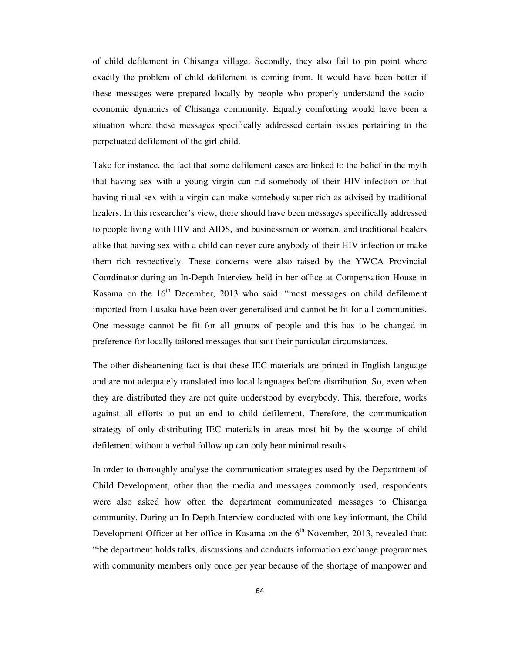of child defilement in Chisanga village. Secondly, they also fail to pin point where exactly the problem of child defilement is coming from. It would have been better if these messages were prepared locally by people who properly understand the socioeconomic dynamics of Chisanga community. Equally comforting would have been a situation where these messages specifically addressed certain issues pertaining to the perpetuated defilement of the girl child.

Take for instance, the fact that some defilement cases are linked to the belief in the myth that having sex with a young virgin can rid somebody of their HIV infection or that having ritual sex with a virgin can make somebody super rich as advised by traditional healers. In this researcher's view, there should have been messages specifically addressed to people living with HIV and AIDS, and businessmen or women, and traditional healers alike that having sex with a child can never cure anybody of their HIV infection or make them rich respectively. These concerns were also raised by the YWCA Provincial Coordinator during an In-Depth Interview held in her office at Compensation House in Kasama on the  $16<sup>th</sup>$  December, 2013 who said: "most messages on child defilement imported from Lusaka have been over-generalised and cannot be fit for all communities. One message cannot be fit for all groups of people and this has to be changed in preference for locally tailored messages that suit their particular circumstances.

The other disheartening fact is that these IEC materials are printed in English language and are not adequately translated into local languages before distribution. So, even when they are distributed they are not quite understood by everybody. This, therefore, works against all efforts to put an end to child defilement. Therefore, the communication strategy of only distributing IEC materials in areas most hit by the scourge of child defilement without a verbal follow up can only bear minimal results.

In order to thoroughly analyse the communication strategies used by the Department of Child Development, other than the media and messages commonly used, respondents were also asked how often the department communicated messages to Chisanga community. During an In-Depth Interview conducted with one key informant, the Child Development Officer at her office in Kasama on the  $6<sup>th</sup>$  November, 2013, revealed that: "the department holds talks, discussions and conducts information exchange programmes with community members only once per year because of the shortage of manpower and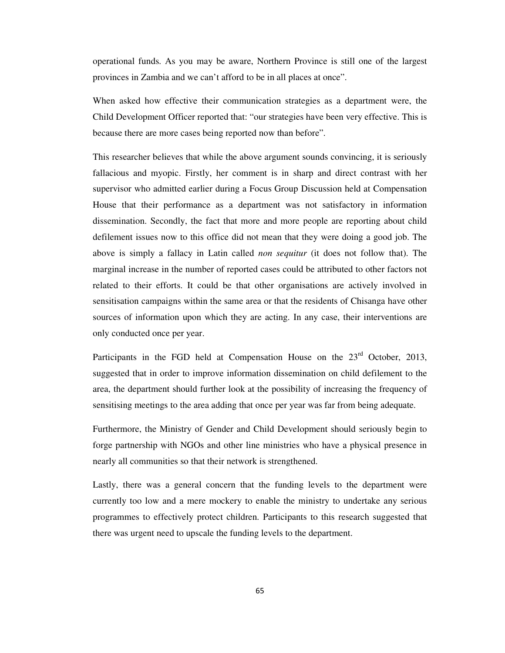operational funds. As you may be aware, Northern Province is still one of the largest provinces in Zambia and we can't afford to be in all places at once".

When asked how effective their communication strategies as a department were, the Child Development Officer reported that: "our strategies have been very effective. This is because there are more cases being reported now than before".

This researcher believes that while the above argument sounds convincing, it is seriously fallacious and myopic. Firstly, her comment is in sharp and direct contrast with her supervisor who admitted earlier during a Focus Group Discussion held at Compensation House that their performance as a department was not satisfactory in information dissemination. Secondly, the fact that more and more people are reporting about child defilement issues now to this office did not mean that they were doing a good job. The above is simply a fallacy in Latin called *non sequitur* (it does not follow that). The marginal increase in the number of reported cases could be attributed to other factors not related to their efforts. It could be that other organisations are actively involved in sensitisation campaigns within the same area or that the residents of Chisanga have other sources of information upon which they are acting. In any case, their interventions are only conducted once per year.

Participants in the FGD held at Compensation House on the  $23<sup>rd</sup>$  October, 2013, suggested that in order to improve information dissemination on child defilement to the area, the department should further look at the possibility of increasing the frequency of sensitising meetings to the area adding that once per year was far from being adequate.

Furthermore, the Ministry of Gender and Child Development should seriously begin to forge partnership with NGOs and other line ministries who have a physical presence in nearly all communities so that their network is strengthened.

Lastly, there was a general concern that the funding levels to the department were currently too low and a mere mockery to enable the ministry to undertake any serious programmes to effectively protect children. Participants to this research suggested that there was urgent need to upscale the funding levels to the department.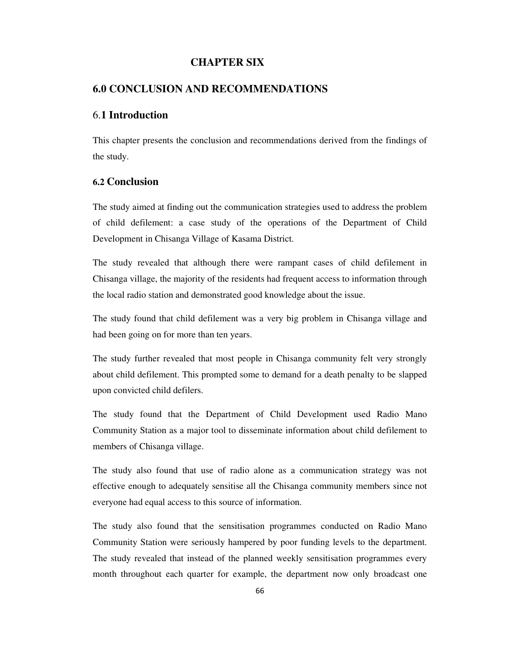# **CHAPTER SIX**

# **6.0 CONCLUSION AND RECOMMENDATIONS**

# 6.**1 Introduction**

This chapter presents the conclusion and recommendations derived from the findings of the study.

# **6.2 Conclusion**

The study aimed at finding out the communication strategies used to address the problem of child defilement: a case study of the operations of the Department of Child Development in Chisanga Village of Kasama District.

The study revealed that although there were rampant cases of child defilement in Chisanga village, the majority of the residents had frequent access to information through the local radio station and demonstrated good knowledge about the issue.

The study found that child defilement was a very big problem in Chisanga village and had been going on for more than ten years.

The study further revealed that most people in Chisanga community felt very strongly about child defilement. This prompted some to demand for a death penalty to be slapped upon convicted child defilers.

The study found that the Department of Child Development used Radio Mano Community Station as a major tool to disseminate information about child defilement to members of Chisanga village.

The study also found that use of radio alone as a communication strategy was not effective enough to adequately sensitise all the Chisanga community members since not everyone had equal access to this source of information.

The study also found that the sensitisation programmes conducted on Radio Mano Community Station were seriously hampered by poor funding levels to the department. The study revealed that instead of the planned weekly sensitisation programmes every month throughout each quarter for example, the department now only broadcast one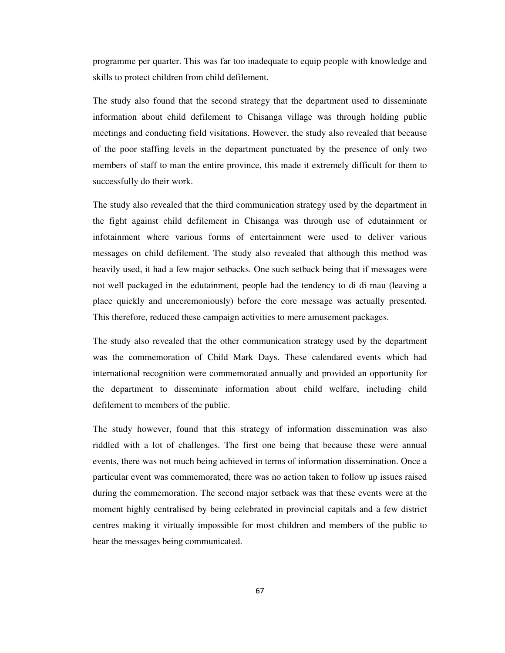programme per quarter. This was far too inadequate to equip people with knowledge and skills to protect children from child defilement.

The study also found that the second strategy that the department used to disseminate information about child defilement to Chisanga village was through holding public meetings and conducting field visitations. However, the study also revealed that because of the poor staffing levels in the department punctuated by the presence of only two members of staff to man the entire province, this made it extremely difficult for them to successfully do their work.

The study also revealed that the third communication strategy used by the department in the fight against child defilement in Chisanga was through use of edutainment or infotainment where various forms of entertainment were used to deliver various messages on child defilement. The study also revealed that although this method was heavily used, it had a few major setbacks. One such setback being that if messages were not well packaged in the edutainment, people had the tendency to di di mau (leaving a place quickly and unceremoniously) before the core message was actually presented. This therefore, reduced these campaign activities to mere amusement packages.

The study also revealed that the other communication strategy used by the department was the commemoration of Child Mark Days. These calendared events which had international recognition were commemorated annually and provided an opportunity for the department to disseminate information about child welfare, including child defilement to members of the public.

The study however, found that this strategy of information dissemination was also riddled with a lot of challenges. The first one being that because these were annual events, there was not much being achieved in terms of information dissemination. Once a particular event was commemorated, there was no action taken to follow up issues raised during the commemoration. The second major setback was that these events were at the moment highly centralised by being celebrated in provincial capitals and a few district centres making it virtually impossible for most children and members of the public to hear the messages being communicated.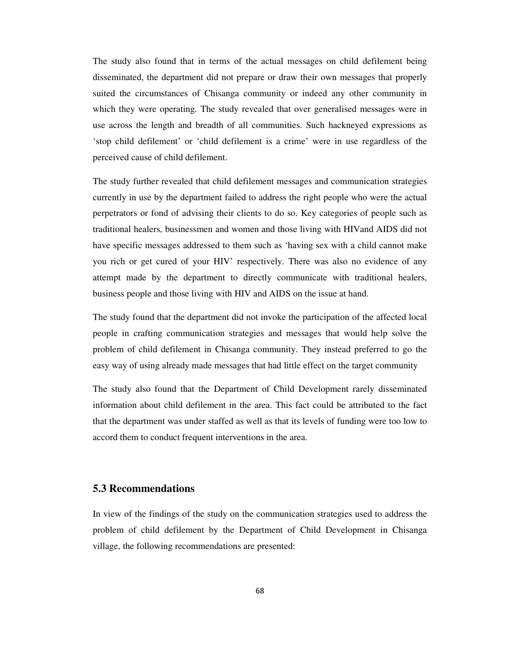The study also found that in terms of the actual messages on child defilement being disseminated, the department did not prepare or draw their own messages that properly suited the circumstances of Chisanga community or indeed any other community in which they were operating. The study revealed that over generalised messages were in use across the length and breadth of all communities. Such hackneyed expressions as 'stop child defilement' or 'child defilement is a crime' were in use regardless of the perceived cause of child defilement.

The study further revealed that child defilement messages and communication strategies currently in use by the department failed to address the right people who were the actual perpetrators or fond of advising their clients to do so. Key categories of people such as traditional healers, businessmen and women and those living with HIVand AIDS did not have specific messages addressed to them such as 'having sex with a child cannot make you rich or get cured of your HIV' respectively. There was also no evidence of any attempt made by the department to directly communicate with traditional healers, business people and those living with HIV and AIDS on the issue at hand.

The study found that the department did not invoke the participation of the affected local people in crafting communication strategies and messages that would help solve the problem of child defilement in Chisanga community. They instead preferred to go the easy way of using already made messages that had little effect on the target community

The study also found that the Department of Child Development rarely disseminated information about child defilement in the area. This fact could be attributed to the fact that the department was under staffed as well as that its levels of funding were too low to accord them to conduct frequent interventions in the area.

# **5.3 Recommendations**

In view of the findings of the study on the communication strategies used to address the problem of child defilement by the Department of Child Development in Chisanga village, the following recommendations are presented: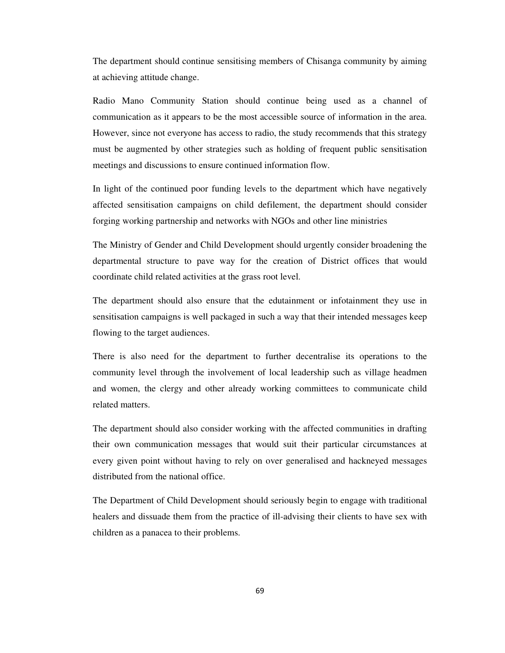The department should continue sensitising members of Chisanga community by aiming at achieving attitude change.

Radio Mano Community Station should continue being used as a channel of communication as it appears to be the most accessible source of information in the area. However, since not everyone has access to radio, the study recommends that this strategy must be augmented by other strategies such as holding of frequent public sensitisation meetings and discussions to ensure continued information flow.

In light of the continued poor funding levels to the department which have negatively affected sensitisation campaigns on child defilement, the department should consider forging working partnership and networks with NGOs and other line ministries

The Ministry of Gender and Child Development should urgently consider broadening the departmental structure to pave way for the creation of District offices that would coordinate child related activities at the grass root level.

The department should also ensure that the edutainment or infotainment they use in sensitisation campaigns is well packaged in such a way that their intended messages keep flowing to the target audiences.

There is also need for the department to further decentralise its operations to the community level through the involvement of local leadership such as village headmen and women, the clergy and other already working committees to communicate child related matters.

The department should also consider working with the affected communities in drafting their own communication messages that would suit their particular circumstances at every given point without having to rely on over generalised and hackneyed messages distributed from the national office.

The Department of Child Development should seriously begin to engage with traditional healers and dissuade them from the practice of ill-advising their clients to have sex with children as a panacea to their problems.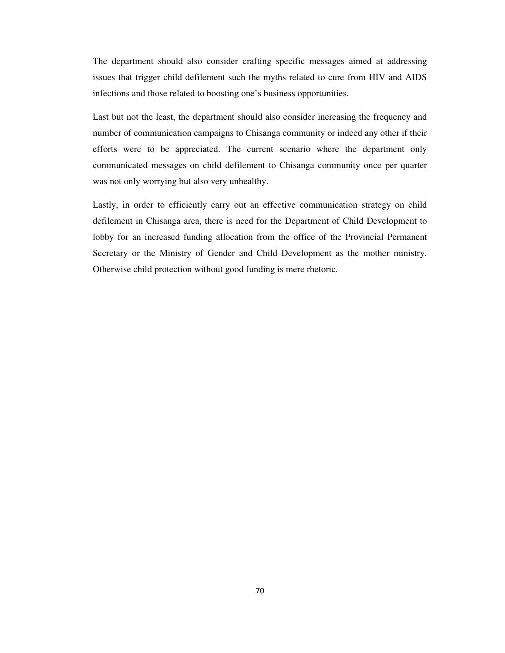The department should also consider crafting specific messages aimed at addressing issues that trigger child defilement such the myths related to cure from HIV and AIDS infections and those related to boosting one's business opportunities.

Last but not the least, the department should also consider increasing the frequency and number of communication campaigns to Chisanga community or indeed any other if their efforts were to be appreciated. The current scenario where the department only communicated messages on child defilement to Chisanga community once per quarter was not only worrying but also very unhealthy.

Lastly, in order to efficiently carry out an effective communication strategy on child defilement in Chisanga area, there is need for the Department of Child Development to lobby for an increased funding allocation from the office of the Provincial Permanent Secretary or the Ministry of Gender and Child Development as the mother ministry. Otherwise child protection without good funding is mere rhetoric.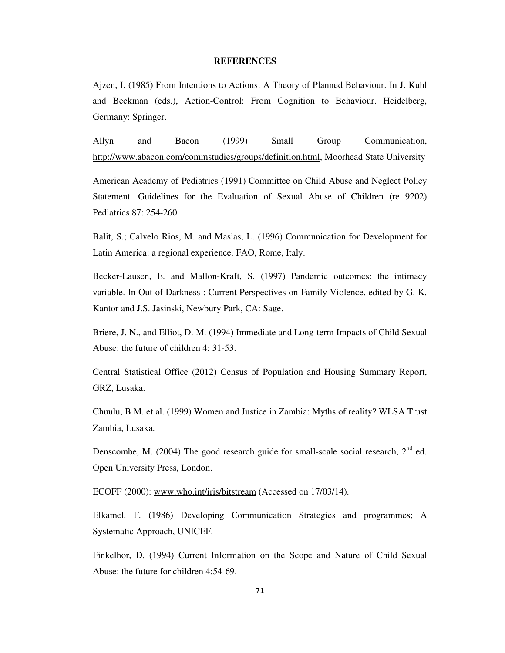#### **REFERENCES**

Ajzen, I. (1985) From Intentions to Actions: A Theory of Planned Behaviour. In J. Kuhl and Beckman (eds.), Action-Control: From Cognition to Behaviour. Heidelberg, Germany: Springer.

Allyn and Bacon (1999) Small Group Communication, http://www.abacon.com/commstudies/groups/definition.html, Moorhead State University

American Academy of Pediatrics (1991) Committee on Child Abuse and Neglect Policy Statement. Guidelines for the Evaluation of Sexual Abuse of Children (re 9202) Pediatrics 87: 254-260.

Balit, S.; Calvelo Rios, M. and Masias, L. (1996) Communication for Development for Latin America: a regional experience. FAO, Rome, Italy.

Becker-Lausen, E. and Mallon-Kraft, S. (1997) Pandemic outcomes: the intimacy variable. In Out of Darkness : Current Perspectives on Family Violence, edited by G. K. Kantor and J.S. Jasinski, Newbury Park, CA: Sage.

Briere, J. N., and Elliot, D. M. (1994) Immediate and Long-term Impacts of Child Sexual Abuse: the future of children 4: 31-53.

Central Statistical Office (2012) Census of Population and Housing Summary Report, GRZ, Lusaka.

Chuulu, B.M. et al. (1999) Women and Justice in Zambia: Myths of reality? WLSA Trust Zambia, Lusaka.

Denscombe, M. (2004) The good research guide for small-scale social research,  $2<sup>nd</sup>$  ed. Open University Press, London.

ECOFF (2000): www.who.int/iris/bitstream (Accessed on 17/03/14).

Elkamel, F. (1986) Developing Communication Strategies and programmes; A Systematic Approach, UNICEF.

Finkelhor, D. (1994) Current Information on the Scope and Nature of Child Sexual Abuse: the future for children 4:54-69.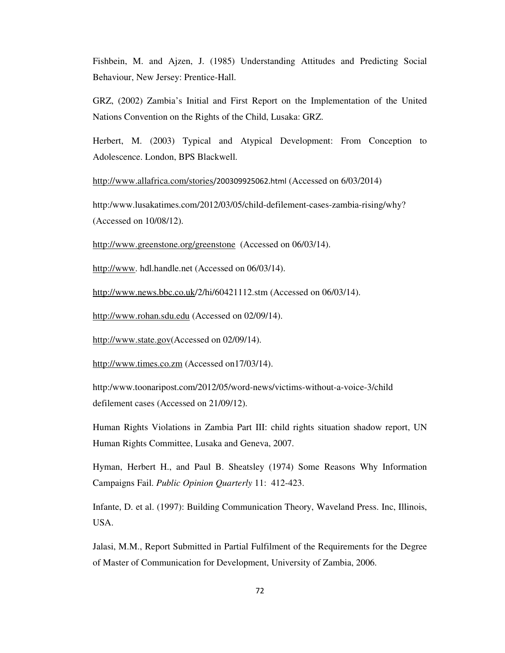Fishbein, M. and Ajzen, J. (1985) Understanding Attitudes and Predicting Social Behaviour, New Jersey: Prentice-Hall.

GRZ, (2002) Zambia's Initial and First Report on the Implementation of the United Nations Convention on the Rights of the Child, Lusaka: GRZ.

Herbert, M. (2003) Typical and Atypical Development: From Conception to Adolescence. London, BPS Blackwell.

http://www.allafrica.com/stories/200309925062.html (Accessed on 6/03/2014)

http:/www.lusakatimes.com/2012/03/05/child-defilement-cases-zambia-rising/why? (Accessed on 10/08/12).

http://www.greenstone.org/greenstone (Accessed on 06/03/14).

http://www. hdl.handle.net (Accessed on 06/03/14).

http://www.news.bbc.co.uk/2/hi/60421112.stm (Accessed on 06/03/14).

http://www.rohan.sdu.edu (Accessed on 02/09/14).

http://www.state.gov(Accessed on 02/09/14).

http://www.times.co.zm (Accessed on17/03/14).

http:/www.toonaripost.com/2012/05/word-news/victims-without-a-voice-3/child defilement cases (Accessed on 21/09/12).

Human Rights Violations in Zambia Part III: child rights situation shadow report, UN Human Rights Committee, Lusaka and Geneva, 2007.

Hyman, Herbert H., and Paul B. Sheatsley (1974) Some Reasons Why Information Campaigns Fail. *Public Opinion Quarterly* 11: 412-423.

Infante, D. et al. (1997): Building Communication Theory, Waveland Press. Inc, Illinois, USA.

Jalasi, M.M., Report Submitted in Partial Fulfilment of the Requirements for the Degree of Master of Communication for Development, University of Zambia, 2006.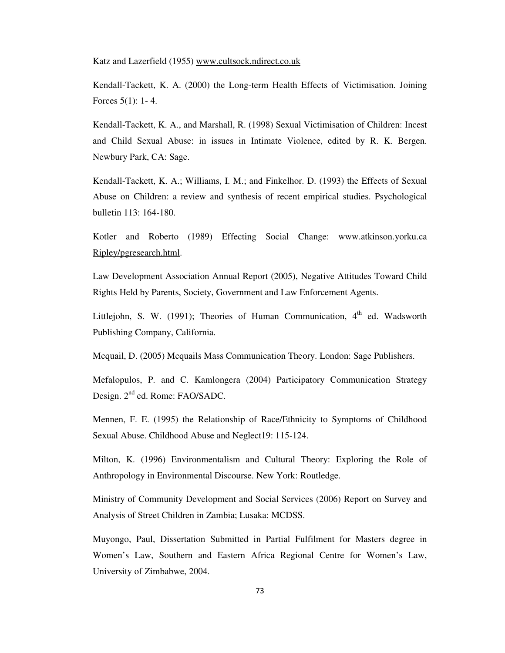Katz and Lazerfield (1955) www.cultsock.ndirect.co.uk

Kendall-Tackett, K. A. (2000) the Long-term Health Effects of Victimisation. Joining Forces 5(1): 1- 4.

Kendall-Tackett, K. A., and Marshall, R. (1998) Sexual Victimisation of Children: Incest and Child Sexual Abuse: in issues in Intimate Violence, edited by R. K. Bergen. Newbury Park, CA: Sage.

Kendall-Tackett, K. A.; Williams, I. M.; and Finkelhor. D. (1993) the Effects of Sexual Abuse on Children: a review and synthesis of recent empirical studies. Psychological bulletin 113: 164-180.

Kotler and Roberto (1989) Effecting Social Change: www.atkinson.yorku.ca Ripley/pgresearch.html.

Law Development Association Annual Report (2005), Negative Attitudes Toward Child Rights Held by Parents, Society, Government and Law Enforcement Agents.

Littlejohn, S. W. (1991); Theories of Human Communication,  $4<sup>th</sup>$  ed. Wadsworth Publishing Company, California.

Mcquail, D. (2005) Mcquails Mass Communication Theory. London: Sage Publishers.

Mefalopulos, P. and C. Kamlongera (2004) Participatory Communication Strategy Design. 2<sup>nd</sup> ed. Rome: FAO/SADC.

Mennen, F. E. (1995) the Relationship of Race/Ethnicity to Symptoms of Childhood Sexual Abuse. Childhood Abuse and Neglect19: 115-124.

Milton, K. (1996) Environmentalism and Cultural Theory: Exploring the Role of Anthropology in Environmental Discourse. New York: Routledge.

Ministry of Community Development and Social Services (2006) Report on Survey and Analysis of Street Children in Zambia; Lusaka: MCDSS.

Muyongo, Paul, Dissertation Submitted in Partial Fulfilment for Masters degree in Women's Law, Southern and Eastern Africa Regional Centre for Women's Law, University of Zimbabwe, 2004.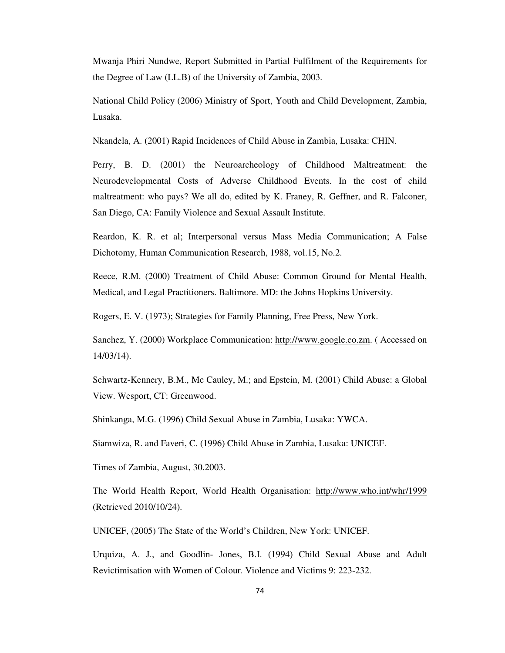Mwanja Phiri Nundwe, Report Submitted in Partial Fulfilment of the Requirements for the Degree of Law (LL.B) of the University of Zambia, 2003.

National Child Policy (2006) Ministry of Sport, Youth and Child Development, Zambia, Lusaka.

Nkandela, A. (2001) Rapid Incidences of Child Abuse in Zambia, Lusaka: CHIN.

Perry, B. D. (2001) the Neuroarcheology of Childhood Maltreatment: the Neurodevelopmental Costs of Adverse Childhood Events. In the cost of child maltreatment: who pays? We all do, edited by K. Franey, R. Geffner, and R. Falconer, San Diego, CA: Family Violence and Sexual Assault Institute.

Reardon, K. R. et al; Interpersonal versus Mass Media Communication; A False Dichotomy, Human Communication Research, 1988, vol.15, No.2.

Reece, R.M. (2000) Treatment of Child Abuse: Common Ground for Mental Health, Medical, and Legal Practitioners. Baltimore. MD: the Johns Hopkins University.

Rogers, E. V. (1973); Strategies for Family Planning, Free Press, New York.

Sanchez, Y. (2000) Workplace Communication: http://www.google.co.zm. ( Accessed on 14/03/14).

Schwartz-Kennery, B.M., Mc Cauley, M.; and Epstein, M. (2001) Child Abuse: a Global View. Wesport, CT: Greenwood.

Shinkanga, M.G. (1996) Child Sexual Abuse in Zambia, Lusaka: YWCA.

Siamwiza, R. and Faveri, C. (1996) Child Abuse in Zambia, Lusaka: UNICEF.

Times of Zambia, August, 30.2003.

The World Health Report, World Health Organisation: http://www.who.int/whr/1999 (Retrieved 2010/10/24).

UNICEF, (2005) The State of the World's Children, New York: UNICEF.

Urquiza, A. J., and Goodlin- Jones, B.I. (1994) Child Sexual Abuse and Adult Revictimisation with Women of Colour. Violence and Victims 9: 223-232.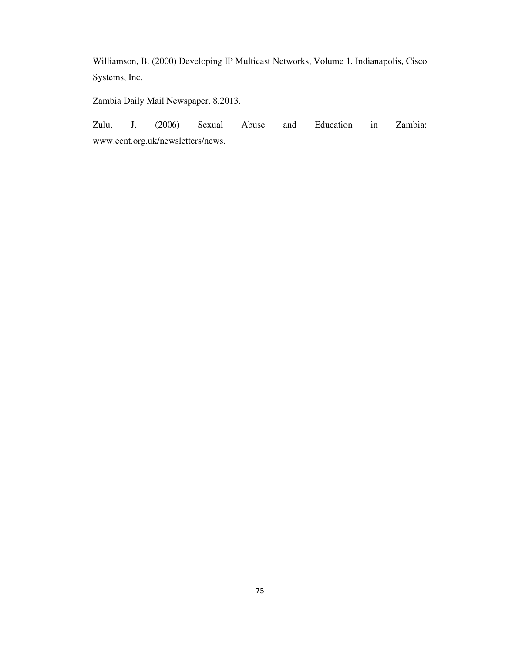Williamson, B. (2000) Developing IP Multicast Networks, Volume 1. Indianapolis, Cisco Systems, Inc.

Zambia Daily Mail Newspaper, 8.2013.

Zulu, J. (2006) Sexual Abuse and Education in Zambia: www.eent.org.uk/newsletters/news.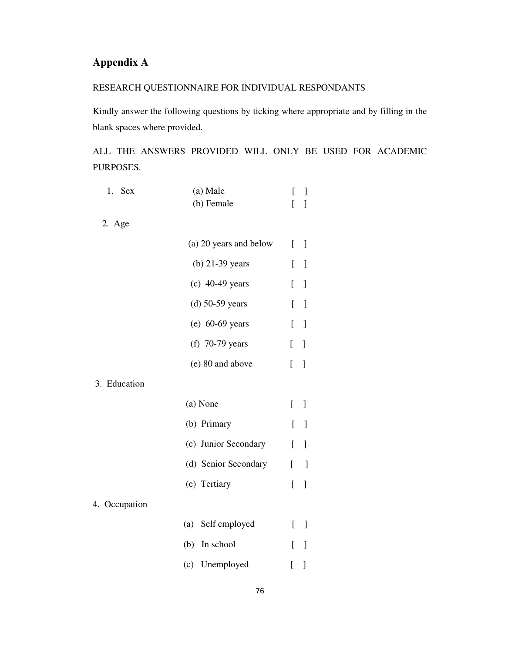## **Appendix A**

### RESEARCH QUESTIONNAIRE FOR INDIVIDUAL RESPONDANTS

Kindly answer the following questions by ticking where appropriate and by filling in the blank spaces where provided.

ALL THE ANSWERS PROVIDED WILL ONLY BE USED FOR ACADEMIC PURPOSES.

| 1.<br>Sex     | (a) Male               | [            | 1            |
|---------------|------------------------|--------------|--------------|
|               | (b) Female             | Ĺ            | 1            |
| 2. Age        |                        |              |              |
|               | (a) 20 years and below | L            | $\mathbf{I}$ |
|               | $(b)$ 21-39 years      | [            | 1            |
|               | $(c)$ 40-49 years      | ſ            | ]            |
|               | $(d)$ 50-59 years      | ſ            | $\mathbf{I}$ |
|               | $(e)$ 60-69 years      | ſ            | 1            |
|               | $(f)$ 70-79 years      | [            | ]            |
|               | (e) 80 and above       | [            | 1            |
| 3. Education  |                        |              |              |
|               | (a) None               | [            | 1            |
|               | (b) Primary            | [            | $\mathbf{I}$ |
|               | (c) Junior Secondary   | <sub>[</sub> | 1            |
|               | (d) Senior Secondary   | ſ            | $\mathbf{I}$ |
|               | (e) Tertiary           | [            | 1            |
| 4. Occupation |                        |              |              |
|               | Self employed<br>(a)   | ſ            | $\mathbf{I}$ |
|               | In school<br>(b)       | ſ            | 1            |
|               | (c) Unemployed         | ſ            | 1            |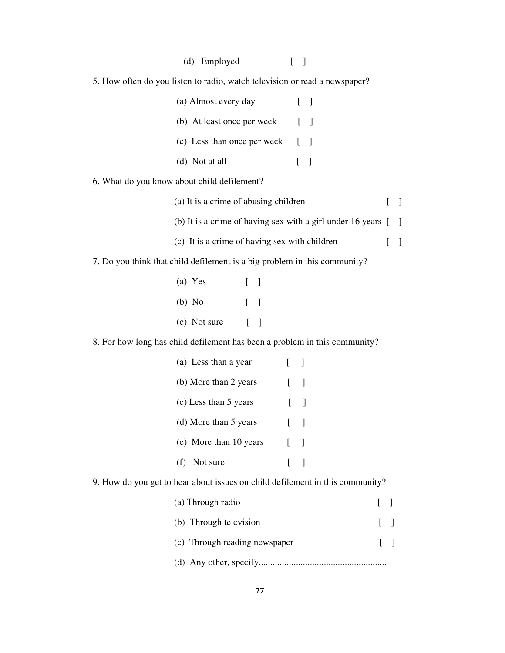| (d) Employed<br>$[\ ]$                                                        |                               |        |
|-------------------------------------------------------------------------------|-------------------------------|--------|
| 5. How often do you listen to radio, watch television or read a newspaper?    |                               |        |
| (a) Almost every day<br>$\begin{bmatrix} 1 \end{bmatrix}$                     |                               |        |
| (b) At least once per week<br>$[\ ]$                                          |                               |        |
| (c) Less than once per week<br>$[\ ]$                                         |                               |        |
| (d) Not at all<br>$[ \ ]$                                                     |                               |        |
| 6. What do you know about child defilement?                                   |                               |        |
| (a) It is a crime of abusing children                                         | $\Gamma$                      | $\Box$ |
| (b) It is a crime of having sex with a girl under 16 years [                  |                               | -1     |
| (c) It is a crime of having sex with children                                 | $\Gamma$                      | -1     |
| 7. Do you think that child defilement is a big problem in this community?     |                               |        |
| (a) Yes<br>$[\ ]$                                                             |                               |        |
| $(b)$ No<br>$[\ ]$                                                            |                               |        |
| (c) Not sure $[ ]$                                                            |                               |        |
| 8. For how long has child defilement has been a problem in this community?    |                               |        |
| (a) Less than a year<br>$\begin{bmatrix} 1 \end{bmatrix}$                     |                               |        |
| (b) More than 2 years<br>$\blacksquare$                                       |                               |        |
| (c) Less than 5 years<br>$\Gamma$<br>$\Box$                                   |                               |        |
| (d) More than 5 years                                                         |                               |        |
| (e) More than 10 years<br>$\left[ \right]$<br>$\mathbf{I}$                    |                               |        |
| Not sure<br>(f)<br>$\Gamma$<br>$\mathbf{1}$                                   |                               |        |
| 9. How do you get to hear about issues on child defilement in this community? |                               |        |
| (a) Through radio                                                             | L<br>$\overline{\phantom{a}}$ |        |
| (b) Through television                                                        | L<br>J                        |        |
| (c) Through reading newspaper                                                 | L<br>J                        |        |

(d) Any other, specify.......................................................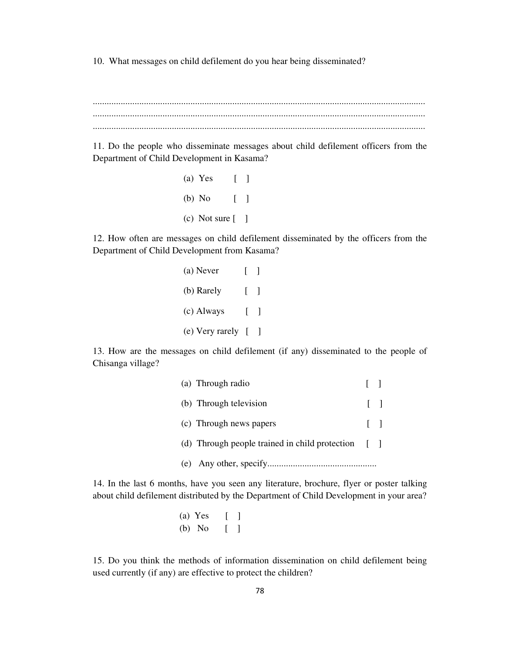10. What messages on child defilement do you hear being disseminated?

............................................................................................................................................... ............................................................................................................................................... ...............................................................................................................................................

11. Do the people who disseminate messages about child defilement officers from the Department of Child Development in Kasama?

> (a) Yes [ ] (b) No [ ]  $(c)$  Not sure  $\begin{bmatrix} 1 \end{bmatrix}$

12. How often are messages on child defilement disseminated by the officers from the Department of Child Development from Kasama?

| (a) Never               | $\Box$            |  |
|-------------------------|-------------------|--|
| (b) Rarely              | $\sim$ 1 $\sim$ 1 |  |
| (c) Always              | - 120 - 1         |  |
| (e) Very rarely $[ \ ]$ |                   |  |

13. How are the messages on child defilement (if any) disseminated to the people of Chisanga village?

| (a) Through radio                                  |        |
|----------------------------------------------------|--------|
| (b) Through television                             | $\Box$ |
| (c) Through news papers                            | $\Box$ |
| (d) Through people trained in child protection [ ] |        |
|                                                    |        |

14. In the last 6 months, have you seen any literature, brochure, flyer or poster talking about child defilement distributed by the Department of Child Development in your area?

> (a) Yes [ ] (b) No [ ]

15. Do you think the methods of information dissemination on child defilement being used currently (if any) are effective to protect the children?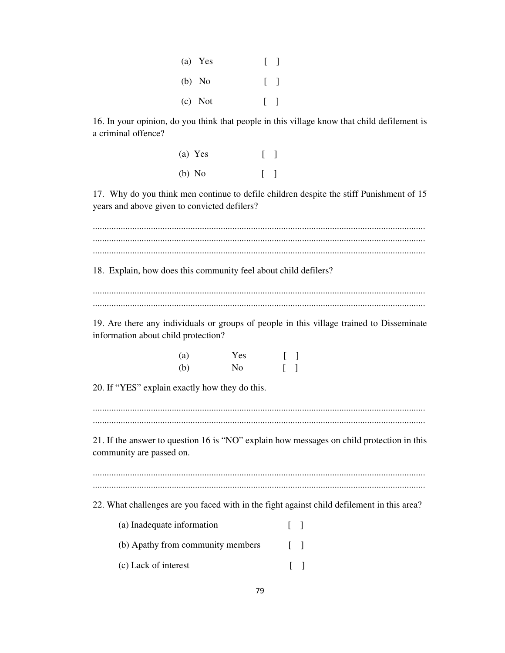| $(a)$ Yes | $\begin{bmatrix} 1 \end{bmatrix}$ |  |
|-----------|-----------------------------------|--|
| $(b)$ No  | $\begin{bmatrix} 1 \end{bmatrix}$ |  |
| $(c)$ Not | $\begin{bmatrix} 1 \end{bmatrix}$ |  |

16. In your opinion, do you think that people in this village know that child defilement is a criminal offence?

| $(a)$ Yes | $[\ ]$                            |
|-----------|-----------------------------------|
| $(b)$ No  | $\begin{bmatrix} 1 \end{bmatrix}$ |

17. Why do you think men continue to defile children despite the stiff Punishment of 15 years and above given to convicted defilers?

............................................................................................................................................... ............................................................................................................................................... ............................................................................................................................................... 18. Explain, how does this community feel about child defilers? ............................................................................................................................................... ............................................................................................................................................... 19. Are there any individuals or groups of people in this village trained to Disseminate information about child protection? (a) Yes [ ] (b) No [ ] 20. If "YES" explain exactly how they do this. ............................................................................................................................................... ............................................................................................................................................... 21. If the answer to question 16 is "NO" explain how messages on child protection in this community are passed on. ............................................................................................................................................... ............................................................................................................................................... 22. What challenges are you faced with in the fight against child defilement in this area? (a) Inadequate information [ ] (b) Apathy from community members [ ] (c) Lack of interest [ ]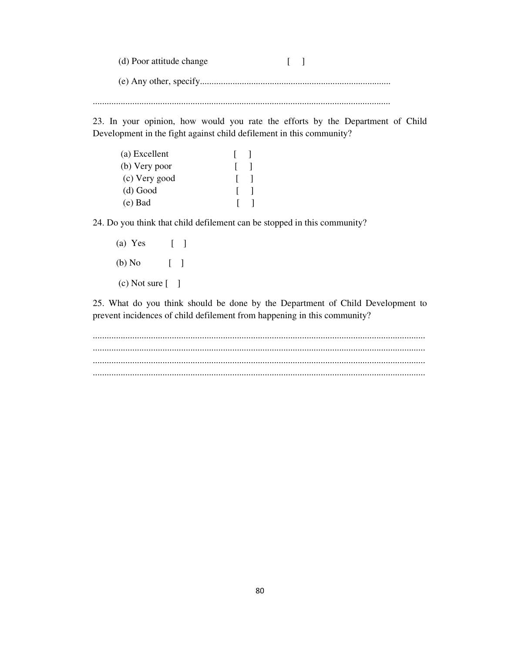(d) Poor attitude change [ ] (e) Any other, specify.................................................................................. ................................................................................................................................

23. In your opinion, how would you rate the efforts by the Department of Child Development in the fight against child defilement in this community?

| (a) Excellent |   |  |
|---------------|---|--|
| (b) Very poor |   |  |
| (c) Very good | L |  |
| $(d)$ Good    |   |  |
| $(e)$ Bad     |   |  |

24. Do you think that child defilement can be stopped in this community?

 (a) Yes [ ] (b) No [ ]  $(c)$  Not sure  $[$  ]

25. What do you think should be done by the Department of Child Development to prevent incidences of child defilement from happening in this community?

............................................................................................................................................... ............................................................................................................................................... ............................................................................................................................................... ...............................................................................................................................................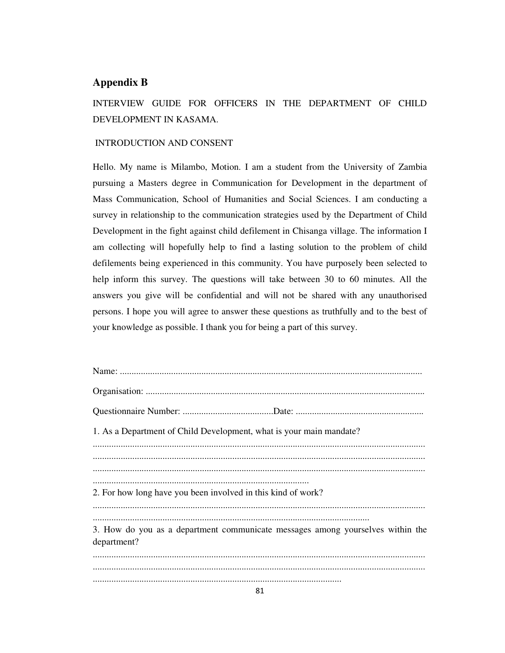#### **Appendix B**

INTERVIEW GUIDE FOR OFFICERS IN THE DEPARTMENT OF CHILD DEVELOPMENT IN KASAMA.

#### INTRODUCTION AND CONSENT

Hello. My name is Milambo, Motion. I am a student from the University of Zambia pursuing a Masters degree in Communication for Development in the department of Mass Communication, School of Humanities and Social Sciences. I am conducting a survey in relationship to the communication strategies used by the Department of Child Development in the fight against child defilement in Chisanga village. The information I am collecting will hopefully help to find a lasting solution to the problem of child defilements being experienced in this community. You have purposely been selected to help inform this survey. The questions will take between 30 to 60 minutes. All the answers you give will be confidential and will not be shared with any unauthorised persons. I hope you will agree to answer these questions as truthfully and to the best of your knowledge as possible. I thank you for being a part of this survey.

| 1. As a Department of Child Development, what is your main mandate?                           |
|-----------------------------------------------------------------------------------------------|
|                                                                                               |
| 2. For how long have you been involved in this kind of work?                                  |
| 3. How do you as a department communicate messages among yourselves within the<br>department? |
|                                                                                               |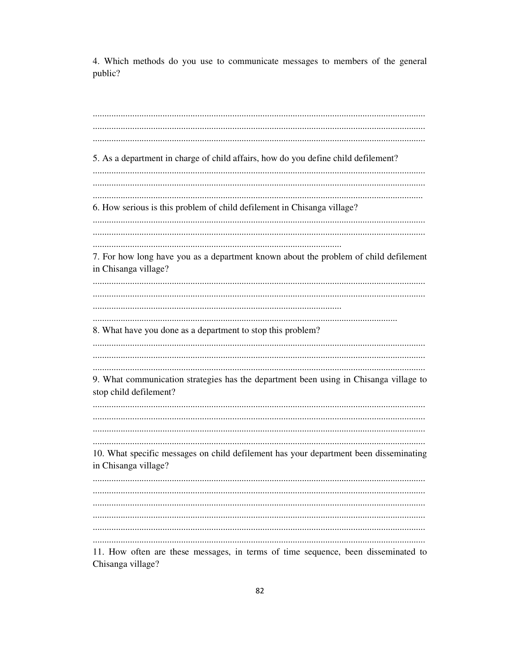4. Which methods do you use to communicate messages to members of the general public?

5. As a department in charge of child affairs, how do you define child defilement? 6. How serious is this problem of child defilement in Chisanga village? 7. For how long have you as a department known about the problem of child defilement in Chisanga village? 8. What have you done as a department to stop this problem? 9. What communication strategies has the department been using in Chisanga village to stop child defilement? 10. What specific messages on child defilement has your department been disseminating in Chisanga village? 11. How often are these messages, in terms of time sequence, been disseminated to

82

Chisanga village?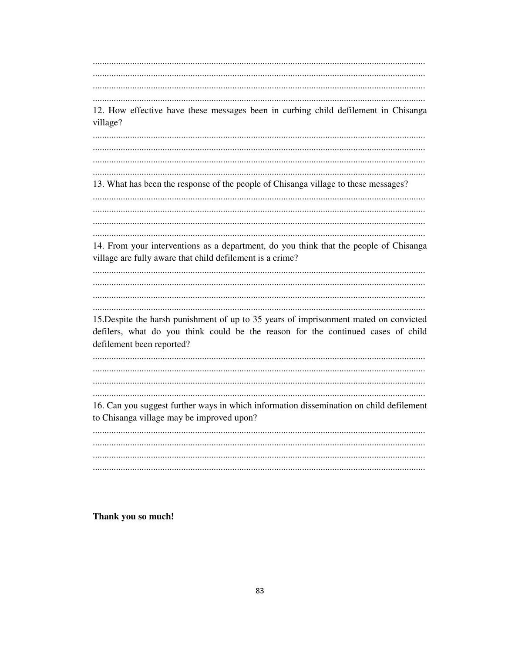12. How effective have these messages been in curbing child defilement in Chisanga village? 13. What has been the response of the people of Chisanga village to these messages? 14. From your interventions as a department, do you think that the people of Chisanga village are fully aware that child defilement is a crime? 15. Despite the harsh punishment of up to 35 years of imprisonment mated on convicted defilers, what do you think could be the reason for the continued cases of child defilement been reported? 16. Can you suggest further ways in which information dissemination on child defilement to Chisanga village may be improved upon? 

Thank you so much!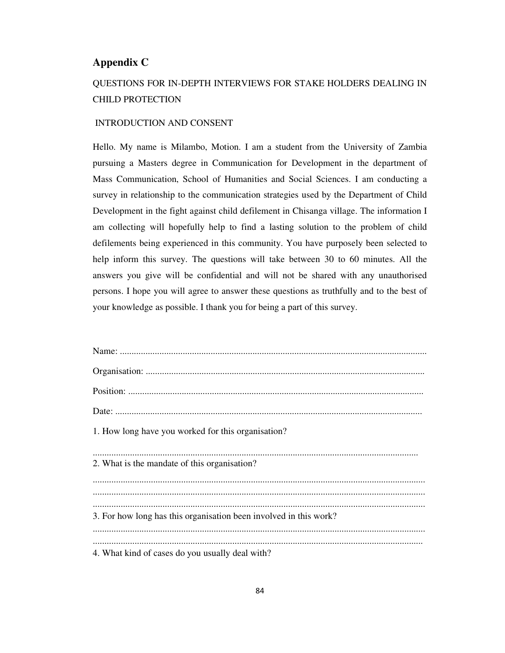#### **Appendix C**

# QUESTIONS FOR IN-DEPTH INTERVIEWS FOR STAKE HOLDERS DEALING IN CHILD PROTECTION

#### INTRODUCTION AND CONSENT

Hello. My name is Milambo, Motion. I am a student from the University of Zambia pursuing a Masters degree in Communication for Development in the department of Mass Communication, School of Humanities and Social Sciences. I am conducting a survey in relationship to the communication strategies used by the Department of Child Development in the fight against child defilement in Chisanga village. The information I am collecting will hopefully help to find a lasting solution to the problem of child defilements being experienced in this community. You have purposely been selected to help inform this survey. The questions will take between 30 to 60 minutes. All the answers you give will be confidential and will not be shared with any unauthorised persons. I hope you will agree to answer these questions as truthfully and to the best of your knowledge as possible. I thank you for being a part of this survey.

| 1. How long have you worked for this organisation?                |
|-------------------------------------------------------------------|
| 2. What is the mandate of this organisation?                      |
|                                                                   |
| 3. For how long has this organisation been involved in this work? |
| 4. What kind of cases do you usually deal with?                   |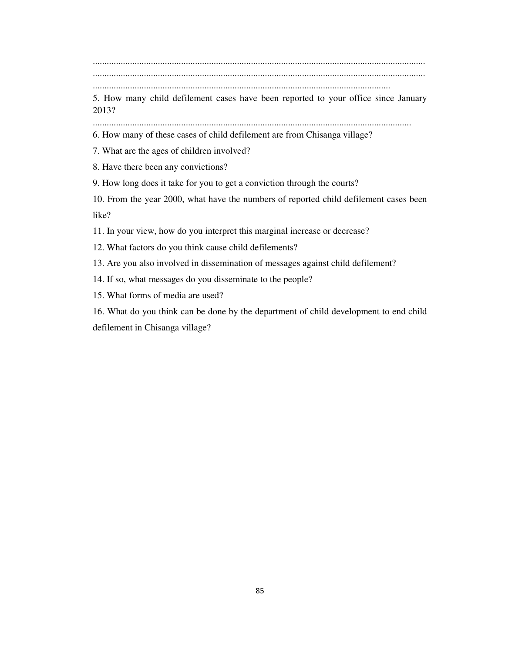............................................................................................................................................... ............................................................................................................................................... ................................................................................................................................

5. How many child defilement cases have been reported to your office since January 2013?

.........................................................................................................................................

6. How many of these cases of child defilement are from Chisanga village?

7. What are the ages of children involved?

8. Have there been any convictions?

9. How long does it take for you to get a conviction through the courts?

10. From the year 2000, what have the numbers of reported child defilement cases been like?

11. In your view, how do you interpret this marginal increase or decrease?

12. What factors do you think cause child defilements?

13. Are you also involved in dissemination of messages against child defilement?

14. If so, what messages do you disseminate to the people?

15. What forms of media are used?

16. What do you think can be done by the department of child development to end child defilement in Chisanga village?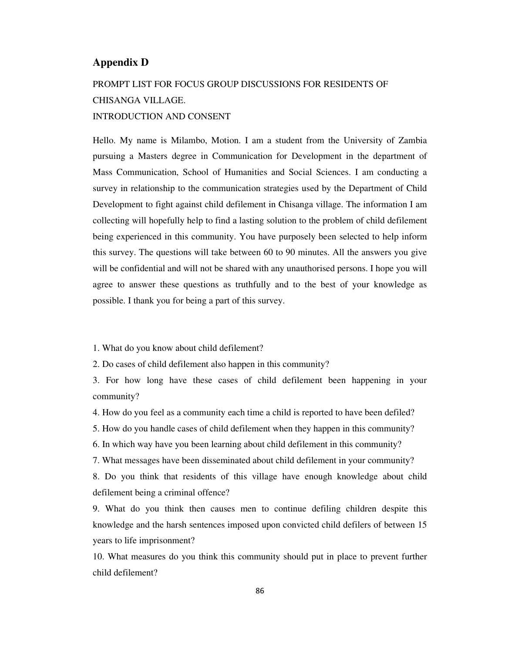#### **Appendix D**

# PROMPT LIST FOR FOCUS GROUP DISCUSSIONS FOR RESIDENTS OF CHISANGA VILLAGE. INTRODUCTION AND CONSENT

Hello. My name is Milambo, Motion. I am a student from the University of Zambia pursuing a Masters degree in Communication for Development in the department of Mass Communication, School of Humanities and Social Sciences. I am conducting a survey in relationship to the communication strategies used by the Department of Child Development to fight against child defilement in Chisanga village. The information I am collecting will hopefully help to find a lasting solution to the problem of child defilement being experienced in this community. You have purposely been selected to help inform this survey. The questions will take between 60 to 90 minutes. All the answers you give will be confidential and will not be shared with any unauthorised persons. I hope you will agree to answer these questions as truthfully and to the best of your knowledge as possible. I thank you for being a part of this survey.

1. What do you know about child defilement?

2. Do cases of child defilement also happen in this community?

3. For how long have these cases of child defilement been happening in your community?

4. How do you feel as a community each time a child is reported to have been defiled?

5. How do you handle cases of child defilement when they happen in this community?

6. In which way have you been learning about child defilement in this community?

7. What messages have been disseminated about child defilement in your community?

8. Do you think that residents of this village have enough knowledge about child defilement being a criminal offence?

9. What do you think then causes men to continue defiling children despite this knowledge and the harsh sentences imposed upon convicted child defilers of between 15 years to life imprisonment?

10. What measures do you think this community should put in place to prevent further child defilement?